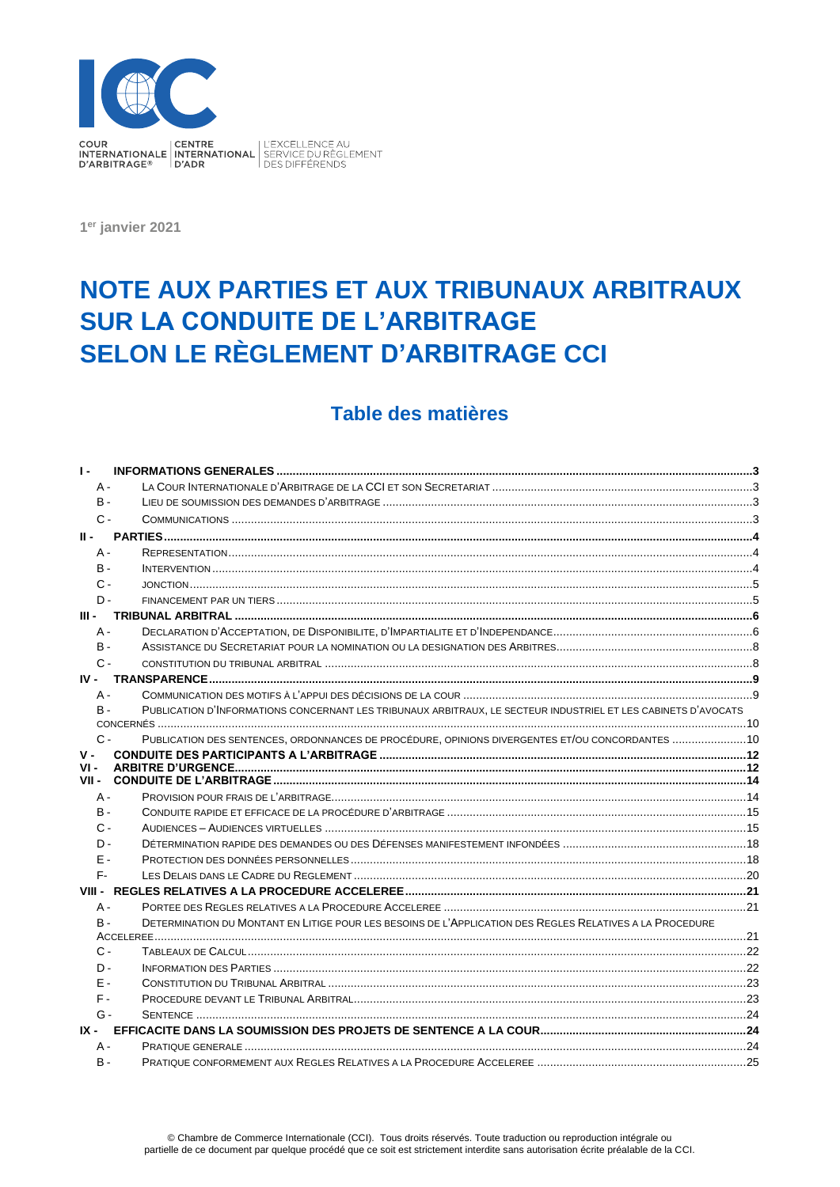

1<sup>er</sup> janvier 2021

# NOTE AUX PARTIES ET AUX TRIBUNAUX ARBITRAUX **SUR LA CONDUITE DE L'ARBITRAGE SELON LE RÈGLEMENT D'ARBITRAGE CCI**

# Table des matières

| A -<br><b>B</b> -                                                                                                       |  |
|-------------------------------------------------------------------------------------------------------------------------|--|
|                                                                                                                         |  |
|                                                                                                                         |  |
| $C -$                                                                                                                   |  |
| н.                                                                                                                      |  |
| A -                                                                                                                     |  |
| <b>B</b> -                                                                                                              |  |
| $C -$                                                                                                                   |  |
| $\mathsf{D}$                                                                                                            |  |
| ш.                                                                                                                      |  |
| $A -$                                                                                                                   |  |
| B -                                                                                                                     |  |
| $C -$                                                                                                                   |  |
|                                                                                                                         |  |
| $A -$                                                                                                                   |  |
| PUBLICATION D'INFORMATIONS CONCERNANT LES TRIBUNAUX ARBITRAUX, LE SECTEUR INDUSTRIEL ET LES CABINETS D'AVOCATS<br>$B -$ |  |
|                                                                                                                         |  |
| PUBLICATION DES SENTENCES, ORDONNANCES DE PROCÉDURE, OPINIONS DIVERGENTES ET/OU CONCORDANTES 10<br>$C -$                |  |
| $V -$                                                                                                                   |  |
| VI -                                                                                                                    |  |
|                                                                                                                         |  |
| А -                                                                                                                     |  |
| <b>B</b> -                                                                                                              |  |
| $\Omega$ -                                                                                                              |  |
| $\mathsf{D}$                                                                                                            |  |
| Ε-                                                                                                                      |  |
| F-                                                                                                                      |  |
|                                                                                                                         |  |
| $A -$                                                                                                                   |  |
| DETERMINATION DU MONTANT EN LITIGE POUR LES BESOINS DE L'APPLICATION DES REGLES RELATIVES A LA PROCEDURE<br>$B -$       |  |
| $C -$                                                                                                                   |  |
| <b>INFORMATION DES PARTIES</b><br>$\mathsf{D}$                                                                          |  |
| F -                                                                                                                     |  |
| $F -$                                                                                                                   |  |
| $G -$                                                                                                                   |  |
| IX -                                                                                                                    |  |
| A -                                                                                                                     |  |
| <b>B</b> -                                                                                                              |  |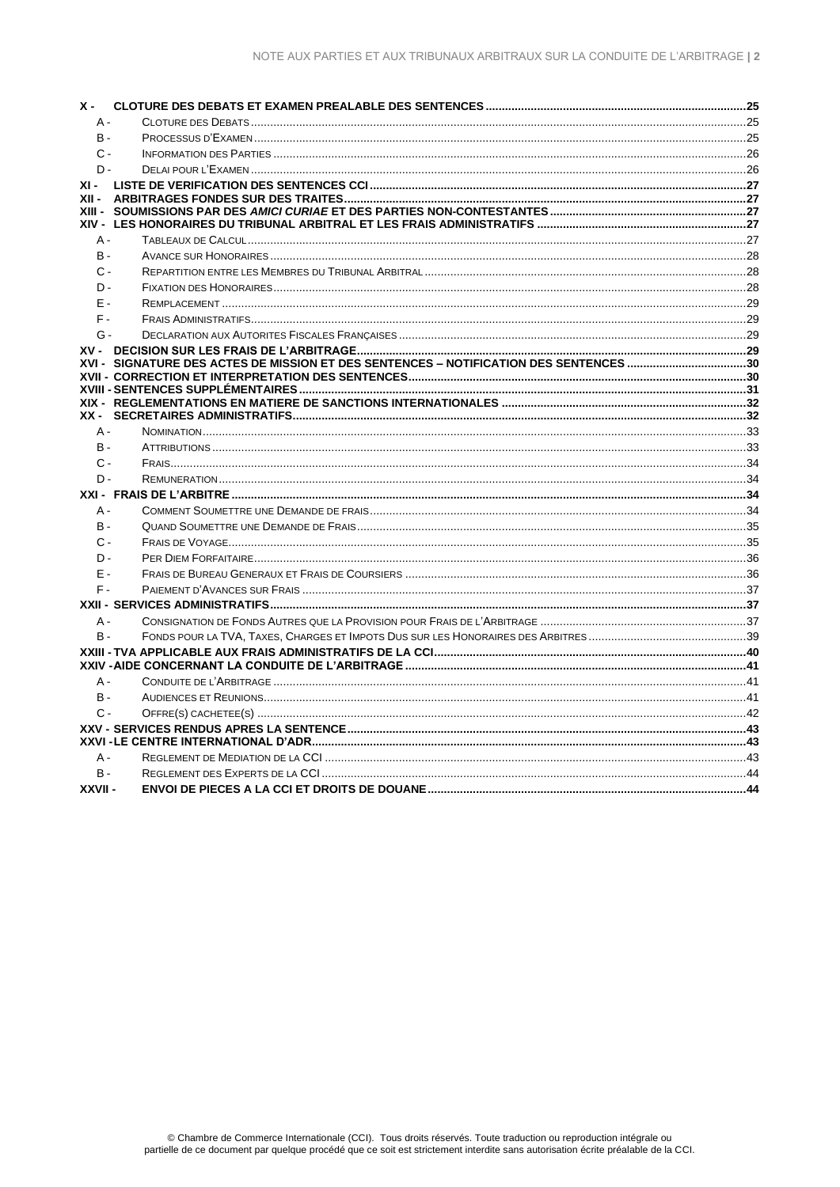| $X -$      |  |
|------------|--|
| $A -$      |  |
| <b>B</b> - |  |
| $C -$      |  |
| $D -$      |  |
|            |  |
|            |  |
|            |  |
| A -        |  |
| B -        |  |
| $C -$      |  |
| D-         |  |
| $F -$      |  |
| $F -$      |  |
| $G -$      |  |
|            |  |
|            |  |
|            |  |
|            |  |
|            |  |
| $A -$      |  |
| <b>B</b> - |  |
| $C -$      |  |
| $D -$      |  |
|            |  |
| $A -$      |  |
| <b>B</b> - |  |
| $C -$      |  |
| D-         |  |
| E -        |  |
| F-         |  |
|            |  |
| A -        |  |
| <b>B</b> - |  |
|            |  |
|            |  |
| $A -$      |  |
| <b>B</b> - |  |
| $C -$      |  |
|            |  |
|            |  |
| $A -$      |  |
| $B -$      |  |
| XXVII-     |  |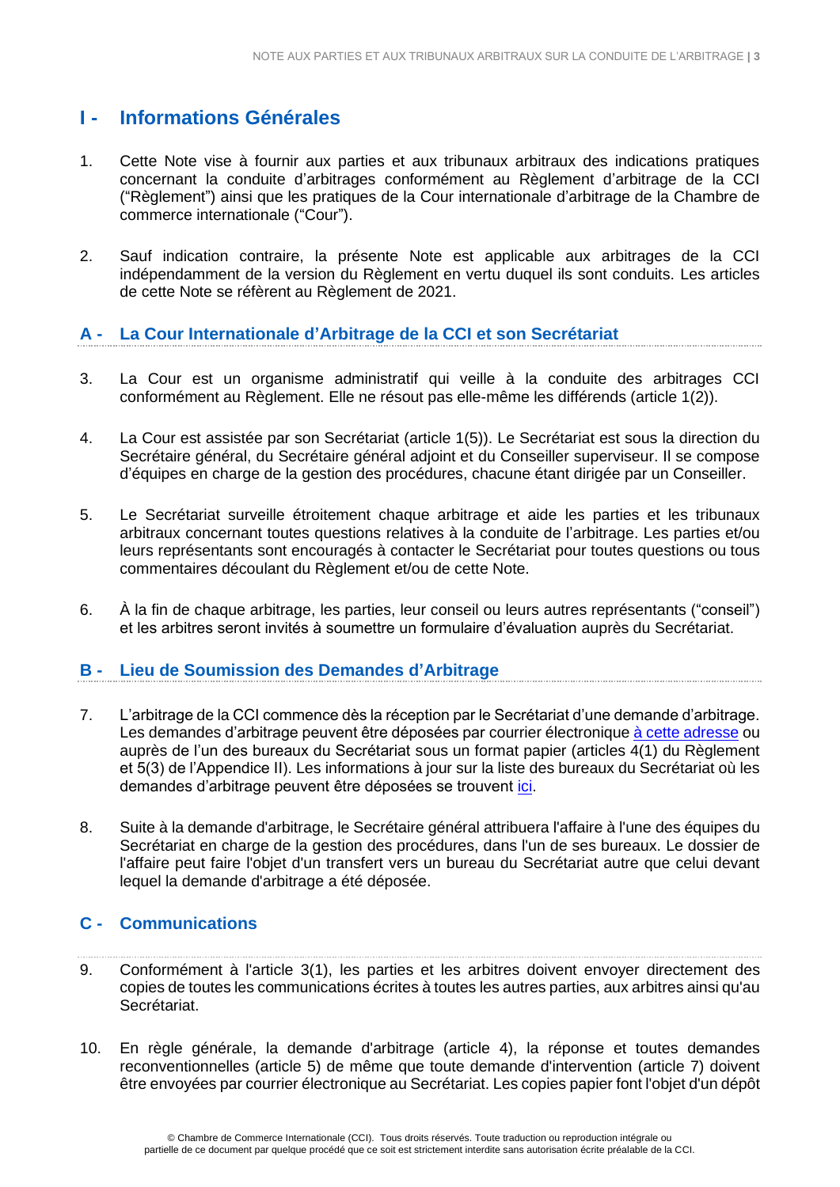# <span id="page-2-0"></span>**I - Informations Générales**

- 1. Cette Note vise à fournir aux parties et aux tribunaux arbitraux des indications pratiques concernant la conduite d'arbitrages conformément au Règlement d'arbitrage de la CCI ("Règlement") ainsi que les pratiques de la Cour internationale d'arbitrage de la Chambre de commerce internationale ("Cour").
- 2. Sauf indication contraire, la présente Note est applicable aux arbitrages de la CCI indépendamment de la version du Règlement en vertu duquel ils sont conduits. Les articles de cette Note se réfèrent au Règlement de 2021.

# <span id="page-2-1"></span>**A - La Cour Internationale d'Arbitrage de la CCI et son Secrétariat**

- 3. La Cour est un organisme administratif qui veille à la conduite des arbitrages CCI conformément au Règlement. Elle ne résout pas elle-même les différends (article 1(2)).
- 4. La Cour est assistée par son Secrétariat (article 1(5)). Le Secrétariat est sous la direction du Secrétaire général, du Secrétaire général adjoint et du Conseiller superviseur. Il se compose d'équipes en charge de la gestion des procédures, chacune étant dirigée par un Conseiller.
- 5. Le Secrétariat surveille étroitement chaque arbitrage et aide les parties et les tribunaux arbitraux concernant toutes questions relatives à la conduite de l'arbitrage. Les parties et/ou leurs représentants sont encouragés à contacter le Secrétariat pour toutes questions ou tous commentaires découlant du Règlement et/ou de cette Note.
- 6. À la fin de chaque arbitrage, les parties, leur conseil ou leurs autres représentants ("conseil") et les arbitres seront invités à soumettre un formulaire d'évaluation auprès du Secrétariat.

#### **B - Lieu de Soumission des Demandes d'Arbitrage**

- 7. L'arbitrage de la CCI commence dès la réception par le Secrétariat d'une demande d'arbitrage. Les demandes d'arbitrage peuvent être déposées par courrier électronique [à cette adresse](mailto:arb@iccwbo.org) ou auprès de l'un des bureaux du Secrétariat sous un format papier (articles 4(1) du Règlement et 5(3) de l'Appendice II). Les informations à jour sur la liste des bureaux du Secrétariat où les demandes d'arbitrage peuvent être déposées se trouvent *ici*.
- 8. Suite à la demande d'arbitrage, le Secrétaire général attribuera l'affaire à l'une des équipes du Secrétariat en charge de la gestion des procédures, dans l'un de ses bureaux. Le dossier de l'affaire peut faire l'objet d'un transfert vers un bureau du Secrétariat autre que celui devant lequel la demande d'arbitrage a été déposée.

# **C - Communications**

- 9. Conformément à l'article 3(1), les parties et les arbitres doivent envoyer directement des copies de toutes les communications écrites à toutes les autres parties, aux arbitres ainsi qu'au Secrétariat.
- 10. En règle générale, la demande d'arbitrage (article 4), la réponse et toutes demandes reconventionnelles (article 5) de même que toute demande d'intervention (article 7) doivent être envoyées par courrier électronique au Secrétariat. Les copies papier font l'objet d'un dépôt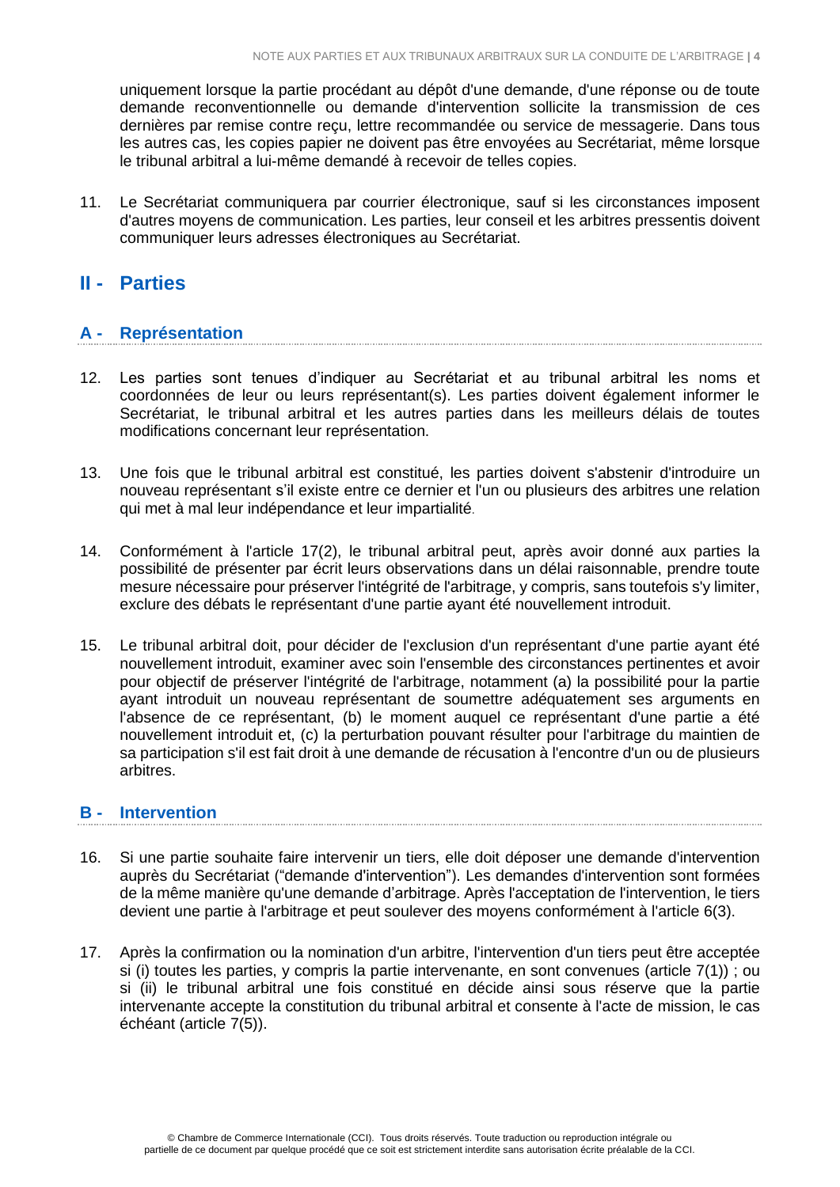uniquement lorsque la partie procédant au dépôt d'une demande, d'une réponse ou de toute demande reconventionnelle ou demande d'intervention sollicite la transmission de ces dernières par remise contre reçu, lettre recommandée ou service de messagerie. Dans tous les autres cas, les copies papier ne doivent pas être envoyées au Secrétariat, même lorsque le tribunal arbitral a lui-même demandé à recevoir de telles copies.

11. Le Secrétariat communiquera par courrier électronique, sauf si les circonstances imposent d'autres moyens de communication. Les parties, leur conseil et les arbitres pressentis doivent communiquer leurs adresses électroniques au Secrétariat.

# **II - Parties**

# **A - Représentation**

- 12. Les parties sont tenues d'indiquer au Secrétariat et au tribunal arbitral les noms et coordonnées de leur ou leurs représentant(s). Les parties doivent également informer le Secrétariat, le tribunal arbitral et les autres parties dans les meilleurs délais de toutes modifications concernant leur représentation.
- 13. Une fois que le tribunal arbitral est constitué, les parties doivent s'abstenir d'introduire un nouveau représentant s'il existe entre ce dernier et l'un ou plusieurs des arbitres une relation qui met à mal leur indépendance et leur impartialité.
- 14. Conformément à l'article 17(2), le tribunal arbitral peut, après avoir donné aux parties la possibilité de présenter par écrit leurs observations dans un délai raisonnable, prendre toute mesure nécessaire pour préserver l'intégrité de l'arbitrage, y compris, sans toutefois s'y limiter, exclure des débats le représentant d'une partie ayant été nouvellement introduit.
- 15. Le tribunal arbitral doit, pour décider de l'exclusion d'un représentant d'une partie ayant été nouvellement introduit, examiner avec soin l'ensemble des circonstances pertinentes et avoir pour objectif de préserver l'intégrité de l'arbitrage, notamment (a) la possibilité pour la partie ayant introduit un nouveau représentant de soumettre adéquatement ses arguments en l'absence de ce représentant, (b) le moment auquel ce représentant d'une partie a été nouvellement introduit et, (c) la perturbation pouvant résulter pour l'arbitrage du maintien de sa participation s'il est fait droit à une demande de récusation à l'encontre d'un ou de plusieurs arbitres.

#### **B - Intervention**

- 16. Si une partie souhaite faire intervenir un tiers, elle doit déposer une demande d'intervention auprès du Secrétariat ("demande d'intervention"). Les demandes d'intervention sont formées de la même manière qu'une demande d'arbitrage. Après l'acceptation de l'intervention, le tiers devient une partie à l'arbitrage et peut soulever des moyens conformément à l'article 6(3).
- 17. Après la confirmation ou la nomination d'un arbitre, l'intervention d'un tiers peut être acceptée si (i) toutes les parties, y compris la partie intervenante, en sont convenues (article 7(1)) ; ou si (ii) le tribunal arbitral une fois constitué en décide ainsi sous réserve que la partie intervenante accepte la constitution du tribunal arbitral et consente à l'acte de mission, le cas échéant (article 7(5)).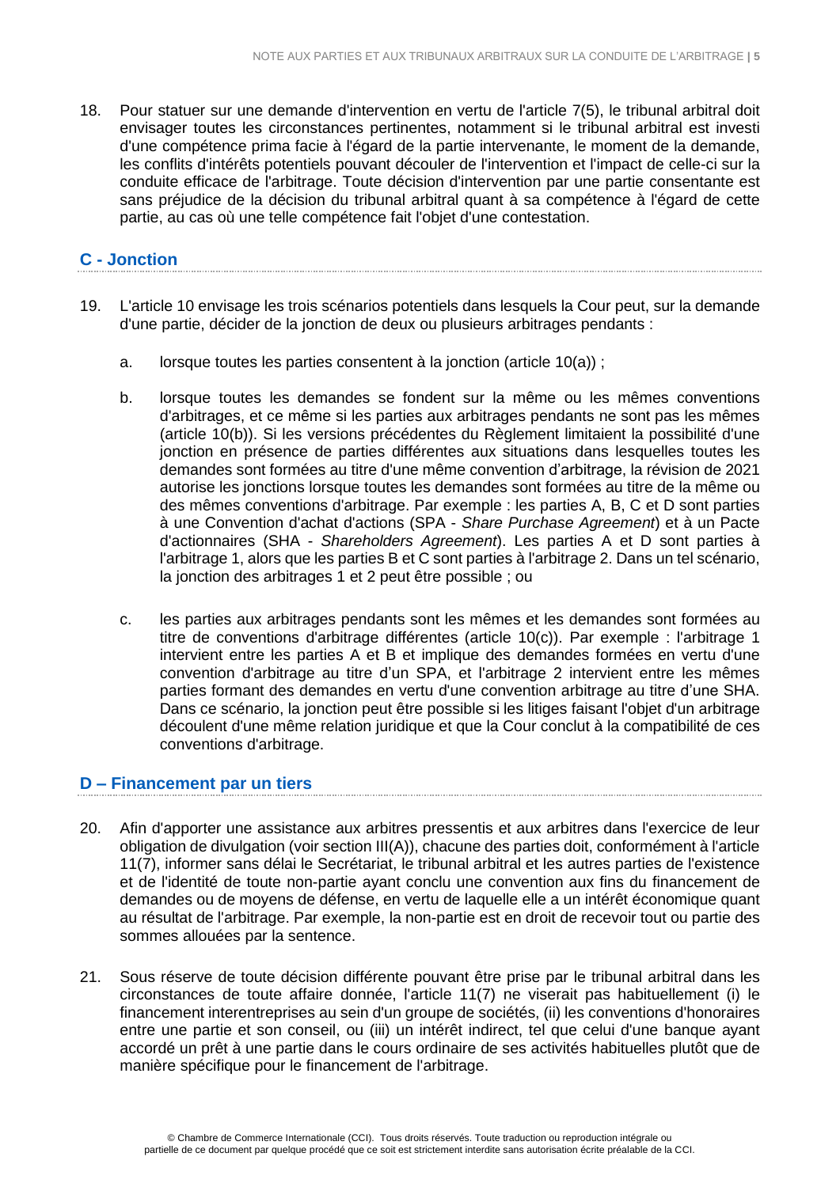18. Pour statuer sur une demande d'intervention en vertu de l'article 7(5), le tribunal arbitral doit envisager toutes les circonstances pertinentes, notamment si le tribunal arbitral est investi d'une compétence prima facie à l'égard de la partie intervenante, le moment de la demande, les conflits d'intérêts potentiels pouvant découler de l'intervention et l'impact de celle-ci sur la conduite efficace de l'arbitrage. Toute décision d'intervention par une partie consentante est sans préjudice de la décision du tribunal arbitral quant à sa compétence à l'égard de cette partie, au cas où une telle compétence fait l'objet d'une contestation.

### **C - Jonction**

- 19. L'article 10 envisage les trois scénarios potentiels dans lesquels la Cour peut, sur la demande d'une partie, décider de la jonction de deux ou plusieurs arbitrages pendants :
	- a. lorsque toutes les parties consentent à la jonction (article 10(a)) ;
	- b. lorsque toutes les demandes se fondent sur la même ou les mêmes conventions d'arbitrages, et ce même si les parties aux arbitrages pendants ne sont pas les mêmes (article 10(b)). Si les versions précédentes du Règlement limitaient la possibilité d'une jonction en présence de parties différentes aux situations dans lesquelles toutes les demandes sont formées au titre d'une même convention d'arbitrage, la révision de 2021 autorise les jonctions lorsque toutes les demandes sont formées au titre de la même ou des mêmes conventions d'arbitrage. Par exemple : les parties A, B, C et D sont parties à une Convention d'achat d'actions (SPA - *Share Purchase Agreement*) et à un Pacte d'actionnaires (SHA - *Shareholders Agreement*). Les parties A et D sont parties à l'arbitrage 1, alors que les parties B et C sont parties à l'arbitrage 2. Dans un tel scénario, la jonction des arbitrages 1 et 2 peut être possible ; ou
	- c. les parties aux arbitrages pendants sont les mêmes et les demandes sont formées au titre de conventions d'arbitrage différentes (article 10(c)). Par exemple : l'arbitrage 1 intervient entre les parties A et B et implique des demandes formées en vertu d'une convention d'arbitrage au titre d'un SPA, et l'arbitrage 2 intervient entre les mêmes parties formant des demandes en vertu d'une convention arbitrage au titre d'une SHA. Dans ce scénario, la jonction peut être possible si les litiges faisant l'objet d'un arbitrage découlent d'une même relation juridique et que la Cour conclut à la compatibilité de ces conventions d'arbitrage.

# **D – Financement par un tiers**

- 20. Afin d'apporter une assistance aux arbitres pressentis et aux arbitres dans l'exercice de leur obligation de divulgation (voir section III(A)), chacune des parties doit, conformément à l'article 11(7), informer sans délai le Secrétariat, le tribunal arbitral et les autres parties de l'existence et de l'identité de toute non-partie ayant conclu une convention aux fins du financement de demandes ou de moyens de défense, en vertu de laquelle elle a un intérêt économique quant au résultat de l'arbitrage. Par exemple, la non-partie est en droit de recevoir tout ou partie des sommes allouées par la sentence.
- 21. Sous réserve de toute décision différente pouvant être prise par le tribunal arbitral dans les circonstances de toute affaire donnée, l'article 11(7) ne viserait pas habituellement (i) le financement interentreprises au sein d'un groupe de sociétés, (ii) les conventions d'honoraires entre une partie et son conseil, ou (iii) un intérêt indirect, tel que celui d'une banque ayant accordé un prêt à une partie dans le cours ordinaire de ses activités habituelles plutôt que de manière spécifique pour le financement de l'arbitrage.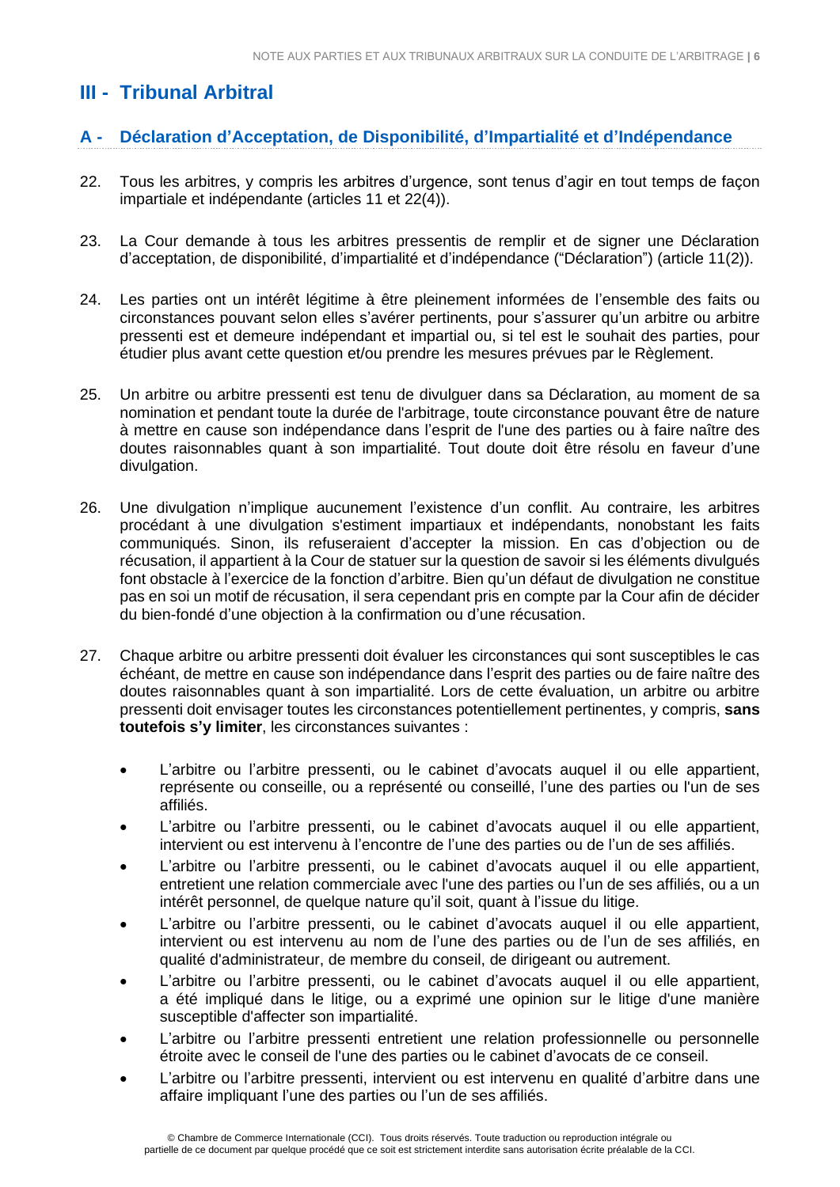# <span id="page-5-0"></span>**III - Tribunal Arbitral**

# <span id="page-5-1"></span>**A - Déclaration d'Acceptation, de Disponibilité, d'Impartialité et d'Indépendance**

- 22. Tous les arbitres, y compris les arbitres d'urgence, sont tenus d'agir en tout temps de façon impartiale et indépendante (articles 11 et 22(4)).
- 23. La Cour demande à tous les arbitres pressentis de remplir et de signer une Déclaration d'acceptation, de disponibilité, d'impartialité et d'indépendance ("Déclaration") (article 11(2)).
- 24. Les parties ont un intérêt légitime à être pleinement informées de l'ensemble des faits ou circonstances pouvant selon elles s'avérer pertinents, pour s'assurer qu'un arbitre ou arbitre pressenti est et demeure indépendant et impartial ou, si tel est le souhait des parties, pour étudier plus avant cette question et/ou prendre les mesures prévues par le Règlement.
- 25. Un arbitre ou arbitre pressenti est tenu de divulguer dans sa Déclaration, au moment de sa nomination et pendant toute la durée de l'arbitrage, toute circonstance pouvant être de nature à mettre en cause son indépendance dans l'esprit de l'une des parties ou à faire naître des doutes raisonnables quant à son impartialité. Tout doute doit être résolu en faveur d'une divulgation.
- 26. Une divulgation n'implique aucunement l'existence d'un conflit. Au contraire, les arbitres procédant à une divulgation s'estiment impartiaux et indépendants, nonobstant les faits communiqués. Sinon, ils refuseraient d'accepter la mission. En cas d'objection ou de récusation, il appartient à la Cour de statuer sur la question de savoir si les éléments divulgués font obstacle à l'exercice de la fonction d'arbitre. Bien qu'un défaut de divulgation ne constitue pas en soi un motif de récusation, il sera cependant pris en compte par la Cour afin de décider du bien-fondé d'une objection à la confirmation ou d'une récusation.
- 27. Chaque arbitre ou arbitre pressenti doit évaluer les circonstances qui sont susceptibles le cas échéant, de mettre en cause son indépendance dans l'esprit des parties ou de faire naître des doutes raisonnables quant à son impartialité. Lors de cette évaluation, un arbitre ou arbitre pressenti doit envisager toutes les circonstances potentiellement pertinentes, y compris, **sans toutefois s'y limiter**, les circonstances suivantes :
	- L'arbitre ou l'arbitre pressenti, ou le cabinet d'avocats auquel il ou elle appartient, représente ou conseille, ou a représenté ou conseillé, l'une des parties ou l'un de ses affiliés.
	- L'arbitre ou l'arbitre pressenti, ou le cabinet d'avocats auquel il ou elle appartient, intervient ou est intervenu à l'encontre de l'une des parties ou de l'un de ses affiliés.
	- L'arbitre ou l'arbitre pressenti, ou le cabinet d'avocats auquel il ou elle appartient, entretient une relation commerciale avec l'une des parties ou l'un de ses affiliés, ou a un intérêt personnel, de quelque nature qu'il soit, quant à l'issue du litige.
	- L'arbitre ou l'arbitre pressenti, ou le cabinet d'avocats auquel il ou elle appartient, intervient ou est intervenu au nom de l'une des parties ou de l'un de ses affiliés, en qualité d'administrateur, de membre du conseil, de dirigeant ou autrement.
	- L'arbitre ou l'arbitre pressenti, ou le cabinet d'avocats auquel il ou elle appartient, a été impliqué dans le litige, ou a exprimé une opinion sur le litige d'une manière susceptible d'affecter son impartialité.
	- L'arbitre ou l'arbitre pressenti entretient une relation professionnelle ou personnelle étroite avec le conseil de l'une des parties ou le cabinet d'avocats de ce conseil.
	- L'arbitre ou l'arbitre pressenti, intervient ou est intervenu en qualité d'arbitre dans une affaire impliquant l'une des parties ou l'un de ses affiliés.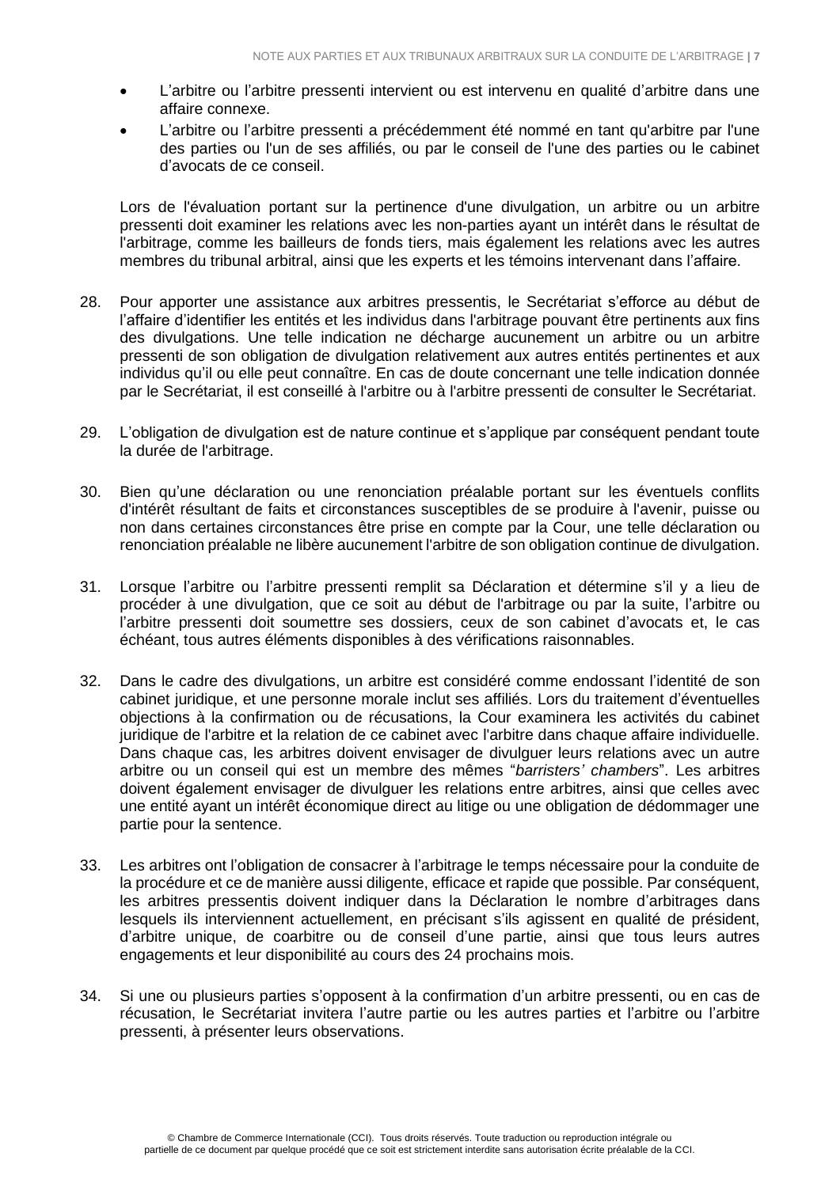- L'arbitre ou l'arbitre pressenti intervient ou est intervenu en qualité d'arbitre dans une affaire connexe.
- L'arbitre ou l'arbitre pressenti a précédemment été nommé en tant qu'arbitre par l'une des parties ou l'un de ses affiliés, ou par le conseil de l'une des parties ou le cabinet d'avocats de ce conseil.

Lors de l'évaluation portant sur la pertinence d'une divulgation, un arbitre ou un arbitre pressenti doit examiner les relations avec les non-parties ayant un intérêt dans le résultat de l'arbitrage, comme les bailleurs de fonds tiers, mais également les relations avec les autres membres du tribunal arbitral, ainsi que les experts et les témoins intervenant dans l'affaire.

- 28. Pour apporter une assistance aux arbitres pressentis, le Secrétariat s'efforce au début de l'affaire d'identifier les entités et les individus dans l'arbitrage pouvant être pertinents aux fins des divulgations. Une telle indication ne décharge aucunement un arbitre ou un arbitre pressenti de son obligation de divulgation relativement aux autres entités pertinentes et aux individus qu'il ou elle peut connaître. En cas de doute concernant une telle indication donnée par le Secrétariat, il est conseillé à l'arbitre ou à l'arbitre pressenti de consulter le Secrétariat.
- 29. L'obligation de divulgation est de nature continue et s'applique par conséquent pendant toute la durée de l'arbitrage.
- 30. Bien qu'une déclaration ou une renonciation préalable portant sur les éventuels conflits d'intérêt résultant de faits et circonstances susceptibles de se produire à l'avenir, puisse ou non dans certaines circonstances être prise en compte par la Cour, une telle déclaration ou renonciation préalable ne libère aucunement l'arbitre de son obligation continue de divulgation.
- 31. Lorsque l'arbitre ou l'arbitre pressenti remplit sa Déclaration et détermine s'il y a lieu de procéder à une divulgation, que ce soit au début de l'arbitrage ou par la suite, l'arbitre ou l'arbitre pressenti doit soumettre ses dossiers, ceux de son cabinet d'avocats et, le cas échéant, tous autres éléments disponibles à des vérifications raisonnables.
- 32. Dans le cadre des divulgations, un arbitre est considéré comme endossant l'identité de son cabinet juridique, et une personne morale inclut ses affiliés. Lors du traitement d'éventuelles objections à la confirmation ou de récusations, la Cour examinera les activités du cabinet juridique de l'arbitre et la relation de ce cabinet avec l'arbitre dans chaque affaire individuelle. Dans chaque cas, les arbitres doivent envisager de divulguer leurs relations avec un autre arbitre ou un conseil qui est un membre des mêmes "*barristers' chambers*". Les arbitres doivent également envisager de divulguer les relations entre arbitres, ainsi que celles avec une entité ayant un intérêt économique direct au litige ou une obligation de dédommager une partie pour la sentence.
- 33. Les arbitres ont l'obligation de consacrer à l'arbitrage le temps nécessaire pour la conduite de la procédure et ce de manière aussi diligente, efficace et rapide que possible. Par conséquent, les arbitres pressentis doivent indiquer dans la Déclaration le nombre d'arbitrages dans lesquels ils interviennent actuellement, en précisant s'ils agissent en qualité de président, d'arbitre unique, de coarbitre ou de conseil d'une partie, ainsi que tous leurs autres engagements et leur disponibilité au cours des 24 prochains mois.
- 34. Si une ou plusieurs parties s'opposent à la confirmation d'un arbitre pressenti, ou en cas de récusation, le Secrétariat invitera l'autre partie ou les autres parties et l'arbitre ou l'arbitre pressenti, à présenter leurs observations.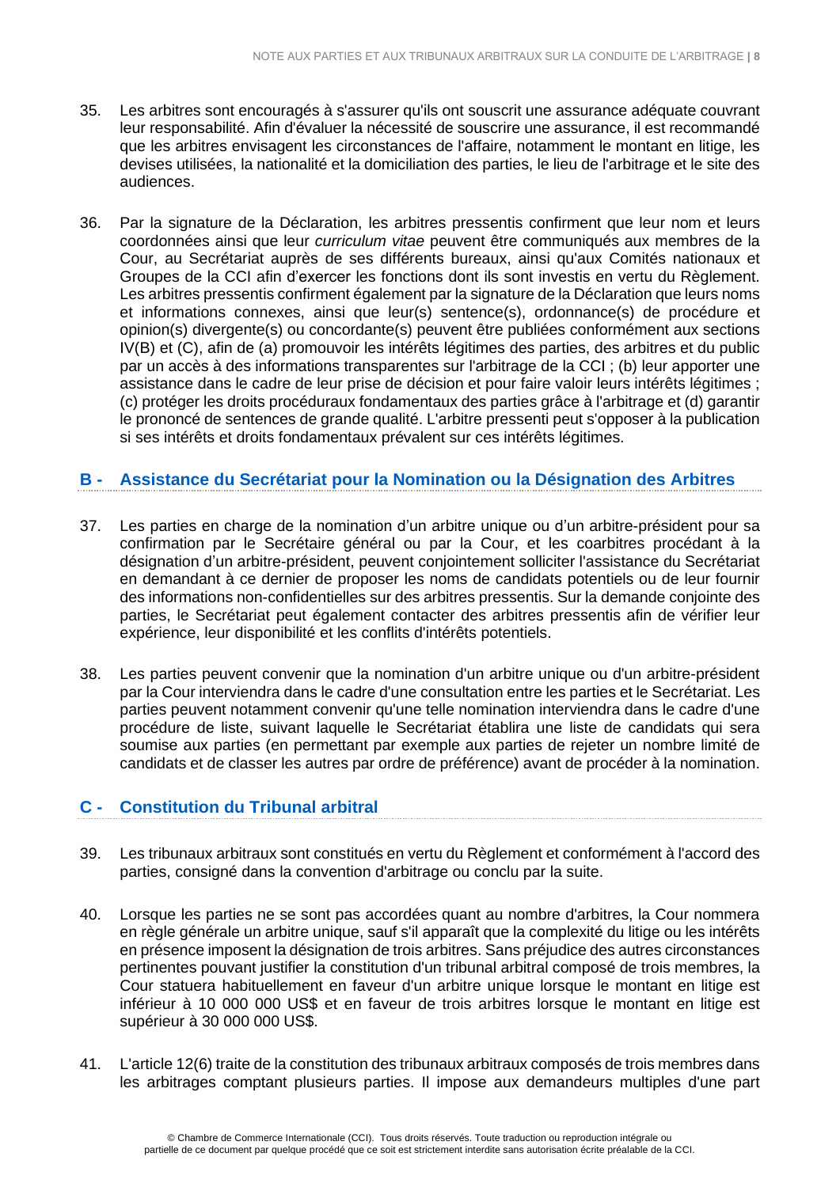- 35. Les arbitres sont encouragés à s'assurer qu'ils ont souscrit une assurance adéquate couvrant leur responsabilité. Afin d'évaluer la nécessité de souscrire une assurance, il est recommandé que les arbitres envisagent les circonstances de l'affaire, notamment le montant en litige, les devises utilisées, la nationalité et la domiciliation des parties, le lieu de l'arbitrage et le site des audiences.
- 36. Par la signature de la Déclaration, les arbitres pressentis confirment que leur nom et leurs coordonnées ainsi que leur *curriculum vitae* peuvent être communiqués aux membres de la Cour, au Secrétariat auprès de ses différents bureaux, ainsi qu'aux Comités nationaux et Groupes de la CCI afin d'exercer les fonctions dont ils sont investis en vertu du Règlement. Les arbitres pressentis confirment également par la signature de la Déclaration que leurs noms et informations connexes, ainsi que leur(s) sentence(s), ordonnance(s) de procédure et opinion(s) divergente(s) ou concordante(s) peuvent être publiées conformément aux sections IV(B) et (C), afin de (a) promouvoir les intérêts légitimes des parties, des arbitres et du public par un accès à des informations transparentes sur l'arbitrage de la CCI ; (b) leur apporter une assistance dans le cadre de leur prise de décision et pour faire valoir leurs intérêts légitimes ; (c) protéger les droits procéduraux fondamentaux des parties grâce à l'arbitrage et (d) garantir le prononcé de sentences de grande qualité. L'arbitre pressenti peut s'opposer à la publication si ses intérêts et droits fondamentaux prévalent sur ces intérêts légitimes.

# <span id="page-7-0"></span>**B - Assistance du Secrétariat pour la Nomination ou la Désignation des Arbitres**

- 37. Les parties en charge de la nomination d'un arbitre unique ou d'un arbitre-président pour sa confirmation par le Secrétaire général ou par la Cour, et les coarbitres procédant à la désignation d'un arbitre-président, peuvent conjointement solliciter l'assistance du Secrétariat en demandant à ce dernier de proposer les noms de candidats potentiels ou de leur fournir des informations non-confidentielles sur des arbitres pressentis. Sur la demande conjointe des parties, le Secrétariat peut également contacter des arbitres pressentis afin de vérifier leur expérience, leur disponibilité et les conflits d'intérêts potentiels.
- 38. Les parties peuvent convenir que la nomination d'un arbitre unique ou d'un arbitre-président par la Cour interviendra dans le cadre d'une consultation entre les parties et le Secrétariat. Les parties peuvent notamment convenir qu'une telle nomination interviendra dans le cadre d'une procédure de liste, suivant laquelle le Secrétariat établira une liste de candidats qui sera soumise aux parties (en permettant par exemple aux parties de rejeter un nombre limité de candidats et de classer les autres par ordre de préférence) avant de procéder à la nomination.

# **C - Constitution du Tribunal arbitral**

- 39. Les tribunaux arbitraux sont constitués en vertu du Règlement et conformément à l'accord des parties, consigné dans la convention d'arbitrage ou conclu par la suite.
- 40. Lorsque les parties ne se sont pas accordées quant au nombre d'arbitres, la Cour nommera en règle générale un arbitre unique, sauf s'il apparaît que la complexité du litige ou les intérêts en présence imposent la désignation de trois arbitres. Sans préjudice des autres circonstances pertinentes pouvant justifier la constitution d'un tribunal arbitral composé de trois membres, la Cour statuera habituellement en faveur d'un arbitre unique lorsque le montant en litige est inférieur à 10 000 000 US\$ et en faveur de trois arbitres lorsque le montant en litige est supérieur à 30 000 000 US\$.
- 41. L'article 12(6) traite de la constitution des tribunaux arbitraux composés de trois membres dans les arbitrages comptant plusieurs parties. Il impose aux demandeurs multiples d'une part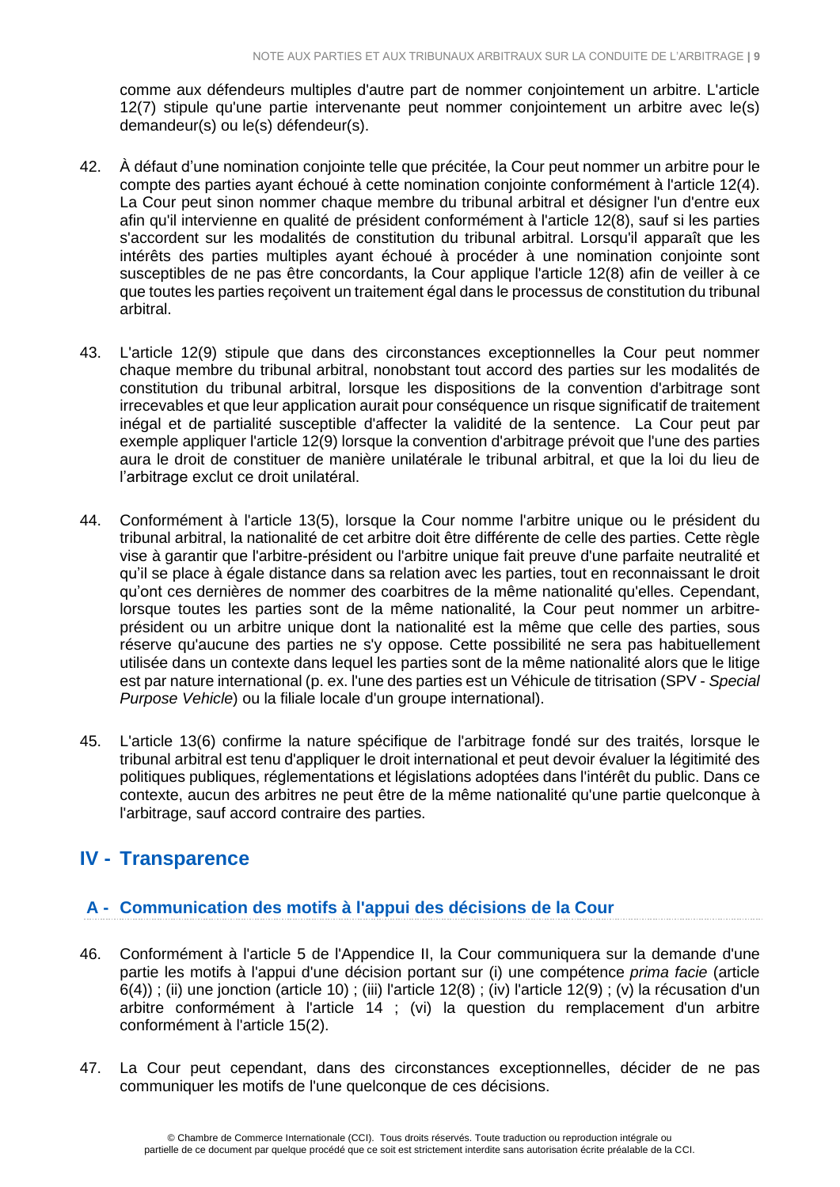comme aux défendeurs multiples d'autre part de nommer conjointement un arbitre. L'article 12(7) stipule qu'une partie intervenante peut nommer conjointement un arbitre avec le(s) demandeur(s) ou le(s) défendeur(s).

- 42. À défaut d'une nomination conjointe telle que précitée, la Cour peut nommer un arbitre pour le compte des parties ayant échoué à cette nomination conjointe conformément à l'article 12(4). La Cour peut sinon nommer chaque membre du tribunal arbitral et désigner l'un d'entre eux afin qu'il intervienne en qualité de président conformément à l'article 12(8), sauf si les parties s'accordent sur les modalités de constitution du tribunal arbitral. Lorsqu'il apparaît que les intérêts des parties multiples ayant échoué à procéder à une nomination conjointe sont susceptibles de ne pas être concordants, la Cour applique l'article 12(8) afin de veiller à ce que toutes les parties reçoivent un traitement égal dans le processus de constitution du tribunal arbitral.
- 43. L'article 12(9) stipule que dans des circonstances exceptionnelles la Cour peut nommer chaque membre du tribunal arbitral, nonobstant tout accord des parties sur les modalités de constitution du tribunal arbitral, lorsque les dispositions de la convention d'arbitrage sont irrecevables et que leur application aurait pour conséquence un risque significatif de traitement inégal et de partialité susceptible d'affecter la validité de la sentence. La Cour peut par exemple appliquer l'article 12(9) lorsque la convention d'arbitrage prévoit que l'une des parties aura le droit de constituer de manière unilatérale le tribunal arbitral, et que la loi du lieu de l'arbitrage exclut ce droit unilatéral.
- 44. Conformément à l'article 13(5), lorsque la Cour nomme l'arbitre unique ou le président du tribunal arbitral, la nationalité de cet arbitre doit être différente de celle des parties. Cette règle vise à garantir que l'arbitre-président ou l'arbitre unique fait preuve d'une parfaite neutralité et qu'il se place à égale distance dans sa relation avec les parties, tout en reconnaissant le droit qu'ont ces dernières de nommer des coarbitres de la même nationalité qu'elles. Cependant, lorsque toutes les parties sont de la même nationalité, la Cour peut nommer un arbitreprésident ou un arbitre unique dont la nationalité est la même que celle des parties, sous réserve qu'aucune des parties ne s'y oppose. Cette possibilité ne sera pas habituellement utilisée dans un contexte dans lequel les parties sont de la même nationalité alors que le litige est par nature international (p. ex. l'une des parties est un Véhicule de titrisation (SPV - *Special Purpose Vehicle*) ou la filiale locale d'un groupe international).
- 45. L'article 13(6) confirme la nature spécifique de l'arbitrage fondé sur des traités, lorsque le tribunal arbitral est tenu d'appliquer le droit international et peut devoir évaluer la légitimité des politiques publiques, réglementations et législations adoptées dans l'intérêt du public. Dans ce contexte, aucun des arbitres ne peut être de la même nationalité qu'une partie quelconque à l'arbitrage, sauf accord contraire des parties.

# **IV - Transparence**

# **A - Communication des motifs à l'appui des décisions de la Cour**

- 46. Conformément à l'article 5 de l'Appendice II, la Cour communiquera sur la demande d'une partie les motifs à l'appui d'une décision portant sur (i) une compétence *prima facie* (article 6(4)) ; (ii) une jonction (article 10) ; (iii) l'article 12(8) ; (iv) l'article 12(9) ; (v) la récusation d'un arbitre conformément à l'article 14 ; (vi) la question du remplacement d'un arbitre conformément à l'article 15(2).
- 47. La Cour peut cependant, dans des circonstances exceptionnelles, décider de ne pas communiquer les motifs de l'une quelconque de ces décisions.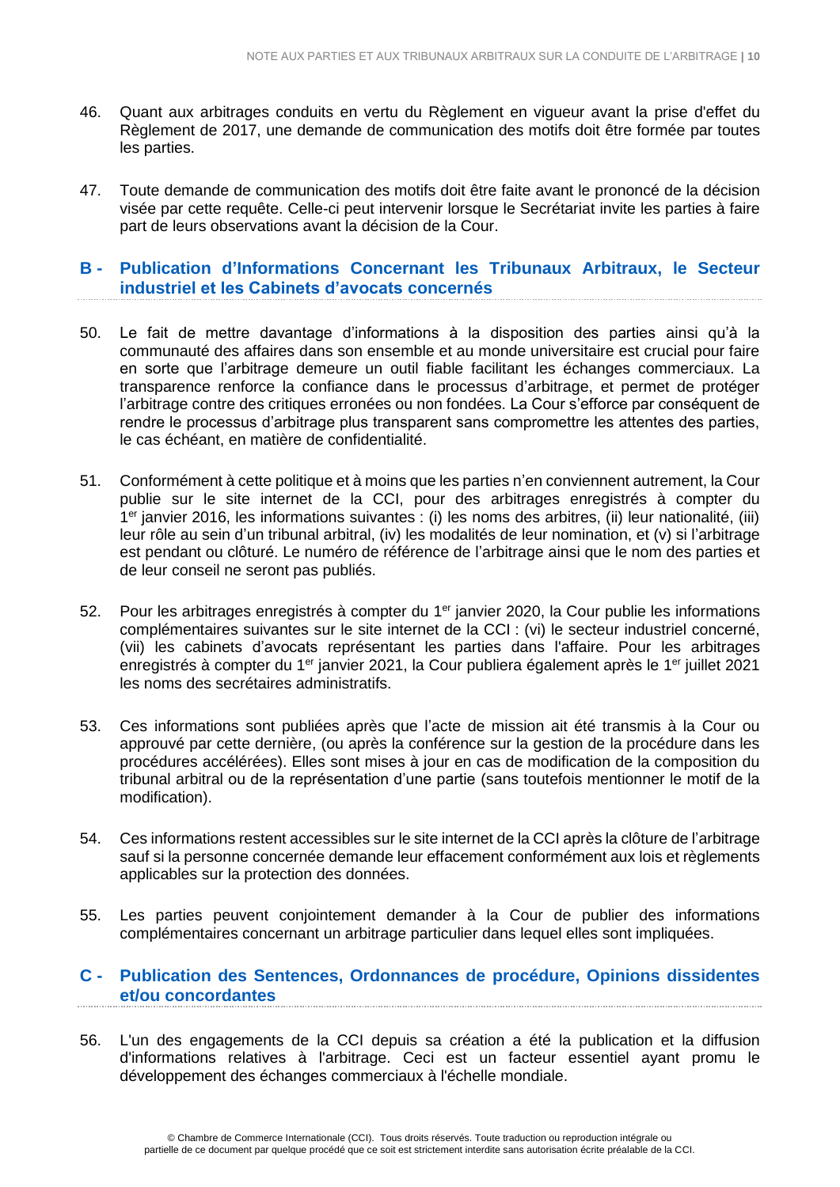- 46. Quant aux arbitrages conduits en vertu du Règlement en vigueur avant la prise d'effet du Règlement de 2017, une demande de communication des motifs doit être formée par toutes les parties.
- 47. Toute demande de communication des motifs doit être faite avant le prononcé de la décision visée par cette requête. Celle-ci peut intervenir lorsque le Secrétariat invite les parties à faire part de leurs observations avant la décision de la Cour.

#### <span id="page-9-0"></span>**B - Publication d'Informations Concernant les Tribunaux Arbitraux, le Secteur industriel et les Cabinets d'avocats concernés**

- 50. Le fait de mettre davantage d'informations à la disposition des parties ainsi qu'à la communauté des affaires dans son ensemble et au monde universitaire est crucial pour faire en sorte que l'arbitrage demeure un outil fiable facilitant les échanges commerciaux. La transparence renforce la confiance dans le processus d'arbitrage, et permet de protéger l'arbitrage contre des critiques erronées ou non fondées. La Cour s'efforce par conséquent de rendre le processus d'arbitrage plus transparent sans compromettre les attentes des parties, le cas échéant, en matière de confidentialité.
- 51. Conformément à cette politique et à moins que les parties n'en conviennent autrement, la Cour publie sur le site internet de la CCI, pour des arbitrages enregistrés à compter du 1 er janvier 2016, les informations suivantes : (i) les noms des arbitres, (ii) leur nationalité, (iii) leur rôle au sein d'un tribunal arbitral, (iv) les modalités de leur nomination, et (v) si l'arbitrage est pendant ou clôturé. Le numéro de référence de l'arbitrage ainsi que le nom des parties et de leur conseil ne seront pas publiés.
- 52. Pour les arbitrages enregistrés à compter du 1<sup>er</sup> janvier 2020, la Cour publie les informations complémentaires suivantes sur le site internet de la CCI : (vi) le secteur industriel concerné, (vii) les cabinets d'avocats représentant les parties dans l'affaire. Pour les arbitrages enregistrés à compter du 1<sup>er</sup> janvier 2021, la Cour publiera également après le 1<sup>er</sup> juillet 2021 les noms des secrétaires administratifs.
- 53. Ces informations sont publiées après que l'acte de mission ait été transmis à la Cour ou approuvé par cette dernière, (ou après la conférence sur la gestion de la procédure dans les procédures accélérées). Elles sont mises à jour en cas de modification de la composition du tribunal arbitral ou de la représentation d'une partie (sans toutefois mentionner le motif de la modification).
- 54. Ces informations restent accessibles sur le site internet de la CCI après la clôture de l'arbitrage sauf si la personne concernée demande leur effacement conformément aux lois et règlements applicables sur la protection des données.
- 55. Les parties peuvent conjointement demander à la Cour de publier des informations complémentaires concernant un arbitrage particulier dans lequel elles sont impliquées.

#### **C - Publication des Sentences, Ordonnances de procédure, Opinions dissidentes et/ou concordantes**

56. L'un des engagements de la CCI depuis sa création a été la publication et la diffusion d'informations relatives à l'arbitrage. Ceci est un facteur essentiel ayant promu le développement des échanges commerciaux à l'échelle mondiale.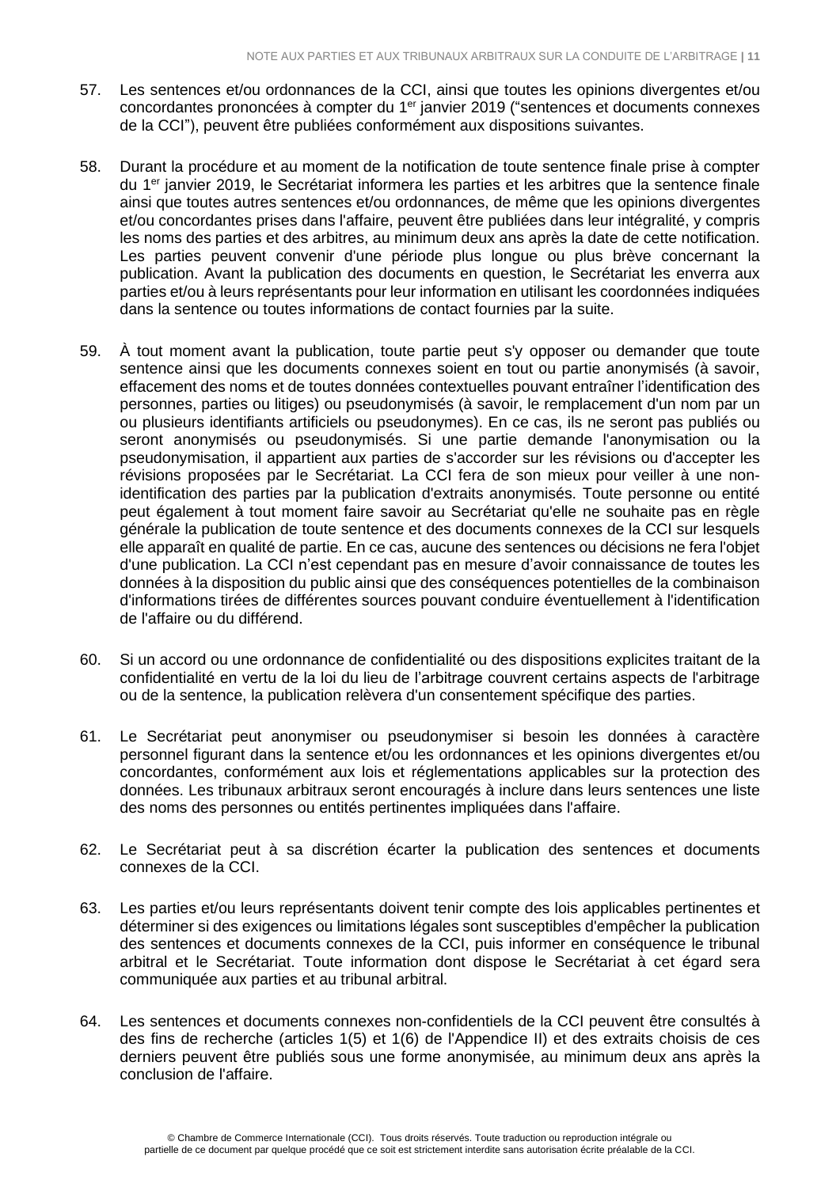- 57. Les sentences et/ou ordonnances de la CCI, ainsi que toutes les opinions divergentes et/ou concordantes prononcées à compter du 1<sup>er</sup> janvier 2019 ("sentences et documents connexes de la CCI"), peuvent être publiées conformément aux dispositions suivantes.
- 58. Durant la procédure et au moment de la notification de toute sentence finale prise à compter du 1<sup>er</sup> janvier 2019, le Secrétariat informera les parties et les arbitres que la sentence finale ainsi que toutes autres sentences et/ou ordonnances, de même que les opinions divergentes et/ou concordantes prises dans l'affaire, peuvent être publiées dans leur intégralité, y compris les noms des parties et des arbitres, au minimum deux ans après la date de cette notification. Les parties peuvent convenir d'une période plus longue ou plus brève concernant la publication. Avant la publication des documents en question, le Secrétariat les enverra aux parties et/ou à leurs représentants pour leur information en utilisant les coordonnées indiquées dans la sentence ou toutes informations de contact fournies par la suite.
- 59. À tout moment avant la publication, toute partie peut s'y opposer ou demander que toute sentence ainsi que les documents connexes soient en tout ou partie anonymisés (à savoir, effacement des noms et de toutes données contextuelles pouvant entraîner l'identification des personnes, parties ou litiges) ou pseudonymisés (à savoir, le remplacement d'un nom par un ou plusieurs identifiants artificiels ou pseudonymes). En ce cas, ils ne seront pas publiés ou seront anonymisés ou pseudonymisés. Si une partie demande l'anonymisation ou la pseudonymisation, il appartient aux parties de s'accorder sur les révisions ou d'accepter les révisions proposées par le Secrétariat. La CCI fera de son mieux pour veiller à une nonidentification des parties par la publication d'extraits anonymisés. Toute personne ou entité peut également à tout moment faire savoir au Secrétariat qu'elle ne souhaite pas en règle générale la publication de toute sentence et des documents connexes de la CCI sur lesquels elle apparaît en qualité de partie. En ce cas, aucune des sentences ou décisions ne fera l'objet d'une publication. La CCI n'est cependant pas en mesure d'avoir connaissance de toutes les données à la disposition du public ainsi que des conséquences potentielles de la combinaison d'informations tirées de différentes sources pouvant conduire éventuellement à l'identification de l'affaire ou du différend.
- 60. Si un accord ou une ordonnance de confidentialité ou des dispositions explicites traitant de la confidentialité en vertu de la loi du lieu de l'arbitrage couvrent certains aspects de l'arbitrage ou de la sentence, la publication relèvera d'un consentement spécifique des parties.
- 61. Le Secrétariat peut anonymiser ou pseudonymiser si besoin les données à caractère personnel figurant dans la sentence et/ou les ordonnances et les opinions divergentes et/ou concordantes, conformément aux lois et réglementations applicables sur la protection des données. Les tribunaux arbitraux seront encouragés à inclure dans leurs sentences une liste des noms des personnes ou entités pertinentes impliquées dans l'affaire.
- 62. Le Secrétariat peut à sa discrétion écarter la publication des sentences et documents connexes de la CCI.
- 63. Les parties et/ou leurs représentants doivent tenir compte des lois applicables pertinentes et déterminer si des exigences ou limitations légales sont susceptibles d'empêcher la publication des sentences et documents connexes de la CCI, puis informer en conséquence le tribunal arbitral et le Secrétariat. Toute information dont dispose le Secrétariat à cet égard sera communiquée aux parties et au tribunal arbitral.
- 64. Les sentences et documents connexes non-confidentiels de la CCI peuvent être consultés à des fins de recherche (articles 1(5) et 1(6) de l'Appendice II) et des extraits choisis de ces derniers peuvent être publiés sous une forme anonymisée, au minimum deux ans après la conclusion de l'affaire.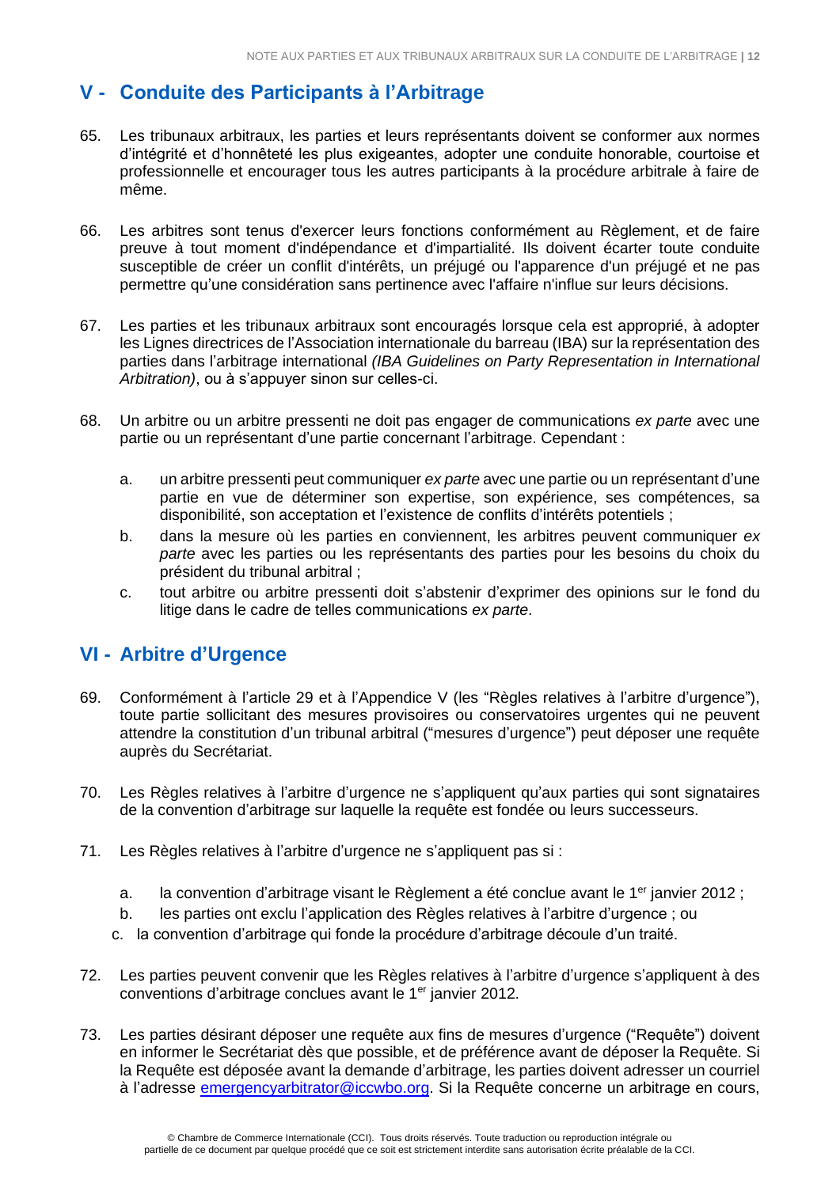# <span id="page-11-0"></span>**V - Conduite des Participants à l'Arbitrage**

- 65. Les tribunaux arbitraux, les parties et leurs représentants doivent se conformer aux normes d'intégrité et d'honnêteté les plus exigeantes, adopter une conduite honorable, courtoise et professionnelle et encourager tous les autres participants à la procédure arbitrale à faire de même.
- 66. Les arbitres sont tenus d'exercer leurs fonctions conformément au Règlement, et de faire preuve à tout moment d'indépendance et d'impartialité. Ils doivent écarter toute conduite susceptible de créer un conflit d'intérêts, un préjugé ou l'apparence d'un préjugé et ne pas permettre qu'une considération sans pertinence avec l'affaire n'influe sur leurs décisions.
- 67. Les parties et les tribunaux arbitraux sont encouragés lorsque cela est approprié, à adopter les Lignes directrices de l'Association internationale du barreau (IBA) sur la représentation des parties dans l'arbitrage international *(IBA Guidelines on Party Representation in International Arbitration)*, ou à s'appuyer sinon sur celles-ci.
- 68. Un arbitre ou un arbitre pressenti ne doit pas engager de communications *ex parte* avec une partie ou un représentant d'une partie concernant l'arbitrage. Cependant :
	- a. un arbitre pressenti peut communiquer *ex parte* avec une partie ou un représentant d'une partie en vue de déterminer son expertise, son expérience, ses compétences, sa disponibilité, son acceptation et l'existence de conflits d'intérêts potentiels ;
	- b. dans la mesure où les parties en conviennent, les arbitres peuvent communiquer *ex parte* avec les parties ou les représentants des parties pour les besoins du choix du président du tribunal arbitral ;
	- c. tout arbitre ou arbitre pressenti doit s'abstenir d'exprimer des opinions sur le fond du litige dans le cadre de telles communications *ex parte*.

# <span id="page-11-1"></span>**VI - Arbitre d'Urgence**

- 69. Conformément à l'article 29 et à l'Appendice V (les "Règles relatives à l'arbitre d'urgence"), toute partie sollicitant des mesures provisoires ou conservatoires urgentes qui ne peuvent attendre la constitution d'un tribunal arbitral ("mesures d'urgence") peut déposer une requête auprès du Secrétariat.
- 70. Les Règles relatives à l'arbitre d'urgence ne s'appliquent qu'aux parties qui sont signataires de la convention d'arbitrage sur laquelle la requête est fondée ou leurs successeurs.
- 71. Les Règles relatives à l'arbitre d'urgence ne s'appliquent pas si :
	- a. la convention d'arbitrage visant le Règlement a été conclue avant le 1<sup>er</sup> janvier 2012 ;
	- b. les parties ont exclu l'application des Règles relatives à l'arbitre d'urgence ; ou
	- c. la convention d'arbitrage qui fonde la procédure d'arbitrage découle d'un traité.
- 72. Les parties peuvent convenir que les Règles relatives à l'arbitre d'urgence s'appliquent à des conventions d'arbitrage conclues avant le 1<sup>er</sup> janvier 2012.
- 73. Les parties désirant déposer une requête aux fins de mesures d'urgence ("Requête") doivent en informer le Secrétariat dès que possible, et de préférence avant de déposer la Requête. Si la Requête est déposée avant la demande d'arbitrage, les parties doivent adresser un courriel à l'adresse [emergencyarbitrator@iccwbo.org.](mailto:emergencyarbitrator@iccwbo.org) Si la Requête concerne un arbitrage en cours,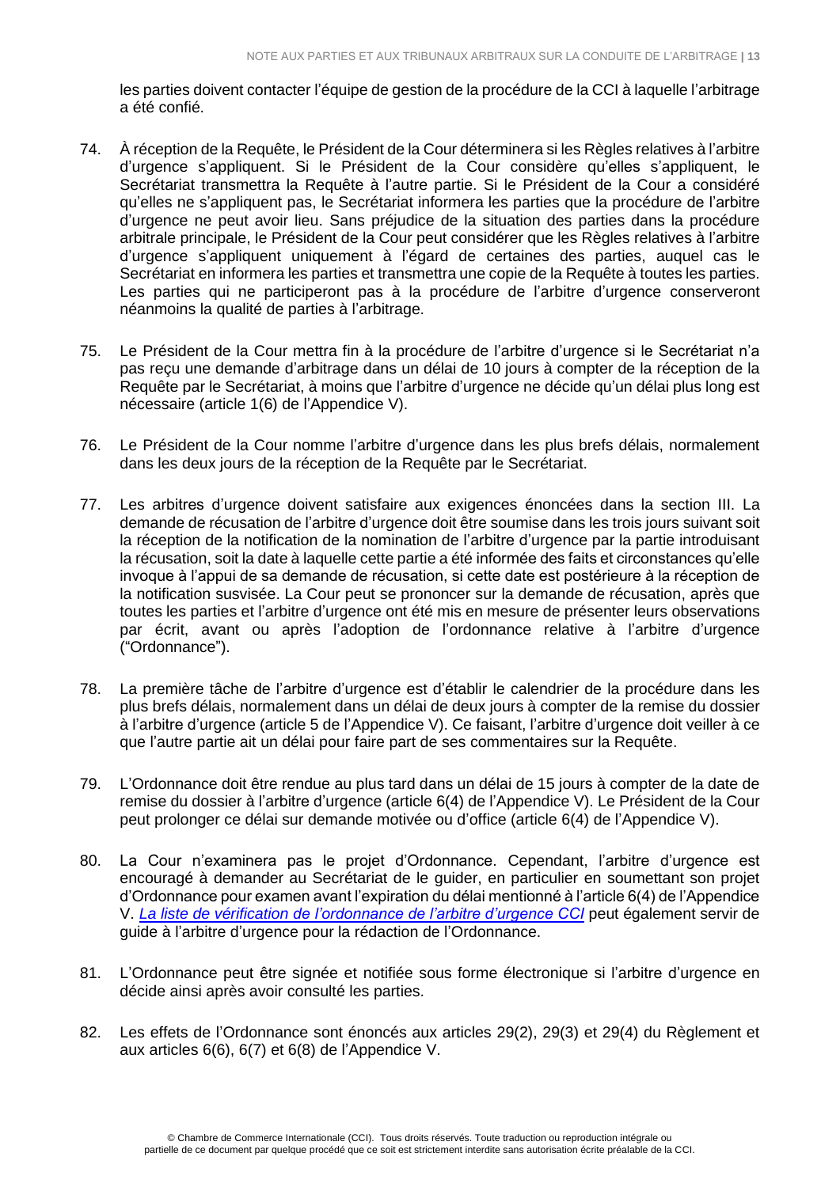les parties doivent contacter l'équipe de gestion de la procédure de la CCI à laquelle l'arbitrage a été confié.

- 74. À réception de la Requête, le Président de la Cour déterminera si les Règles relatives à l'arbitre d'urgence s'appliquent. Si le Président de la Cour considère qu'elles s'appliquent, le Secrétariat transmettra la Requête à l'autre partie. Si le Président de la Cour a considéré qu'elles ne s'appliquent pas, le Secrétariat informera les parties que la procédure de l'arbitre d'urgence ne peut avoir lieu. Sans préjudice de la situation des parties dans la procédure arbitrale principale, le Président de la Cour peut considérer que les Règles relatives à l'arbitre d'urgence s'appliquent uniquement à l'égard de certaines des parties, auquel cas le Secrétariat en informera les parties et transmettra une copie de la Requête à toutes les parties. Les parties qui ne participeront pas à la procédure de l'arbitre d'urgence conserveront néanmoins la qualité de parties à l'arbitrage.
- 75. Le Président de la Cour mettra fin à la procédure de l'arbitre d'urgence si le Secrétariat n'a pas reçu une demande d'arbitrage dans un délai de 10 jours à compter de la réception de la Requête par le Secrétariat, à moins que l'arbitre d'urgence ne décide qu'un délai plus long est nécessaire (article 1(6) de l'Appendice V).
- 76. Le Président de la Cour nomme l'arbitre d'urgence dans les plus brefs délais, normalement dans les deux jours de la réception de la Requête par le Secrétariat.
- 77. Les arbitres d'urgence doivent satisfaire aux exigences énoncées dans la section III. La demande de récusation de l'arbitre d'urgence doit être soumise dans les trois jours suivant soit la réception de la notification de la nomination de l'arbitre d'urgence par la partie introduisant la récusation, soit la date à laquelle cette partie a été informée des faits et circonstances qu'elle invoque à l'appui de sa demande de récusation, si cette date est postérieure à la réception de la notification susvisée. La Cour peut se prononcer sur la demande de récusation, après que toutes les parties et l'arbitre d'urgence ont été mis en mesure de présenter leurs observations par écrit, avant ou après l'adoption de l'ordonnance relative à l'arbitre d'urgence ("Ordonnance").
- 78. La première tâche de l'arbitre d'urgence est d'établir le calendrier de la procédure dans les plus brefs délais, normalement dans un délai de deux jours à compter de la remise du dossier à l'arbitre d'urgence (article 5 de l'Appendice V). Ce faisant, l'arbitre d'urgence doit veiller à ce que l'autre partie ait un délai pour faire part de ses commentaires sur la Requête.
- 79. L'Ordonnance doit être rendue au plus tard dans un délai de 15 jours à compter de la date de remise du dossier à l'arbitre d'urgence (article 6(4) de l'Appendice V). Le Président de la Cour peut prolonger ce délai sur demande motivée ou d'office (article 6(4) de l'Appendice V).
- 80. La Cour n'examinera pas le projet d'Ordonnance. Cependant, l'arbitre d'urgence est encouragé à demander au Secrétariat de le guider, en particulier en soumettant son projet d'Ordonnance pour examen avant l'expiration du délai mentionné à l'article 6(4) de l'Appendice V. *La liste de vérification [de l'ordonnance de l'arbitre d'urgence CCI](https://iccwbo.org/publication/icc-emergency-arbitrator-order-checklist/)* peut également servir de guide à l'arbitre d'urgence pour la rédaction de l'Ordonnance.
- 81. L'Ordonnance peut être signée et notifiée sous forme électronique si l'arbitre d'urgence en décide ainsi après avoir consulté les parties.
- 82. Les effets de l'Ordonnance sont énoncés aux articles 29(2), 29(3) et 29(4) du Règlement et aux articles 6(6), 6(7) et 6(8) de l'Appendice V.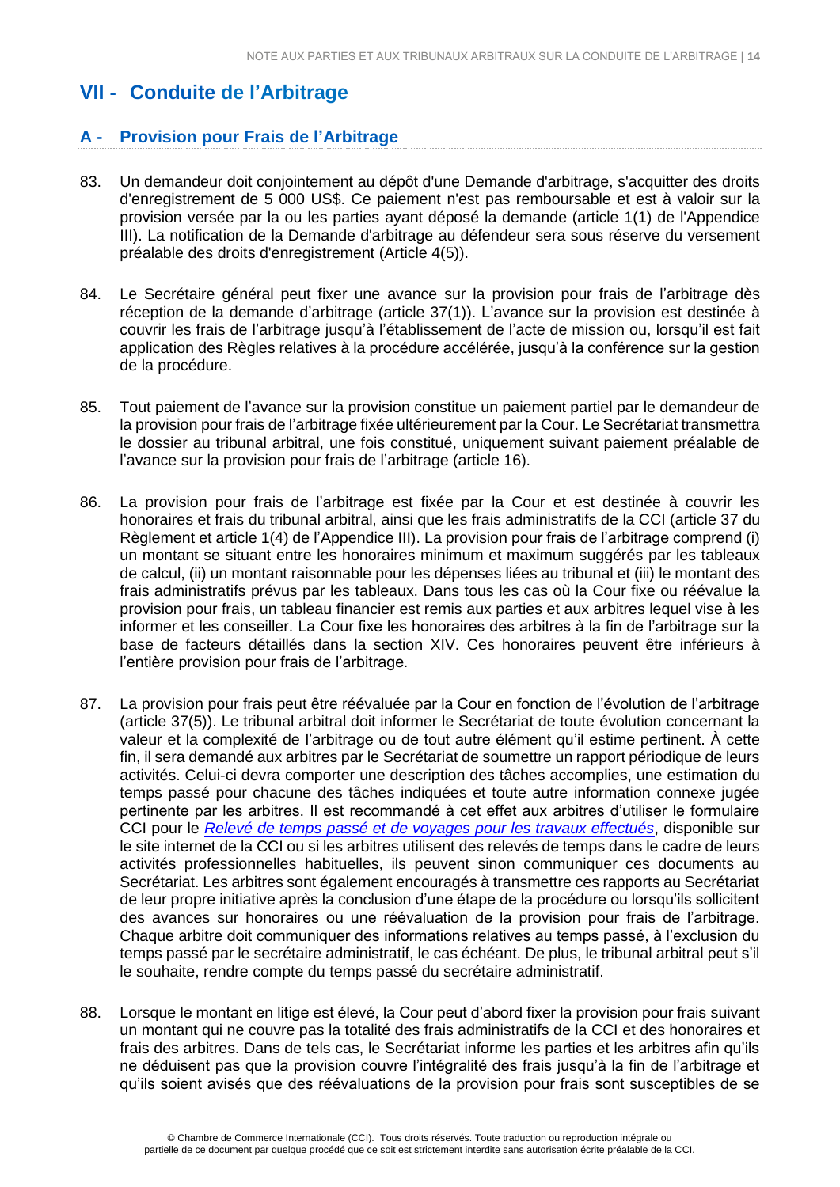# <span id="page-13-0"></span>**VII - Conduite de l'Arbitrage**

### **A - Provision pour Frais de l'Arbitrage**

- 83. Un demandeur doit conjointement au dépôt d'une Demande d'arbitrage, s'acquitter des droits d'enregistrement de 5 000 US\$. Ce paiement n'est pas remboursable et est à valoir sur la provision versée par la ou les parties ayant déposé la demande (article 1(1) de l'Appendice III). La notification de la Demande d'arbitrage au défendeur sera sous réserve du versement préalable des droits d'enregistrement (Article 4(5)).
- 84. Le Secrétaire général peut fixer une avance sur la provision pour frais de l'arbitrage dès réception de la demande d'arbitrage (article 37(1)). L'avance sur la provision est destinée à couvrir les frais de l'arbitrage jusqu'à l'établissement de l'acte de mission ou, lorsqu'il est fait application des Règles relatives à la procédure accélérée, jusqu'à la conférence sur la gestion de la procédure.
- 85. Tout paiement de l'avance sur la provision constitue un paiement partiel par le demandeur de la provision pour frais de l'arbitrage fixée ultérieurement par la Cour. Le Secrétariat transmettra le dossier au tribunal arbitral, une fois constitué, uniquement suivant paiement préalable de l'avance sur la provision pour frais de l'arbitrage (article 16).
- 86. La provision pour frais de l'arbitrage est fixée par la Cour et est destinée à couvrir les honoraires et frais du tribunal arbitral, ainsi que les frais administratifs de la CCI (article 37 du Règlement et article 1(4) de l'Appendice III). La provision pour frais de l'arbitrage comprend (i) un montant se situant entre les honoraires minimum et maximum suggérés par les tableaux de calcul, (ii) un montant raisonnable pour les dépenses liées au tribunal et (iii) le montant des frais administratifs prévus par les tableaux. Dans tous les cas où la Cour fixe ou réévalue la provision pour frais, un tableau financier est remis aux parties et aux arbitres lequel vise à les informer et les conseiller. La Cour fixe les honoraires des arbitres à la fin de l'arbitrage sur la base de facteurs détaillés dans la section XIV. Ces honoraires peuvent être inférieurs à l'entière provision pour frais de l'arbitrage.
- 87. La provision pour frais peut être réévaluée par la Cour en fonction de l'évolution de l'arbitrage (article 37(5)). Le tribunal arbitral doit informer le Secrétariat de toute évolution concernant la valeur et la complexité de l'arbitrage ou de tout autre élément qu'il estime pertinent. À cette fin, il sera demandé aux arbitres par le Secrétariat de soumettre un rapport périodique de leurs activités. Celui-ci devra comporter une description des tâches accomplies, une estimation du temps passé pour chacune des tâches indiquées et toute autre information connexe jugée pertinente par les arbitres. Il est recommandé à cet effet aux arbitres d'utiliser le formulaire CCI pour le *[Relevé de temps passé et de voyages pour les travaux effectués](https://iccwbo.org/publication/statement-time-travel-work-done)*, disponible sur le site internet de la CCI ou si les arbitres utilisent des relevés de temps dans le cadre de leurs activités professionnelles habituelles, ils peuvent sinon communiquer ces documents au Secrétariat. Les arbitres sont également encouragés à transmettre ces rapports au Secrétariat de leur propre initiative après la conclusion d'une étape de la procédure ou lorsqu'ils sollicitent des avances sur honoraires ou une réévaluation de la provision pour frais de l'arbitrage. Chaque arbitre doit communiquer des informations relatives au temps passé, à l'exclusion du temps passé par le secrétaire administratif, le cas échéant. De plus, le tribunal arbitral peut s'il le souhaite, rendre compte du temps passé du secrétaire administratif.
- 88. Lorsque le montant en litige est élevé, la Cour peut d'abord fixer la provision pour frais suivant un montant qui ne couvre pas la totalité des frais administratifs de la CCI et des honoraires et frais des arbitres. Dans de tels cas, le Secrétariat informe les parties et les arbitres afin qu'ils ne déduisent pas que la provision couvre l'intégralité des frais jusqu'à la fin de l'arbitrage et qu'ils soient avisés que des réévaluations de la provision pour frais sont susceptibles de se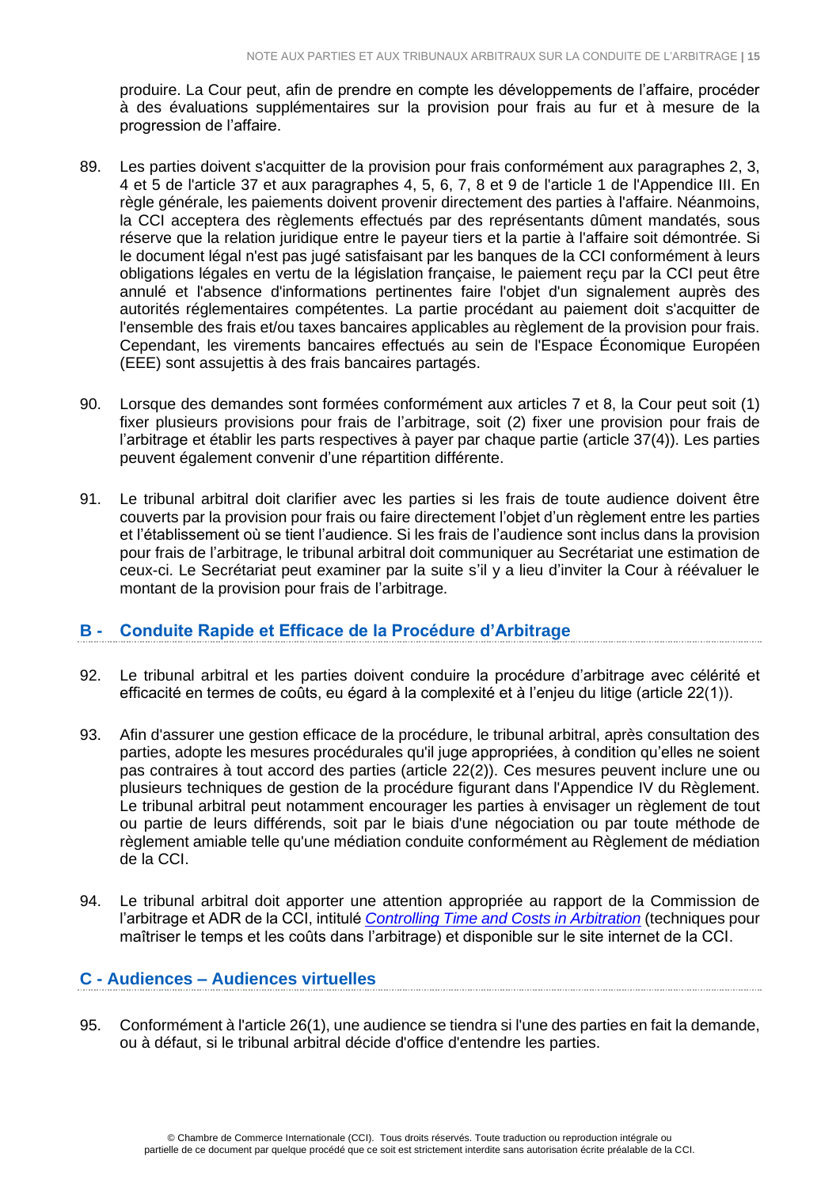produire. La Cour peut, afin de prendre en compte les développements de l'affaire, procéder à des évaluations supplémentaires sur la provision pour frais au fur et à mesure de la progression de l'affaire.

- 89. Les parties doivent s'acquitter de la provision pour frais conformément aux paragraphes 2, 3, 4 et 5 de l'article 37 et aux paragraphes 4, 5, 6, 7, 8 et 9 de l'article 1 de l'Appendice III. En règle générale, les paiements doivent provenir directement des parties à l'affaire. Néanmoins, la CCI acceptera des règlements effectués par des représentants dûment mandatés, sous réserve que la relation juridique entre le payeur tiers et la partie à l'affaire soit démontrée. Si le document légal n'est pas jugé satisfaisant par les banques de la CCI conformément à leurs obligations légales en vertu de la législation française, le paiement reçu par la CCI peut être annulé et l'absence d'informations pertinentes faire l'objet d'un signalement auprès des autorités réglementaires compétentes. La partie procédant au paiement doit s'acquitter de l'ensemble des frais et/ou taxes bancaires applicables au règlement de la provision pour frais. Cependant, les virements bancaires effectués au sein de l'Espace Économique Européen (EEE) sont assujettis à des frais bancaires partagés.
- 90. Lorsque des demandes sont formées conformément aux articles 7 et 8, la Cour peut soit (1) fixer plusieurs provisions pour frais de l'arbitrage, soit (2) fixer une provision pour frais de l'arbitrage et établir les parts respectives à payer par chaque partie (article 37(4)). Les parties peuvent également convenir d'une répartition différente.
- 91. Le tribunal arbitral doit clarifier avec les parties si les frais de toute audience doivent être couverts par la provision pour frais ou faire directement l'objet d'un règlement entre les parties et l'établissement où se tient l'audience. Si les frais de l'audience sont inclus dans la provision pour frais de l'arbitrage, le tribunal arbitral doit communiquer au Secrétariat une estimation de ceux-ci. Le Secrétariat peut examiner par la suite s'il y a lieu d'inviter la Cour à réévaluer le montant de la provision pour frais de l'arbitrage.

#### **B - Conduite Rapide et Efficace de la Procédure d'Arbitrage**

- 92. Le tribunal arbitral et les parties doivent conduire la procédure d'arbitrage avec célérité et efficacité en termes de coûts, eu égard à la complexité et à l'enjeu du litige (article 22(1)).
- 93. Afin d'assurer une gestion efficace de la procédure, le tribunal arbitral, après consultation des parties, adopte les mesures procédurales qu'il juge appropriées, à condition qu'elles ne soient pas contraires à tout accord des parties (article 22(2)). Ces mesures peuvent inclure une ou plusieurs techniques de gestion de la procédure figurant dans l'Appendice IV du Règlement. Le tribunal arbitral peut notamment encourager les parties à envisager un règlement de tout ou partie de leurs différends, soit par le biais d'une négociation ou par toute méthode de règlement amiable telle qu'une médiation conduite conformément au Règlement de médiation de la CCI.
- 94. Le tribunal arbitral doit apporter une attention appropriée au rapport de la Commission de l'arbitrage et ADR de la CCI, intitulé *[Controlling Time and Costs in Arbitration](http://www.iccwbo.org/Advocacy-Codes-and-Rules/Document-centre/2012/ICC-Arbitration-Commission-Report-on-Techniques-for-Controlling-Time-and-Costs-in-Arbitration/)* (techniques pour maîtriser le temps et les coûts dans l'arbitrage) et disponible sur le site internet de la CCI.

#### **C - Audiences – Audiences virtuelles**

95. Conformément à l'article 26(1), une audience se tiendra si l'une des parties en fait la demande, ou à défaut, si le tribunal arbitral décide d'office d'entendre les parties.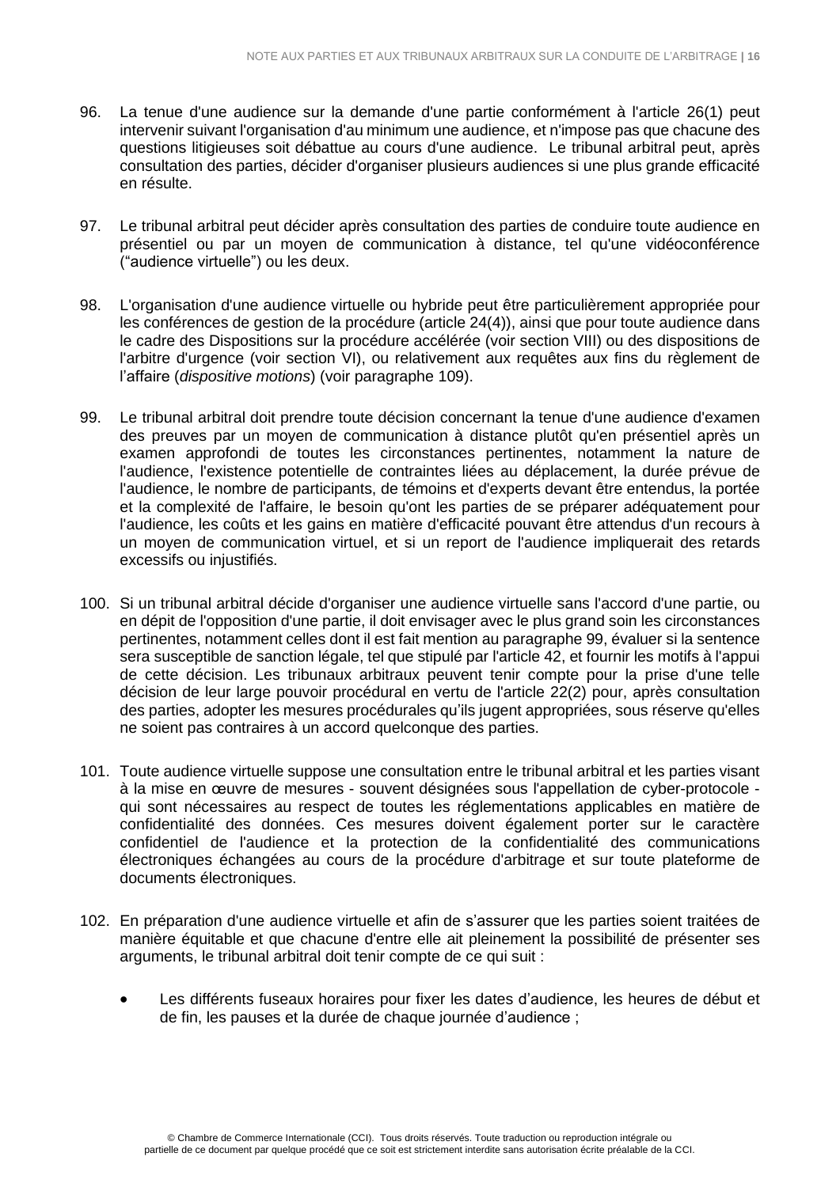- 96. La tenue d'une audience sur la demande d'une partie conformément à l'article 26(1) peut intervenir suivant l'organisation d'au minimum une audience, et n'impose pas que chacune des questions litigieuses soit débattue au cours d'une audience. Le tribunal arbitral peut, après consultation des parties, décider d'organiser plusieurs audiences si une plus grande efficacité en résulte.
- 97. Le tribunal arbitral peut décider après consultation des parties de conduire toute audience en présentiel ou par un moyen de communication à distance, tel qu'une vidéoconférence ("audience virtuelle") ou les deux.
- 98. L'organisation d'une audience virtuelle ou hybride peut être particulièrement appropriée pour les conférences de gestion de la procédure (article 24(4)), ainsi que pour toute audience dans le cadre des Dispositions sur la procédure accélérée (voir section VIII) ou des dispositions de l'arbitre d'urgence (voir section VI), ou relativement aux requêtes aux fins du règlement de l'affaire (*dispositive motions*) (voir paragraphe 109).
- 99. Le tribunal arbitral doit prendre toute décision concernant la tenue d'une audience d'examen des preuves par un moyen de communication à distance plutôt qu'en présentiel après un examen approfondi de toutes les circonstances pertinentes, notamment la nature de l'audience, l'existence potentielle de contraintes liées au déplacement, la durée prévue de l'audience, le nombre de participants, de témoins et d'experts devant être entendus, la portée et la complexité de l'affaire, le besoin qu'ont les parties de se préparer adéquatement pour l'audience, les coûts et les gains en matière d'efficacité pouvant être attendus d'un recours à un moyen de communication virtuel, et si un report de l'audience impliquerait des retards excessifs ou injustifiés.
- 100. Si un tribunal arbitral décide d'organiser une audience virtuelle sans l'accord d'une partie, ou en dépit de l'opposition d'une partie, il doit envisager avec le plus grand soin les circonstances pertinentes, notamment celles dont il est fait mention au paragraphe 99, évaluer si la sentence sera susceptible de sanction légale, tel que stipulé par l'article 42, et fournir les motifs à l'appui de cette décision. Les tribunaux arbitraux peuvent tenir compte pour la prise d'une telle décision de leur large pouvoir procédural en vertu de l'article 22(2) pour, après consultation des parties, adopter les mesures procédurales qu'ils jugent appropriées, sous réserve qu'elles ne soient pas contraires à un accord quelconque des parties.
- 101. Toute audience virtuelle suppose une consultation entre le tribunal arbitral et les parties visant à la mise en œuvre de mesures - souvent désignées sous l'appellation de cyber-protocole qui sont nécessaires au respect de toutes les réglementations applicables en matière de confidentialité des données. Ces mesures doivent également porter sur le caractère confidentiel de l'audience et la protection de la confidentialité des communications électroniques échangées au cours de la procédure d'arbitrage et sur toute plateforme de documents électroniques.
- 102. En préparation d'une audience virtuelle et afin de s'assurer que les parties soient traitées de manière équitable et que chacune d'entre elle ait pleinement la possibilité de présenter ses arguments, le tribunal arbitral doit tenir compte de ce qui suit :
	- Les différents fuseaux horaires pour fixer les dates d'audience, les heures de début et de fin, les pauses et la durée de chaque journée d'audience ;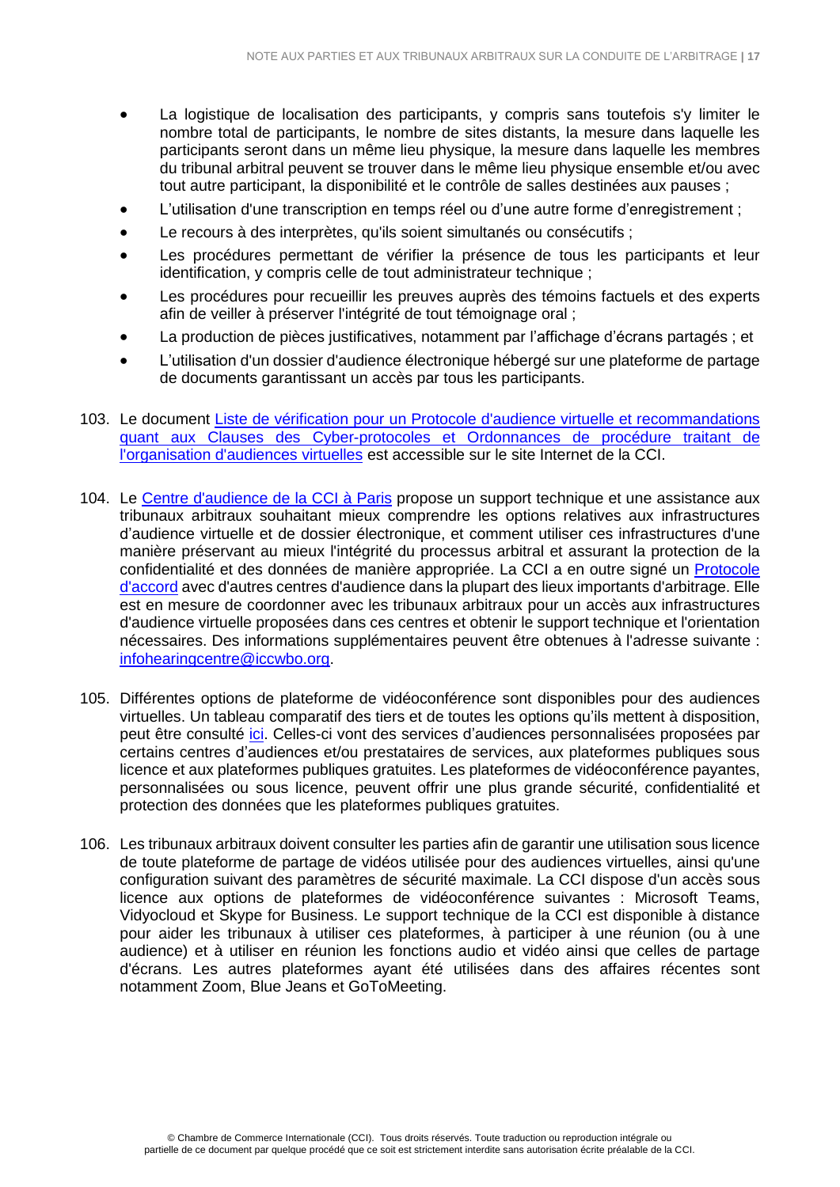- La logistique de localisation des participants, y compris sans toutefois s'y limiter le nombre total de participants, le nombre de sites distants, la mesure dans laquelle les participants seront dans un même lieu physique, la mesure dans laquelle les membres du tribunal arbitral peuvent se trouver dans le même lieu physique ensemble et/ou avec tout autre participant, la disponibilité et le contrôle de salles destinées aux pauses ;
- L'utilisation d'une transcription en temps réel ou d'une autre forme d'enregistrement ;
- Le recours à des interprètes, qu'ils soient simultanés ou consécutifs ;
- Les procédures permettant de vérifier la présence de tous les participants et leur identification, y compris celle de tout administrateur technique ;
- Les procédures pour recueillir les preuves auprès des témoins factuels et des experts afin de veiller à préserver l'intégrité de tout témoignage oral ;
- La production de pièces justificatives, notamment par l'affichage d'écrans partagés ; et
- L'utilisation d'un dossier d'audience électronique hébergé sur une plateforme de partage de documents garantissant un accès par tous les participants.
- 103. Le document Liste de vérification pour un Protocole d'audience virtuelle et [recommandations](https://iccwbo.org/publication/icc-checklist-for-a-protocol-on-virtual-hearings-and-suggested-clauses-for-cyber-protocols-and-procedural-orders-dealing-with-the-organisation-of-virtual-hearings/) quant aux Clauses des [Cyber-protocoles](https://iccwbo.org/publication/icc-checklist-for-a-protocol-on-virtual-hearings-and-suggested-clauses-for-cyber-protocols-and-procedural-orders-dealing-with-the-organisation-of-virtual-hearings/) et Ordonnances de procédure traitant de [l'organisation](https://iccwbo.org/publication/icc-checklist-for-a-protocol-on-virtual-hearings-and-suggested-clauses-for-cyber-protocols-and-procedural-orders-dealing-with-the-organisation-of-virtual-hearings/) d'audiences virtuelles est accessible sur le site Internet de la CCI.
- 104. Le Centre [d'audience](https://iccwbo.org/dispute-resolution-services/hearing-centre/) de la CCI à Paris propose un support technique et une assistance aux tribunaux arbitraux souhaitant mieux comprendre les options relatives aux infrastructures d'audience virtuelle et de dossier électronique, et comment utiliser ces infrastructures d'une manière préservant au mieux l'intégrité du processus arbitral et assurant la protection de la confidentialité et des données de manière appropriée. La CCI a en outre signé un [Protocole](https://iccwbo.org/dispute-resolution-services/memorandums-understanding-mous/) [d'accord](https://iccwbo.org/dispute-resolution-services/memorandums-understanding-mous/) avec d'autres centres d'audience dans la plupart des lieux importants d'arbitrage. Elle est en mesure de coordonner avec les tribunaux arbitraux pour un accès aux infrastructures d'audience virtuelle proposées dans ces centres et obtenir le support technique et l'orientation nécessaires. Des informations supplémentaires peuvent être obtenues à l'adresse suivante : [infohearingcentre@iccwbo.org.](mailto:infohearingcentre@iccwbo.org)
- 105. Différentes options de plateforme de vidéoconférence sont disponibles pour des audiences virtuelles. Un tableau comparatif des tiers et de toutes les options qu'ils mettent à disposition, peut être consulté [ici.](https://en.wikipedia.org/wiki/Comparison_of_web_conferencing_software) Celles-ci vont des services d'audiences personnalisées proposées par certains centres d'audiences et/ou prestataires de services, aux plateformes publiques sous licence et aux plateformes publiques gratuites. Les plateformes de vidéoconférence payantes, personnalisées ou sous licence, peuvent offrir une plus grande sécurité, confidentialité et protection des données que les plateformes publiques gratuites.
- 106. Les tribunaux arbitraux doivent consulter les parties afin de garantir une utilisation sous licence de toute plateforme de partage de vidéos utilisée pour des audiences virtuelles, ainsi qu'une configuration suivant des paramètres de sécurité maximale. La CCI dispose d'un accès sous licence aux options de plateformes de vidéoconférence suivantes : Microsoft Teams, Vidyocloud et Skype for Business. Le support technique de la CCI est disponible à distance pour aider les tribunaux à utiliser ces plateformes, à participer à une réunion (ou à une audience) et à utiliser en réunion les fonctions audio et vidéo ainsi que celles de partage d'écrans. Les autres plateformes ayant été utilisées dans des affaires récentes sont notamment Zoom, Blue Jeans et GoToMeeting.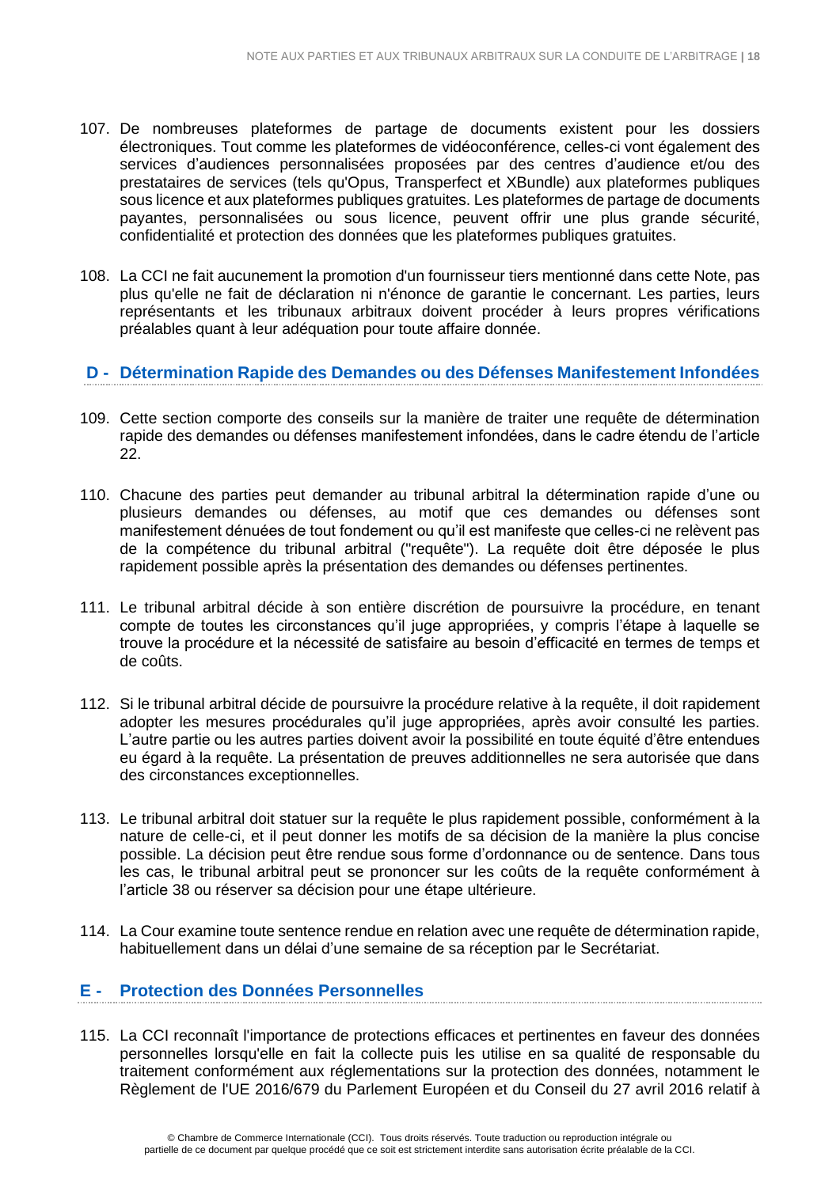- 107. De nombreuses plateformes de partage de documents existent pour les dossiers électroniques. Tout comme les plateformes de vidéoconférence, celles-ci vont également des services d'audiences personnalisées proposées par des centres d'audience et/ou des prestataires de services (tels qu'Opus, Transperfect et XBundle) aux plateformes publiques sous licence et aux plateformes publiques gratuites. Les plateformes de partage de documents payantes, personnalisées ou sous licence, peuvent offrir une plus grande sécurité, confidentialité et protection des données que les plateformes publiques gratuites.
- 108. La CCI ne fait aucunement la promotion d'un fournisseur tiers mentionné dans cette Note, pas plus qu'elle ne fait de déclaration ni n'énonce de garantie le concernant. Les parties, leurs représentants et les tribunaux arbitraux doivent procéder à leurs propres vérifications préalables quant à leur adéquation pour toute affaire donnée.

# **D - Détermination Rapide des Demandes ou des Défenses Manifestement Infondées**

- 109. Cette section comporte des conseils sur la manière de traiter une requête de détermination rapide des demandes ou défenses manifestement infondées, dans le cadre étendu de l'article 22.
- 110. Chacune des parties peut demander au tribunal arbitral la détermination rapide d'une ou plusieurs demandes ou défenses, au motif que ces demandes ou défenses sont manifestement dénuées de tout fondement ou qu'il est manifeste que celles-ci ne relèvent pas de la compétence du tribunal arbitral ("requête"). La requête doit être déposée le plus rapidement possible après la présentation des demandes ou défenses pertinentes.
- 111. Le tribunal arbitral décide à son entière discrétion de poursuivre la procédure, en tenant compte de toutes les circonstances qu'il juge appropriées, y compris l'étape à laquelle se trouve la procédure et la nécessité de satisfaire au besoin d'efficacité en termes de temps et de coûts.
- 112. Si le tribunal arbitral décide de poursuivre la procédure relative à la requête, il doit rapidement adopter les mesures procédurales qu'il juge appropriées, après avoir consulté les parties. L'autre partie ou les autres parties doivent avoir la possibilité en toute équité d'être entendues eu égard à la requête. La présentation de preuves additionnelles ne sera autorisée que dans des circonstances exceptionnelles.
- 113. Le tribunal arbitral doit statuer sur la requête le plus rapidement possible, conformément à la nature de celle-ci, et il peut donner les motifs de sa décision de la manière la plus concise possible. La décision peut être rendue sous forme d'ordonnance ou de sentence. Dans tous les cas, le tribunal arbitral peut se prononcer sur les coûts de la requête conformément à l'article 38 ou réserver sa décision pour une étape ultérieure.
- 114. La Cour examine toute sentence rendue en relation avec une requête de détermination rapide, habituellement dans un délai d'une semaine de sa réception par le Secrétariat.

#### **E - Protection des Données Personnelles**

115. La CCI reconnaît l'importance de protections efficaces et pertinentes en faveur des données personnelles lorsqu'elle en fait la collecte puis les utilise en sa qualité de responsable du traitement conformément aux réglementations sur la protection des données, notamment le Règlement de l'UE 2016/679 du Parlement Européen et du Conseil du 27 avril 2016 relatif à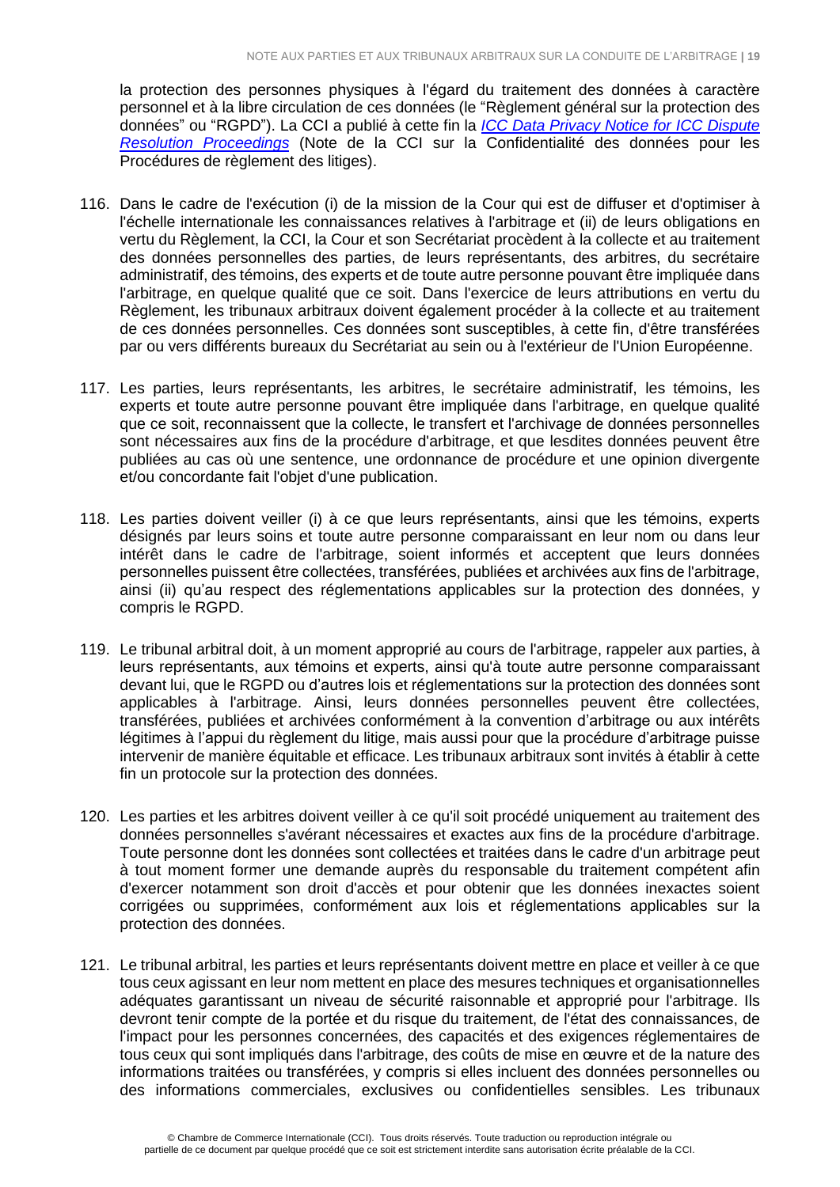la protection des personnes physiques à l'égard du traitement des données à caractère personnel et à la libre circulation de ces données (le "Règlement général sur la protection des données" ou "RGPD"). La CCI a publié à cette fin la *[ICC Data Privacy Notice for ICC Dispute](https://iccwbo.org/dispute-resolution-services/icc-data-privacy-notice-for-icc-dispute-resolution-proceedings/)  [Resolution Proceedings](https://iccwbo.org/dispute-resolution-services/icc-data-privacy-notice-for-icc-dispute-resolution-proceedings/)* (Note de la CCI sur la Confidentialité des données pour les Procédures de règlement des litiges).

- 116. Dans le cadre de l'exécution (i) de la mission de la Cour qui est de diffuser et d'optimiser à l'échelle internationale les connaissances relatives à l'arbitrage et (ii) de leurs obligations en vertu du Règlement, la CCI, la Cour et son Secrétariat procèdent à la collecte et au traitement des données personnelles des parties, de leurs représentants, des arbitres, du secrétaire administratif, des témoins, des experts et de toute autre personne pouvant être impliquée dans l'arbitrage, en quelque qualité que ce soit. Dans l'exercice de leurs attributions en vertu du Règlement, les tribunaux arbitraux doivent également procéder à la collecte et au traitement de ces données personnelles. Ces données sont susceptibles, à cette fin, d'être transférées par ou vers différents bureaux du Secrétariat au sein ou à l'extérieur de l'Union Européenne.
- 117. Les parties, leurs représentants, les arbitres, le secrétaire administratif, les témoins, les experts et toute autre personne pouvant être impliquée dans l'arbitrage, en quelque qualité que ce soit, reconnaissent que la collecte, le transfert et l'archivage de données personnelles sont nécessaires aux fins de la procédure d'arbitrage, et que lesdites données peuvent être publiées au cas où une sentence, une ordonnance de procédure et une opinion divergente et/ou concordante fait l'objet d'une publication.
- 118. Les parties doivent veiller (i) à ce que leurs représentants, ainsi que les témoins, experts désignés par leurs soins et toute autre personne comparaissant en leur nom ou dans leur intérêt dans le cadre de l'arbitrage, soient informés et acceptent que leurs données personnelles puissent être collectées, transférées, publiées et archivées aux fins de l'arbitrage, ainsi (ii) qu'au respect des réglementations applicables sur la protection des données, y compris le RGPD.
- 119. Le tribunal arbitral doit, à un moment approprié au cours de l'arbitrage, rappeler aux parties, à leurs représentants, aux témoins et experts, ainsi qu'à toute autre personne comparaissant devant lui, que le RGPD ou d'autres lois et réglementations sur la protection des données sont applicables à l'arbitrage. Ainsi, leurs données personnelles peuvent être collectées, transférées, publiées et archivées conformément à la convention d'arbitrage ou aux intérêts légitimes à l'appui du règlement du litige, mais aussi pour que la procédure d'arbitrage puisse intervenir de manière équitable et efficace. Les tribunaux arbitraux sont invités à établir à cette fin un protocole sur la protection des données.
- 120. Les parties et les arbitres doivent veiller à ce qu'il soit procédé uniquement au traitement des données personnelles s'avérant nécessaires et exactes aux fins de la procédure d'arbitrage. Toute personne dont les données sont collectées et traitées dans le cadre d'un arbitrage peut à tout moment former une demande auprès du responsable du traitement compétent afin d'exercer notamment son droit d'accès et pour obtenir que les données inexactes soient corrigées ou supprimées, conformément aux lois et réglementations applicables sur la protection des données.
- 121. Le tribunal arbitral, les parties et leurs représentants doivent mettre en place et veiller à ce que tous ceux agissant en leur nom mettent en place des mesures techniques et organisationnelles adéquates garantissant un niveau de sécurité raisonnable et approprié pour l'arbitrage. Ils devront tenir compte de la portée et du risque du traitement, de l'état des connaissances, de l'impact pour les personnes concernées, des capacités et des exigences réglementaires de tous ceux qui sont impliqués dans l'arbitrage, des coûts de mise en œuvre et de la nature des informations traitées ou transférées, y compris si elles incluent des données personnelles ou des informations commerciales, exclusives ou confidentielles sensibles. Les tribunaux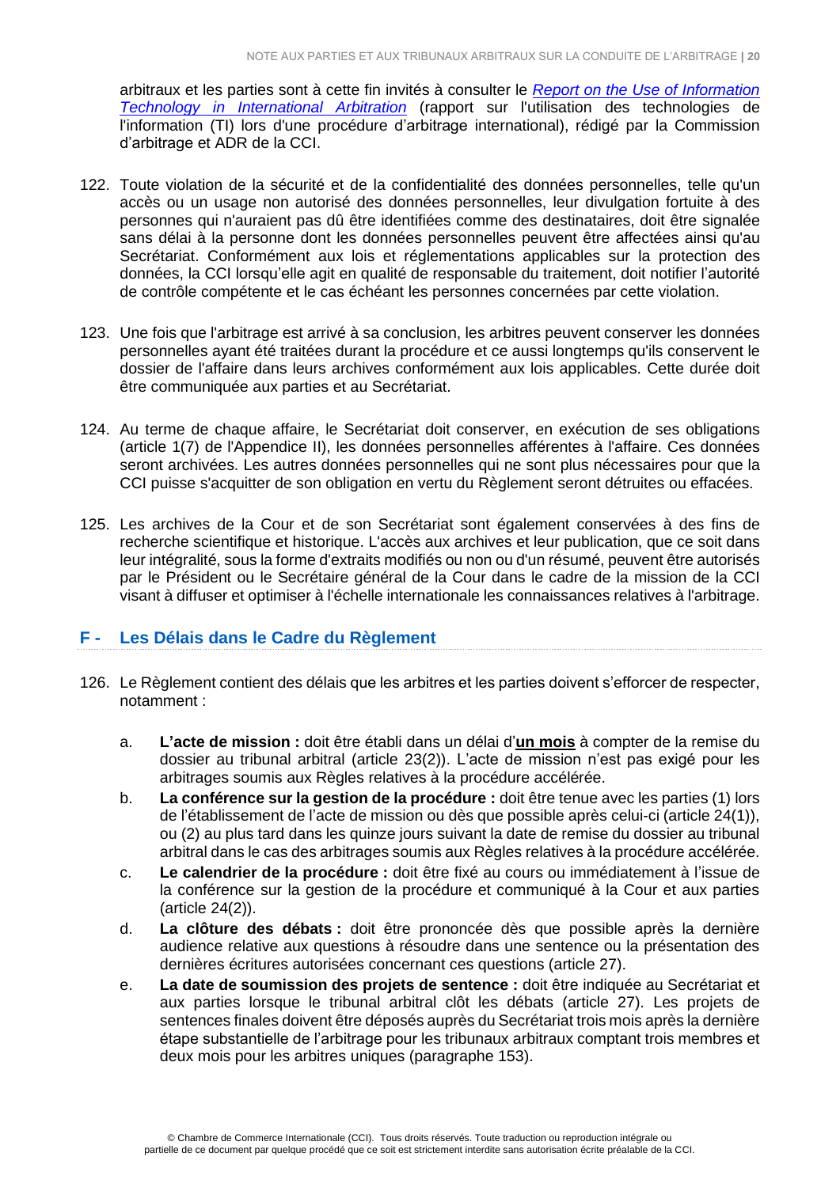arbitraux et les parties sont à cette fin invités à consulter le *[Report on the Use of Information](https://iccwbo.org/publication/information-technology-international-arbitration-report-icc-commission-arbitration-adr/)  [Technology in International Arbitration](https://iccwbo.org/publication/information-technology-international-arbitration-report-icc-commission-arbitration-adr/)* (rapport sur l'utilisation des technologies de l'information (TI) lors d'une procédure d'arbitrage international), rédigé par la Commission d'arbitrage et ADR de la CCI.

- 122. Toute violation de la sécurité et de la confidentialité des données personnelles, telle qu'un accès ou un usage non autorisé des données personnelles, leur divulgation fortuite à des personnes qui n'auraient pas dû être identifiées comme des destinataires, doit être signalée sans délai à la personne dont les données personnelles peuvent être affectées ainsi qu'au Secrétariat. Conformément aux lois et réglementations applicables sur la protection des données, la CCI lorsqu'elle agit en qualité de responsable du traitement, doit notifier l'autorité de contrôle compétente et le cas échéant les personnes concernées par cette violation.
- 123. Une fois que l'arbitrage est arrivé à sa conclusion, les arbitres peuvent conserver les données personnelles ayant été traitées durant la procédure et ce aussi longtemps qu'ils conservent le dossier de l'affaire dans leurs archives conformément aux lois applicables. Cette durée doit être communiquée aux parties et au Secrétariat.
- 124. Au terme de chaque affaire, le Secrétariat doit conserver, en exécution de ses obligations (article 1(7) de l'Appendice II), les données personnelles afférentes à l'affaire. Ces données seront archivées. Les autres données personnelles qui ne sont plus nécessaires pour que la CCI puisse s'acquitter de son obligation en vertu du Règlement seront détruites ou effacées.
- 125. Les archives de la Cour et de son Secrétariat sont également conservées à des fins de recherche scientifique et historique. L'accès aux archives et leur publication, que ce soit dans leur intégralité, sous la forme d'extraits modifiés ou non ou d'un résumé, peuvent être autorisés par le Président ou le Secrétaire général de la Cour dans le cadre de la mission de la CCI visant à diffuser et optimiser à l'échelle internationale les connaissances relatives à l'arbitrage.

#### <span id="page-19-0"></span>**F - Les Délais dans le Cadre du Règlement**

- 126. Le Règlement contient des délais que les arbitres et les parties doivent s'efforcer de respecter, notamment :
	- a. **L'acte de mission :** doit être établi dans un délai d'**un mois** à compter de la remise du dossier au tribunal arbitral (article 23(2)). L'acte de mission n'est pas exigé pour les arbitrages soumis aux Règles relatives à la procédure accélérée.
	- b. **La conférence sur la gestion de la procédure :** doit être tenue avec les parties (1) lors de l'établissement de l'acte de mission ou dès que possible après celui-ci (article 24(1)), ou (2) au plus tard dans les quinze jours suivant la date de remise du dossier au tribunal arbitral dans le cas des arbitrages soumis aux Règles relatives à la procédure accélérée.
	- c. **Le calendrier de la procédure :** doit être fixé au cours ou immédiatement à l'issue de la conférence sur la gestion de la procédure et communiqué à la Cour et aux parties (article 24(2)).
	- d. **La clôture des débats :** doit être prononcée dès que possible après la dernière audience relative aux questions à résoudre dans une sentence ou la présentation des dernières écritures autorisées concernant ces questions (article 27).
	- e. **La date de soumission des projets de sentence :** doit être indiquée au Secrétariat et aux parties lorsque le tribunal arbitral clôt les débats (article 27). Les projets de sentences finales doivent être déposés auprès du Secrétariat trois mois après la dernière étape substantielle de l'arbitrage pour les tribunaux arbitraux comptant trois membres et deux mois pour les arbitres uniques (paragraphe 153).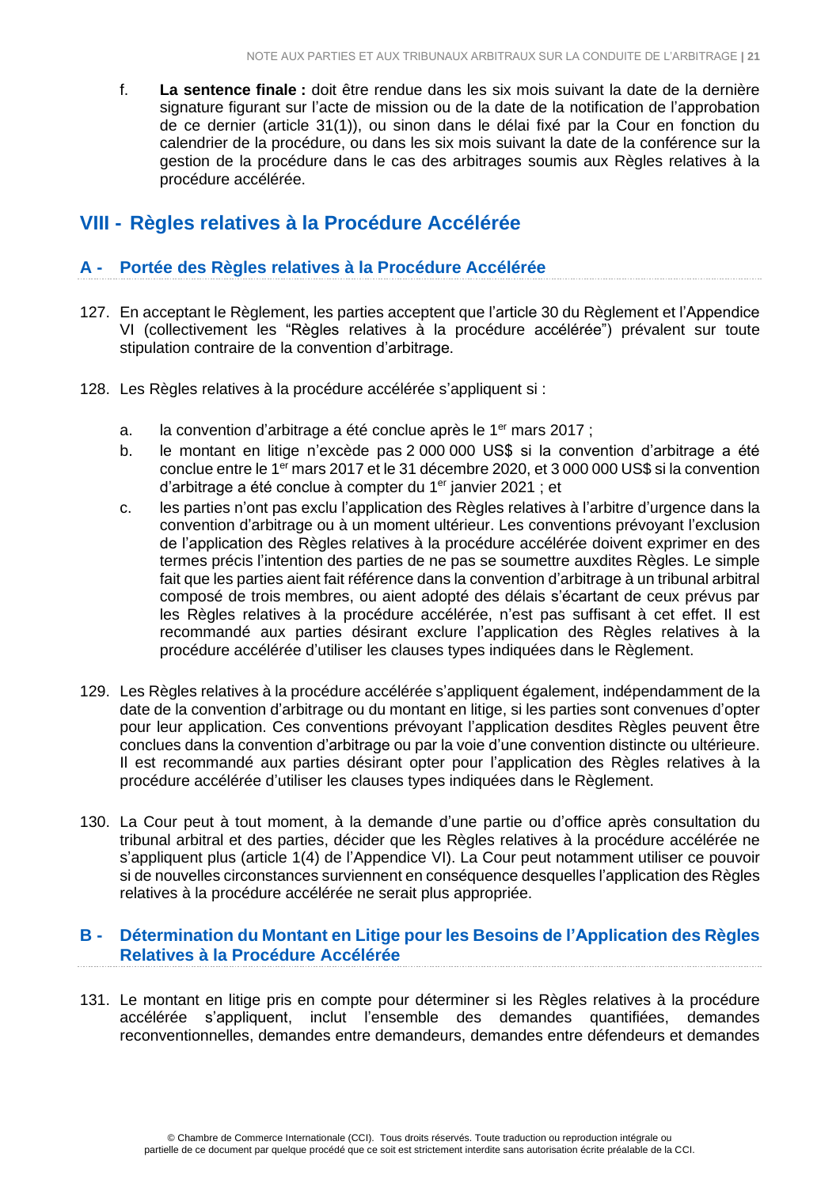f. **La sentence finale :** doit être rendue dans les six mois suivant la date de la dernière signature figurant sur l'acte de mission ou de la date de la notification de l'approbation de ce dernier (article 31(1)), ou sinon dans le délai fixé par la Cour en fonction du calendrier de la procédure, ou dans les six mois suivant la date de la conférence sur la gestion de la procédure dans le cas des arbitrages soumis aux Règles relatives à la procédure accélérée.

# <span id="page-20-0"></span>**VIII - Règles relatives à la Procédure Accélérée**

### <span id="page-20-1"></span>**A - Portée des Règles relatives à la Procédure Accélérée**

- 127. En acceptant le Règlement, les parties acceptent que l'article 30 du Règlement et l'Appendice VI (collectivement les "Règles relatives à la procédure accélérée") prévalent sur toute stipulation contraire de la convention d'arbitrage.
- 128. Les Règles relatives à la procédure accélérée s'appliquent si :
	- a. la convention d'arbitrage a été conclue après le 1<sup>er</sup> mars 2017 ;
	- b. le montant en litige n'excède pas 2 000 000 US\$ si la convention d'arbitrage a été conclue entre le 1er mars 2017 et le 31 décembre 2020, et 3 000 000 US\$ si la convention d'arbitrage a été conclue à compter du 1<sup>er</sup> janvier 2021 ; et
	- c. les parties n'ont pas exclu l'application des Règles relatives à l'arbitre d'urgence dans la convention d'arbitrage ou à un moment ultérieur. Les conventions prévoyant l'exclusion de l'application des Règles relatives à la procédure accélérée doivent exprimer en des termes précis l'intention des parties de ne pas se soumettre auxdites Règles. Le simple fait que les parties aient fait référence dans la convention d'arbitrage à un tribunal arbitral composé de trois membres, ou aient adopté des délais s'écartant de ceux prévus par les Règles relatives à la procédure accélérée, n'est pas suffisant à cet effet. Il est recommandé aux parties désirant exclure l'application des Règles relatives à la procédure accélérée d'utiliser les clauses types indiquées dans le Règlement.
- 129. Les Règles relatives à la procédure accélérée s'appliquent également, indépendamment de la date de la convention d'arbitrage ou du montant en litige, si les parties sont convenues d'opter pour leur application. Ces conventions prévoyant l'application desdites Règles peuvent être conclues dans la convention d'arbitrage ou par la voie d'une convention distincte ou ultérieure. Il est recommandé aux parties désirant opter pour l'application des Règles relatives à la procédure accélérée d'utiliser les clauses types indiquées dans le Règlement.
- 130. La Cour peut à tout moment, à la demande d'une partie ou d'office après consultation du tribunal arbitral et des parties, décider que les Règles relatives à la procédure accélérée ne s'appliquent plus (article 1(4) de l'Appendice VI). La Cour peut notamment utiliser ce pouvoir si de nouvelles circonstances surviennent en conséquence desquelles l'application des Règles relatives à la procédure accélérée ne serait plus appropriée.

### <span id="page-20-2"></span>**B - Détermination du Montant en Litige pour les Besoins de l'Application des Règles Relatives à la Procédure Accélérée**

131. Le montant en litige pris en compte pour déterminer si les Règles relatives à la procédure accélérée s'appliquent, inclut l'ensemble des demandes quantifiées, demandes reconventionnelles, demandes entre demandeurs, demandes entre défendeurs et demandes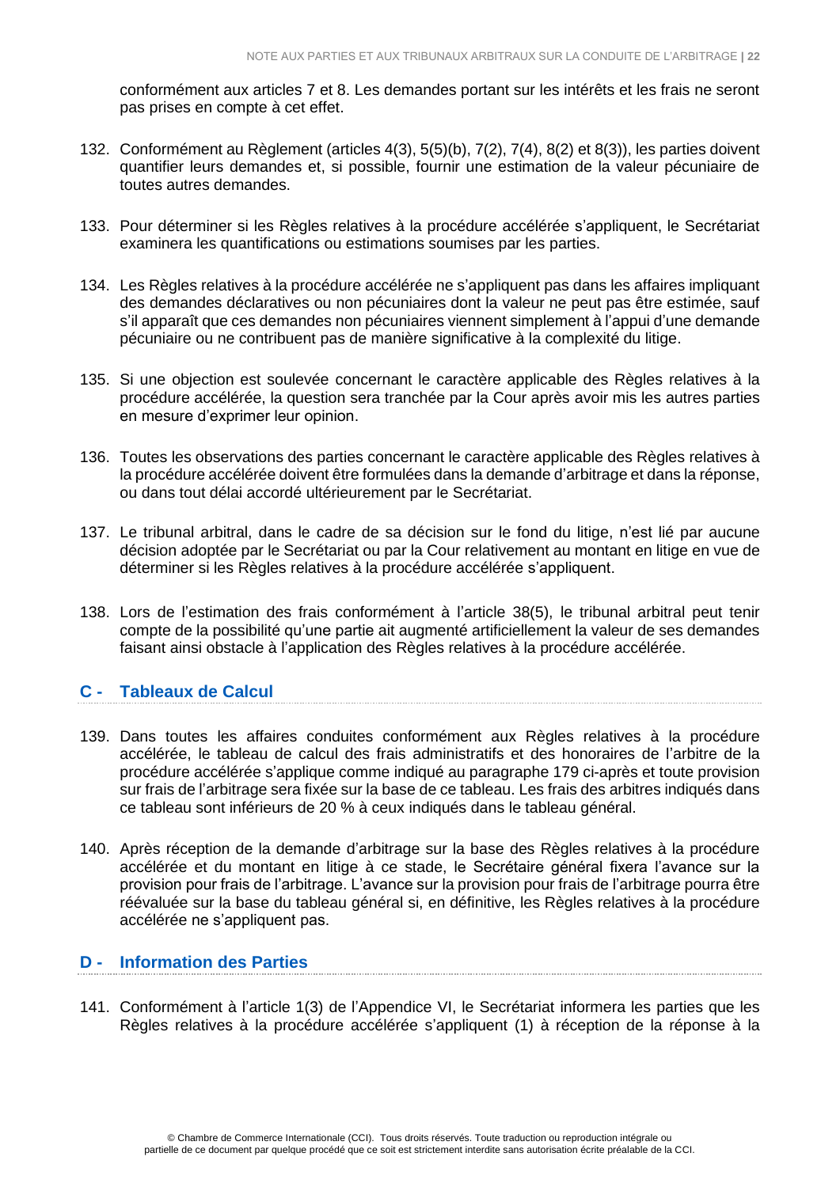conformément aux articles 7 et 8. Les demandes portant sur les intérêts et les frais ne seront pas prises en compte à cet effet.

- 132. Conformément au Règlement (articles 4(3), 5(5)(b), 7(2), 7(4), 8(2) et 8(3)), les parties doivent quantifier leurs demandes et, si possible, fournir une estimation de la valeur pécuniaire de toutes autres demandes.
- 133. Pour déterminer si les Règles relatives à la procédure accélérée s'appliquent, le Secrétariat examinera les quantifications ou estimations soumises par les parties.
- 134. Les Règles relatives à la procédure accélérée ne s'appliquent pas dans les affaires impliquant des demandes déclaratives ou non pécuniaires dont la valeur ne peut pas être estimée, sauf s'il apparaît que ces demandes non pécuniaires viennent simplement à l'appui d'une demande pécuniaire ou ne contribuent pas de manière significative à la complexité du litige.
- 135. Si une objection est soulevée concernant le caractère applicable des Règles relatives à la procédure accélérée, la question sera tranchée par la Cour après avoir mis les autres parties en mesure d'exprimer leur opinion.
- 136. Toutes les observations des parties concernant le caractère applicable des Règles relatives à la procédure accélérée doivent être formulées dans la demande d'arbitrage et dans la réponse, ou dans tout délai accordé ultérieurement par le Secrétariat.
- 137. Le tribunal arbitral, dans le cadre de sa décision sur le fond du litige, n'est lié par aucune décision adoptée par le Secrétariat ou par la Cour relativement au montant en litige en vue de déterminer si les Règles relatives à la procédure accélérée s'appliquent.
- 138. Lors de l'estimation des frais conformément à l'article 38(5), le tribunal arbitral peut tenir compte de la possibilité qu'une partie ait augmenté artificiellement la valeur de ses demandes faisant ainsi obstacle à l'application des Règles relatives à la procédure accélérée.

# <span id="page-21-0"></span>**C - Tableaux de Calcul**

- 139. Dans toutes les affaires conduites conformément aux Règles relatives à la procédure accélérée, le tableau de calcul des frais administratifs et des honoraires de l'arbitre de la procédure accélérée s'applique comme indiqué au paragraphe 179 ci-après et toute provision sur frais de l'arbitrage sera fixée sur la base de ce tableau. Les frais des arbitres indiqués dans ce tableau sont inférieurs de 20 % à ceux indiqués dans le tableau général.
- 140. Après réception de la demande d'arbitrage sur la base des Règles relatives à la procédure accélérée et du montant en litige à ce stade, le Secrétaire général fixera l'avance sur la provision pour frais de l'arbitrage. L'avance sur la provision pour frais de l'arbitrage pourra être réévaluée sur la base du tableau général si, en définitive, les Règles relatives à la procédure accélérée ne s'appliquent pas.

# <span id="page-21-1"></span>**D - Information des Parties**

141. Conformément à l'article 1(3) de l'Appendice VI, le Secrétariat informera les parties que les Règles relatives à la procédure accélérée s'appliquent (1) à réception de la réponse à la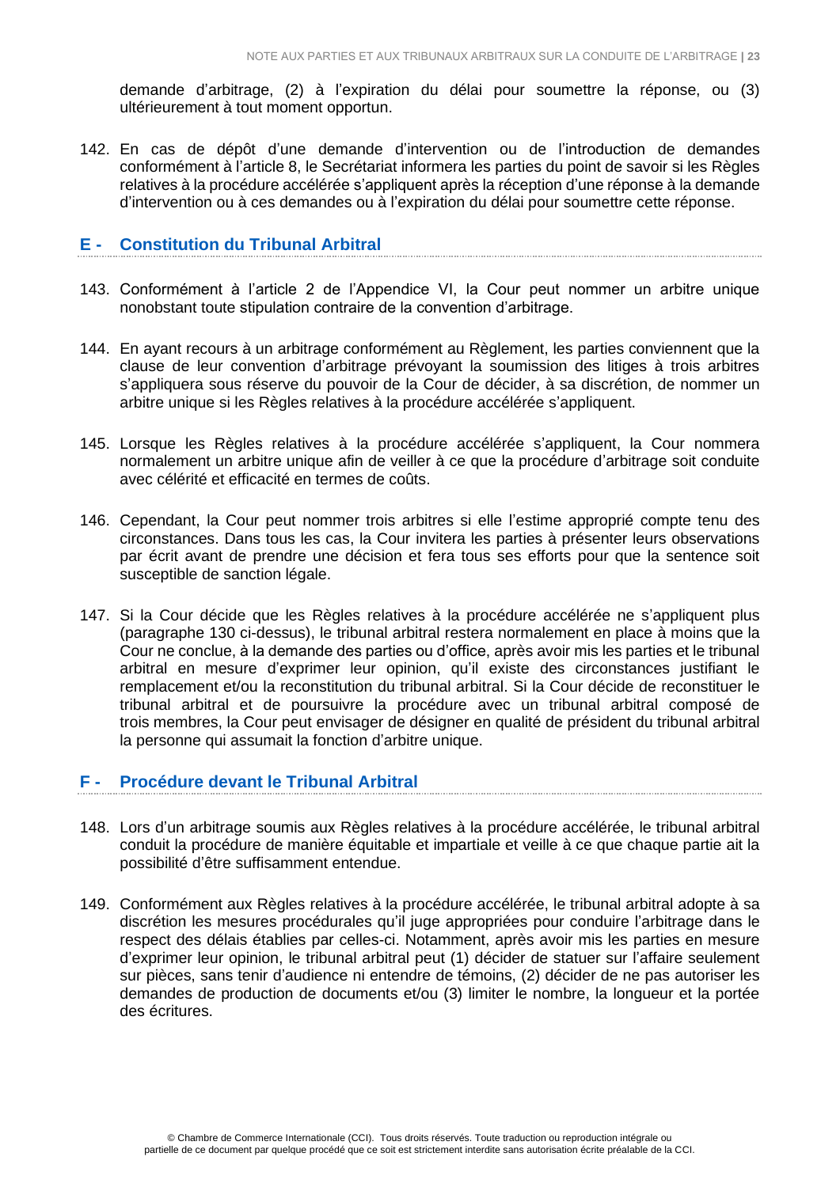demande d'arbitrage, (2) à l'expiration du délai pour soumettre la réponse, ou (3) ultérieurement à tout moment opportun.

142. En cas de dépôt d'une demande d'intervention ou de l'introduction de demandes conformément à l'article 8, le Secrétariat informera les parties du point de savoir si les Règles relatives à la procédure accélérée s'appliquent après la réception d'une réponse à la demande d'intervention ou à ces demandes ou à l'expiration du délai pour soumettre cette réponse.

### <span id="page-22-0"></span>**E - Constitution du Tribunal Arbitral**

- 143. Conformément à l'article 2 de l'Appendice VI, la Cour peut nommer un arbitre unique nonobstant toute stipulation contraire de la convention d'arbitrage.
- 144. En ayant recours à un arbitrage conformément au Règlement, les parties conviennent que la clause de leur convention d'arbitrage prévoyant la soumission des litiges à trois arbitres s'appliquera sous réserve du pouvoir de la Cour de décider, à sa discrétion, de nommer un arbitre unique si les Règles relatives à la procédure accélérée s'appliquent.
- 145. Lorsque les Règles relatives à la procédure accélérée s'appliquent, la Cour nommera normalement un arbitre unique afin de veiller à ce que la procédure d'arbitrage soit conduite avec célérité et efficacité en termes de coûts.
- 146. Cependant, la Cour peut nommer trois arbitres si elle l'estime approprié compte tenu des circonstances. Dans tous les cas, la Cour invitera les parties à présenter leurs observations par écrit avant de prendre une décision et fera tous ses efforts pour que la sentence soit susceptible de sanction légale.
- 147. Si la Cour décide que les Règles relatives à la procédure accélérée ne s'appliquent plus (paragraphe 130 ci-dessus), le tribunal arbitral restera normalement en place à moins que la Cour ne conclue, à la demande des parties ou d'office, après avoir mis les parties et le tribunal arbitral en mesure d'exprimer leur opinion, qu'il existe des circonstances justifiant le remplacement et/ou la reconstitution du tribunal arbitral. Si la Cour décide de reconstituer le tribunal arbitral et de poursuivre la procédure avec un tribunal arbitral composé de trois membres, la Cour peut envisager de désigner en qualité de président du tribunal arbitral la personne qui assumait la fonction d'arbitre unique.

# <span id="page-22-1"></span>**F - Procédure devant le Tribunal Arbitral**

- 148. Lors d'un arbitrage soumis aux Règles relatives à la procédure accélérée, le tribunal arbitral conduit la procédure de manière équitable et impartiale et veille à ce que chaque partie ait la possibilité d'être suffisamment entendue.
- 149. Conformément aux Règles relatives à la procédure accélérée, le tribunal arbitral adopte à sa discrétion les mesures procédurales qu'il juge appropriées pour conduire l'arbitrage dans le respect des délais établies par celles-ci. Notamment, après avoir mis les parties en mesure d'exprimer leur opinion, le tribunal arbitral peut (1) décider de statuer sur l'affaire seulement sur pièces, sans tenir d'audience ni entendre de témoins, (2) décider de ne pas autoriser les demandes de production de documents et/ou (3) limiter le nombre, la longueur et la portée des écritures.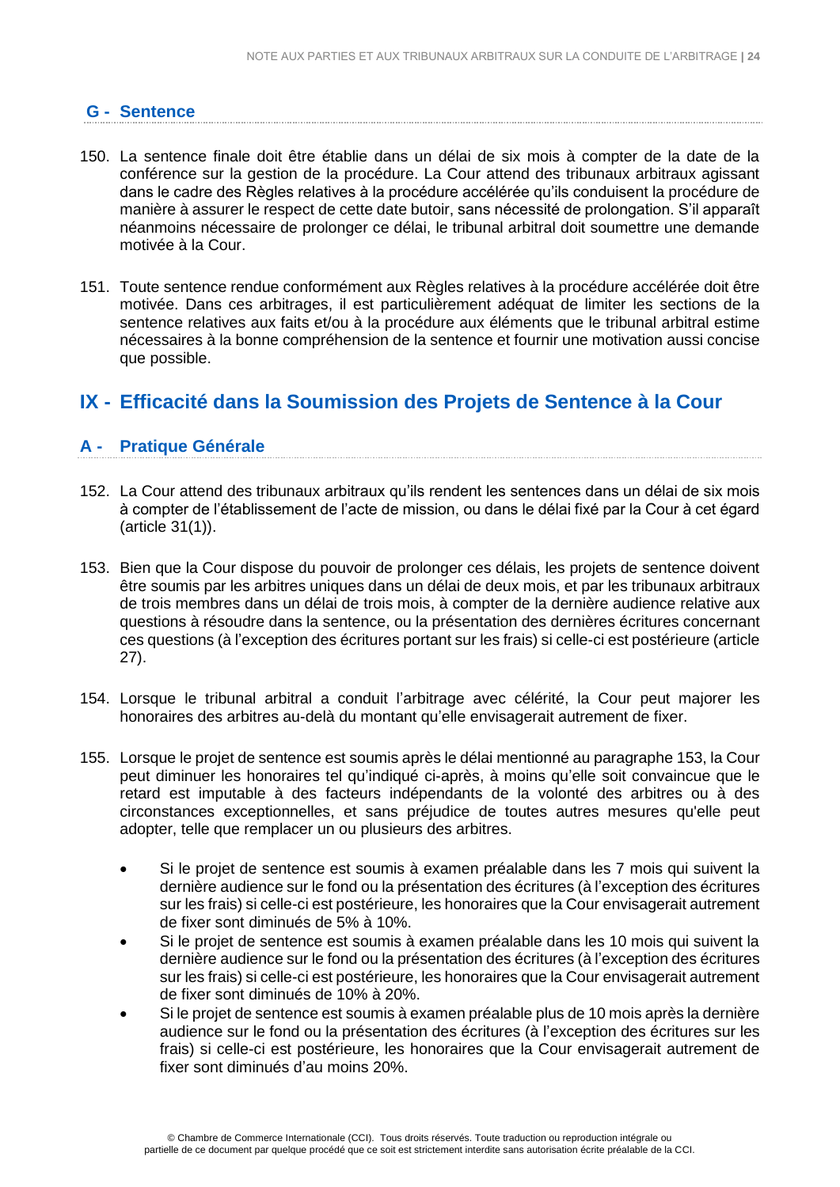# <span id="page-23-0"></span>**G - Sentence**

- 150. La sentence finale doit être établie dans un délai de six mois à compter de la date de la conférence sur la gestion de la procédure. La Cour attend des tribunaux arbitraux agissant dans le cadre des Règles relatives à la procédure accélérée qu'ils conduisent la procédure de manière à assurer le respect de cette date butoir, sans nécessité de prolongation. S'il apparaît néanmoins nécessaire de prolonger ce délai, le tribunal arbitral doit soumettre une demande motivée à la Cour.
- 151. Toute sentence rendue conformément aux Règles relatives à la procédure accélérée doit être motivée. Dans ces arbitrages, il est particulièrement adéquat de limiter les sections de la sentence relatives aux faits et/ou à la procédure aux éléments que le tribunal arbitral estime nécessaires à la bonne compréhension de la sentence et fournir une motivation aussi concise que possible.

# <span id="page-23-1"></span>**IX - Efficacité dans la Soumission des Projets de Sentence à la Cour**

# <span id="page-23-2"></span>**A - Pratique Générale**

- 152. La Cour attend des tribunaux arbitraux qu'ils rendent les sentences dans un délai de six mois à compter de l'établissement de l'acte de mission, ou dans le délai fixé par la Cour à cet égard (article 31(1)).
- 153. Bien que la Cour dispose du pouvoir de prolonger ces délais, les projets de sentence doivent être soumis par les arbitres uniques dans un délai de deux mois, et par les tribunaux arbitraux de trois membres dans un délai de trois mois, à compter de la dernière audience relative aux questions à résoudre dans la sentence, ou la présentation des dernières écritures concernant ces questions (à l'exception des écritures portant sur les frais) si celle-ci est postérieure (article 27).
- 154. Lorsque le tribunal arbitral a conduit l'arbitrage avec célérité, la Cour peut majorer les honoraires des arbitres au-delà du montant qu'elle envisagerait autrement de fixer.
- 155. Lorsque le projet de sentence est soumis après le délai mentionné au paragraphe 153, la Cour peut diminuer les honoraires tel qu'indiqué ci-après, à moins qu'elle soit convaincue que le retard est imputable à des facteurs indépendants de la volonté des arbitres ou à des circonstances exceptionnelles, et sans préjudice de toutes autres mesures qu'elle peut adopter, telle que remplacer un ou plusieurs des arbitres.
	- Si le projet de sentence est soumis à examen préalable dans les 7 mois qui suivent la dernière audience sur le fond ou la présentation des écritures (à l'exception des écritures sur les frais) si celle-ci est postérieure, les honoraires que la Cour envisagerait autrement de fixer sont diminués de 5% à 10%.
	- Si le projet de sentence est soumis à examen préalable dans les 10 mois qui suivent la dernière audience sur le fond ou la présentation des écritures (à l'exception des écritures sur les frais) si celle-ci est postérieure, les honoraires que la Cour envisagerait autrement de fixer sont diminués de 10% à 20%.
	- Si le projet de sentence est soumis à examen préalable plus de 10 mois après la dernière audience sur le fond ou la présentation des écritures (à l'exception des écritures sur les frais) si celle-ci est postérieure, les honoraires que la Cour envisagerait autrement de fixer sont diminués d'au moins 20%.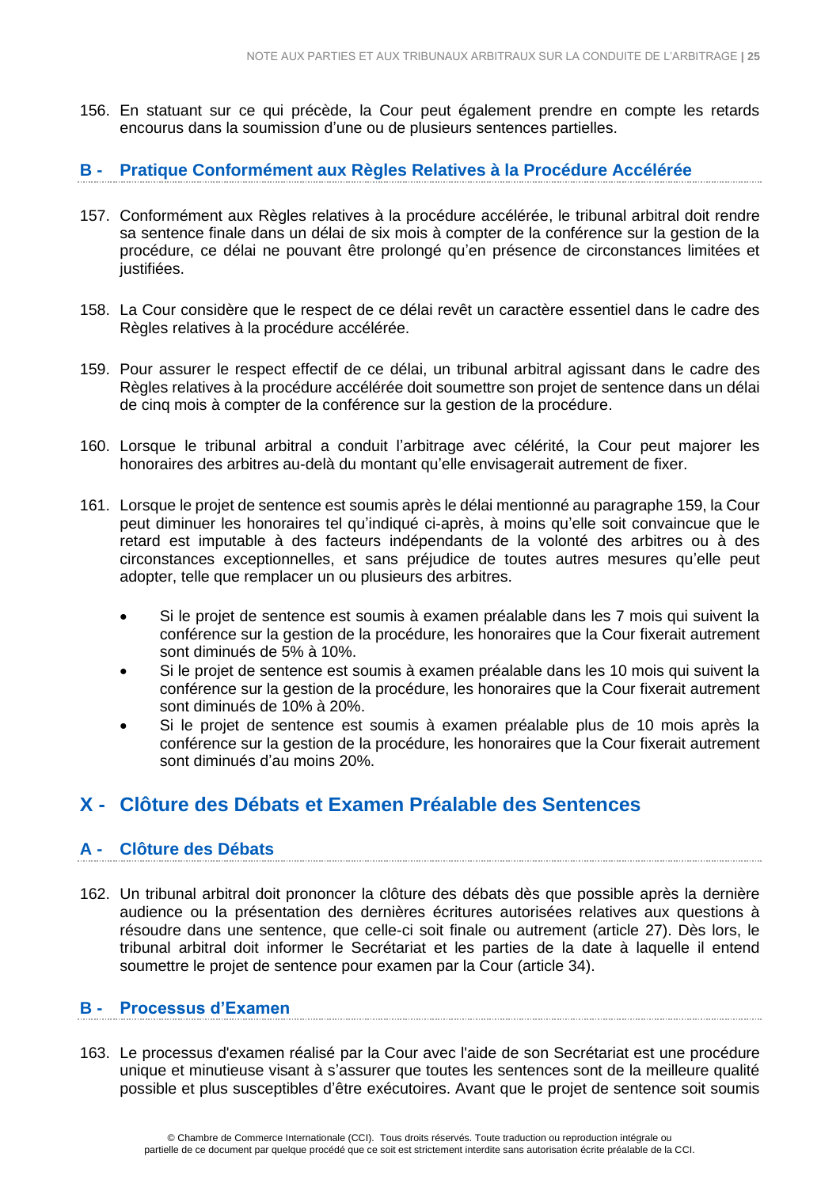156. En statuant sur ce qui précède, la Cour peut également prendre en compte les retards encourus dans la soumission d'une ou de plusieurs sentences partielles.

### <span id="page-24-0"></span>**B - Pratique Conformément aux Règles Relatives à la Procédure Accélérée**

- 157. Conformément aux Règles relatives à la procédure accélérée, le tribunal arbitral doit rendre sa sentence finale dans un délai de six mois à compter de la conférence sur la gestion de la procédure, ce délai ne pouvant être prolongé qu'en présence de circonstances limitées et justifiées.
- 158. La Cour considère que le respect de ce délai revêt un caractère essentiel dans le cadre des Règles relatives à la procédure accélérée.
- 159. Pour assurer le respect effectif de ce délai, un tribunal arbitral agissant dans le cadre des Règles relatives à la procédure accélérée doit soumettre son projet de sentence dans un délai de cinq mois à compter de la conférence sur la gestion de la procédure.
- 160. Lorsque le tribunal arbitral a conduit l'arbitrage avec célérité, la Cour peut majorer les honoraires des arbitres au-delà du montant qu'elle envisagerait autrement de fixer.
- 161. Lorsque le projet de sentence est soumis après le délai mentionné au paragraphe 159, la Cour peut diminuer les honoraires tel qu'indiqué ci-après, à moins qu'elle soit convaincue que le retard est imputable à des facteurs indépendants de la volonté des arbitres ou à des circonstances exceptionnelles, et sans préjudice de toutes autres mesures qu'elle peut adopter, telle que remplacer un ou plusieurs des arbitres.
	- Si le projet de sentence est soumis à examen préalable dans les 7 mois qui suivent la conférence sur la gestion de la procédure, les honoraires que la Cour fixerait autrement sont diminués de 5% à 10%.
	- Si le projet de sentence est soumis à examen préalable dans les 10 mois qui suivent la conférence sur la gestion de la procédure, les honoraires que la Cour fixerait autrement sont diminués de 10% à 20%.
	- Si le projet de sentence est soumis à examen préalable plus de 10 mois après la conférence sur la gestion de la procédure, les honoraires que la Cour fixerait autrement sont diminués d'au moins 20%.

# <span id="page-24-1"></span>**X - Clôture des Débats et Examen Préalable des Sentences**

# <span id="page-24-2"></span>**A - Clôture des Débats**

162. Un tribunal arbitral doit prononcer la clôture des débats dès que possible après la dernière audience ou la présentation des dernières écritures autorisées relatives aux questions à résoudre dans une sentence, que celle-ci soit finale ou autrement (article 27). Dès lors, le tribunal arbitral doit informer le Secrétariat et les parties de la date à laquelle il entend soumettre le projet de sentence pour examen par la Cour (article 34).

#### <span id="page-24-3"></span>**B - Processus d'Examen**

163. Le processus d'examen réalisé par la Cour avec l'aide de son Secrétariat est une procédure unique et minutieuse visant à s'assurer que toutes les sentences sont de la meilleure qualité possible et plus susceptibles d'être exécutoires. Avant que le projet de sentence soit soumis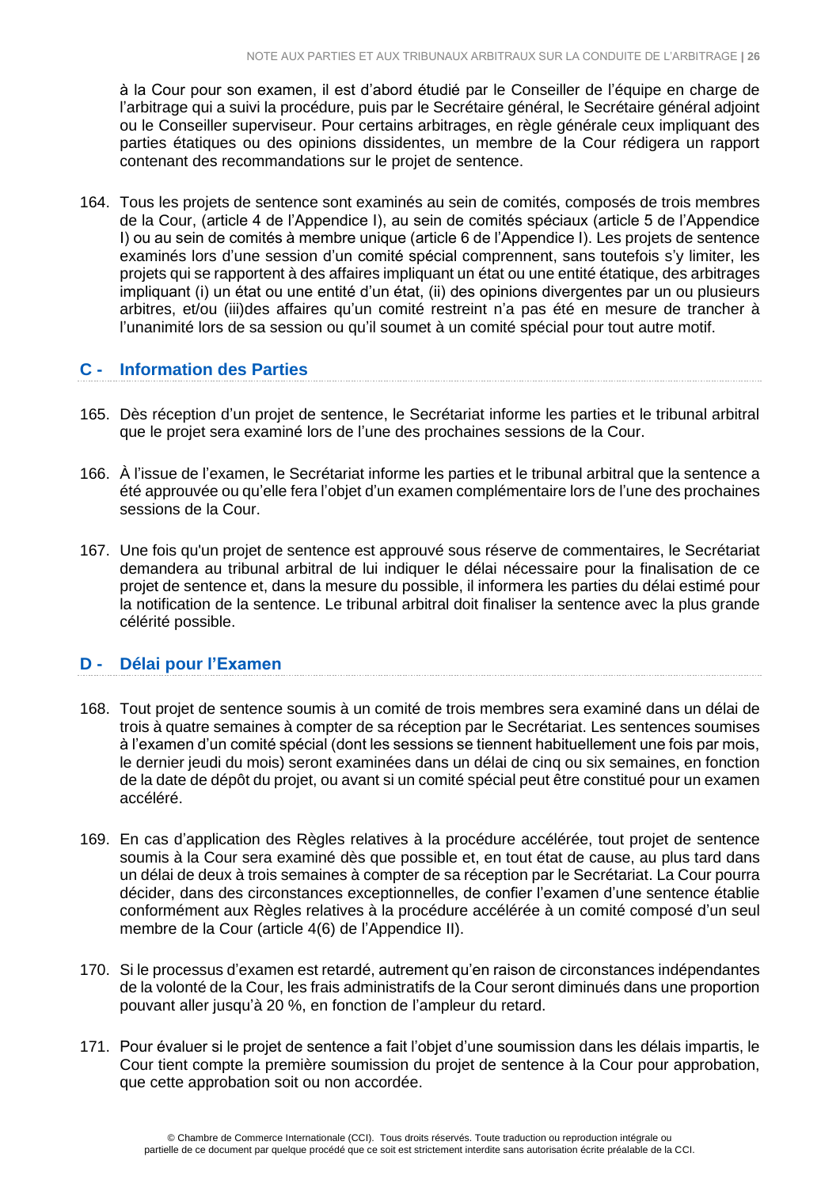à la Cour pour son examen, il est d'abord étudié par le Conseiller de l'équipe en charge de l'arbitrage qui a suivi la procédure, puis par le Secrétaire général, le Secrétaire général adjoint ou le Conseiller superviseur. Pour certains arbitrages, en règle générale ceux impliquant des parties étatiques ou des opinions dissidentes, un membre de la Cour rédigera un rapport contenant des recommandations sur le projet de sentence.

164. Tous les projets de sentence sont examinés au sein de comités, composés de trois membres de la Cour, (article 4 de l'Appendice I), au sein de comités spéciaux (article 5 de l'Appendice I) ou au sein de comités à membre unique (article 6 de l'Appendice I). Les projets de sentence examinés lors d'une session d'un comité spécial comprennent, sans toutefois s'y limiter, les projets qui se rapportent à des affaires impliquant un état ou une entité étatique, des arbitrages impliquant (i) un état ou une entité d'un état, (ii) des opinions divergentes par un ou plusieurs arbitres, et/ou (iii)des affaires qu'un comité restreint n'a pas été en mesure de trancher à l'unanimité lors de sa session ou qu'il soumet à un comité spécial pour tout autre motif.

# <span id="page-25-0"></span>**C - Information des Parties**

- 165. Dès réception d'un projet de sentence, le Secrétariat informe les parties et le tribunal arbitral que le projet sera examiné lors de l'une des prochaines sessions de la Cour.
- 166. À l'issue de l'examen, le Secrétariat informe les parties et le tribunal arbitral que la sentence a été approuvée ou qu'elle fera l'objet d'un examen complémentaire lors de l'une des prochaines sessions de la Cour.
- 167. Une fois qu'un projet de sentence est approuvé sous réserve de commentaires, le Secrétariat demandera au tribunal arbitral de lui indiquer le délai nécessaire pour la finalisation de ce projet de sentence et, dans la mesure du possible, il informera les parties du délai estimé pour la notification de la sentence. Le tribunal arbitral doit finaliser la sentence avec la plus grande célérité possible.

#### <span id="page-25-1"></span>**D - Délai pour l'Examen**

- 168. Tout projet de sentence soumis à un comité de trois membres sera examiné dans un délai de trois à quatre semaines à compter de sa réception par le Secrétariat. Les sentences soumises à l'examen d'un comité spécial (dont les sessions se tiennent habituellement une fois par mois, le dernier jeudi du mois) seront examinées dans un délai de cinq ou six semaines, en fonction de la date de dépôt du projet, ou avant si un comité spécial peut être constitué pour un examen accéléré.
- 169. En cas d'application des Règles relatives à la procédure accélérée, tout projet de sentence soumis à la Cour sera examiné dès que possible et, en tout état de cause, au plus tard dans un délai de deux à trois semaines à compter de sa réception par le Secrétariat. La Cour pourra décider, dans des circonstances exceptionnelles, de confier l'examen d'une sentence établie conformément aux Règles relatives à la procédure accélérée à un comité composé d'un seul membre de la Cour (article 4(6) de l'Appendice II).
- 170. Si le processus d'examen est retardé, autrement qu'en raison de circonstances indépendantes de la volonté de la Cour, les frais administratifs de la Cour seront diminués dans une proportion pouvant aller jusqu'à 20 %, en fonction de l'ampleur du retard.
- 171. Pour évaluer si le projet de sentence a fait l'objet d'une soumission dans les délais impartis, le Cour tient compte la première soumission du projet de sentence à la Cour pour approbation, que cette approbation soit ou non accordée.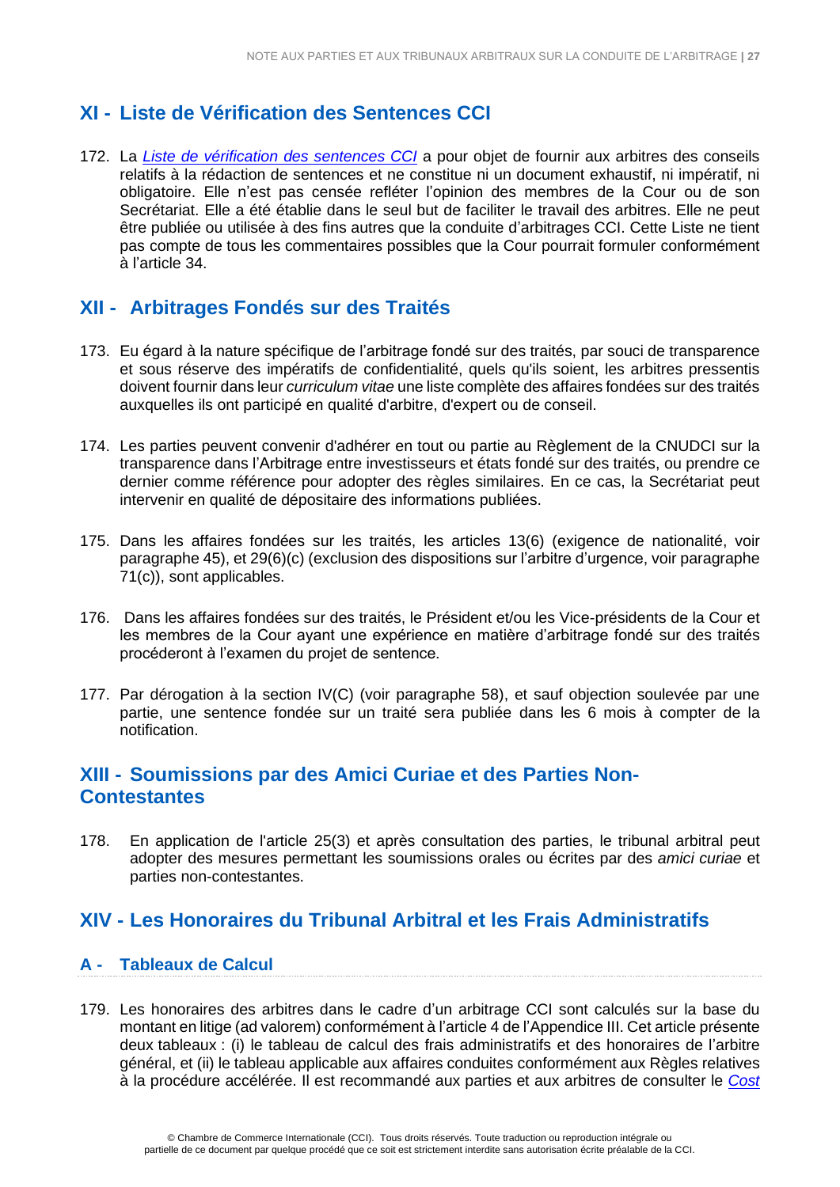# <span id="page-26-0"></span>**XI - Liste de Vérification des Sentences CCI**

172. La *[Liste de vérification des sentences CCI](https://iccwbo.org/dispute-resolution-services/arbitration/practice-notes-forms-checklists/#award_checklist)* a pour objet de fournir aux arbitres des conseils relatifs à la rédaction de sentences et ne constitue ni un document exhaustif, ni impératif, ni obligatoire. Elle n'est pas censée refléter l'opinion des membres de la Cour ou de son Secrétariat. Elle a été établie dans le seul but de faciliter le travail des arbitres. Elle ne peut être publiée ou utilisée à des fins autres que la conduite d'arbitrages CCI. Cette Liste ne tient pas compte de tous les commentaires possibles que la Cour pourrait formuler conformément à l'article 34.

# <span id="page-26-1"></span>**XII - Arbitrages Fondés sur des Traités**

- 173. Eu égard à la nature spécifique de l'arbitrage fondé sur des traités, par souci de transparence et sous réserve des impératifs de confidentialité, quels qu'ils soient, les arbitres pressentis doivent fournir dans leur *curriculum vitae* une liste complète des affaires fondées sur des traités auxquelles ils ont participé en qualité d'arbitre, d'expert ou de conseil.
- 174. Les parties peuvent convenir d'adhérer en tout ou partie au Règlement de la CNUDCI sur la transparence dans l'Arbitrage entre investisseurs et états fondé sur des traités, ou prendre ce dernier comme référence pour adopter des règles similaires. En ce cas, la Secrétariat peut intervenir en qualité de dépositaire des informations publiées.
- 175. Dans les affaires fondées sur les traités, les articles 13(6) (exigence de nationalité, voir paragraphe 45), et 29(6)(c) (exclusion des dispositions sur l'arbitre d'urgence, voir paragraphe 71(c)), sont applicables.
- 176. Dans les affaires fondées sur des traités, le Président et/ou les Vice-présidents de la Cour et les membres de la Cour ayant une expérience en matière d'arbitrage fondé sur des traités procéderont à l'examen du projet de sentence.
- 177. Par dérogation à la section IV(C) (voir paragraphe 58), et sauf objection soulevée par une partie, une sentence fondée sur un traité sera publiée dans les 6 mois à compter de la notification.

# <span id="page-26-2"></span>**XIII - Soumissions par des Amici Curiae et des Parties Non-Contestantes**

178. En application de l'article 25(3) et après consultation des parties, le tribunal arbitral peut adopter des mesures permettant les soumissions orales ou écrites par des *amici curiae* et parties non-contestantes.

# <span id="page-26-3"></span>**XIV - Les Honoraires du Tribunal Arbitral et les Frais Administratifs**

# <span id="page-26-4"></span>**A - Tableaux de Calcul**

179. Les honoraires des arbitres dans le cadre d'un arbitrage CCI sont calculés sur la base du montant en litige (ad valorem) conformément à l'article 4 de l'Appendice III. Cet article présente deux tableaux : (i) le tableau de calcul des frais administratifs et des honoraires de l'arbitre général, et (ii) le tableau applicable aux affaires conduites conformément aux Règles relatives à la procédure accélérée. Il est recommandé aux parties et aux arbitres de consulter le *[Cost](http://www.iccwbo.org/products-and-services/arbitration-and-adr/arbitration/cost-and-payment/cost-calculator/)*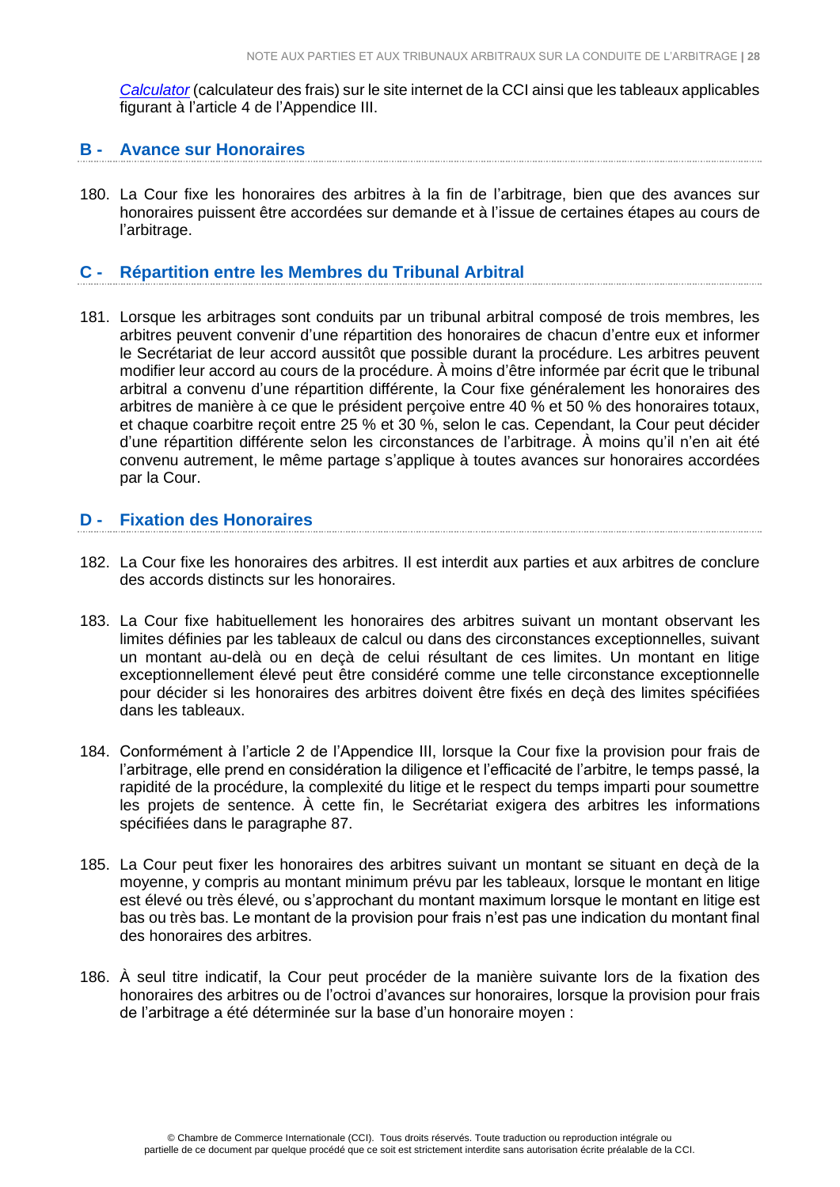*[Calculator](http://www.iccwbo.org/products-and-services/arbitration-and-adr/arbitration/cost-and-payment/cost-calculator/)* (calculateur des frais) sur le site internet de la CCI ainsi que les tableaux applicables figurant à l'article 4 de l'Appendice III.

#### <span id="page-27-0"></span>**B - Avance sur Honoraires**

180. La Cour fixe les honoraires des arbitres à la fin de l'arbitrage, bien que des avances sur honoraires puissent être accordées sur demande et à l'issue de certaines étapes au cours de l'arbitrage.

#### <span id="page-27-1"></span>**C - Répartition entre les Membres du Tribunal Arbitral**

181. Lorsque les arbitrages sont conduits par un tribunal arbitral composé de trois membres, les arbitres peuvent convenir d'une répartition des honoraires de chacun d'entre eux et informer le Secrétariat de leur accord aussitôt que possible durant la procédure. Les arbitres peuvent modifier leur accord au cours de la procédure. À moins d'être informée par écrit que le tribunal arbitral a convenu d'une répartition différente, la Cour fixe généralement les honoraires des arbitres de manière à ce que le président perçoive entre 40 % et 50 % des honoraires totaux, et chaque coarbitre reçoit entre 25 % et 30 %, selon le cas. Cependant, la Cour peut décider d'une répartition différente selon les circonstances de l'arbitrage. À moins qu'il n'en ait été convenu autrement, le même partage s'applique à toutes avances sur honoraires accordées par la Cour.

### <span id="page-27-2"></span>**D - Fixation des Honoraires**

- 182. La Cour fixe les honoraires des arbitres. Il est interdit aux parties et aux arbitres de conclure des accords distincts sur les honoraires.
- 183. La Cour fixe habituellement les honoraires des arbitres suivant un montant observant les limites définies par les tableaux de calcul ou dans des circonstances exceptionnelles, suivant un montant au-delà ou en deçà de celui résultant de ces limites. Un montant en litige exceptionnellement élevé peut être considéré comme une telle circonstance exceptionnelle pour décider si les honoraires des arbitres doivent être fixés en deçà des limites spécifiées dans les tableaux.
- 184. Conformément à l'article 2 de l'Appendice III, lorsque la Cour fixe la provision pour frais de l'arbitrage, elle prend en considération la diligence et l'efficacité de l'arbitre, le temps passé, la rapidité de la procédure, la complexité du litige et le respect du temps imparti pour soumettre les projets de sentence. À cette fin, le Secrétariat exigera des arbitres les informations spécifiées dans le paragraphe 87.
- 185. La Cour peut fixer les honoraires des arbitres suivant un montant se situant en deçà de la moyenne, y compris au montant minimum prévu par les tableaux, lorsque le montant en litige est élevé ou très élevé, ou s'approchant du montant maximum lorsque le montant en litige est bas ou très bas. Le montant de la provision pour frais n'est pas une indication du montant final des honoraires des arbitres.
- 186. À seul titre indicatif, la Cour peut procéder de la manière suivante lors de la fixation des honoraires des arbitres ou de l'octroi d'avances sur honoraires, lorsque la provision pour frais de l'arbitrage a été déterminée sur la base d'un honoraire moyen :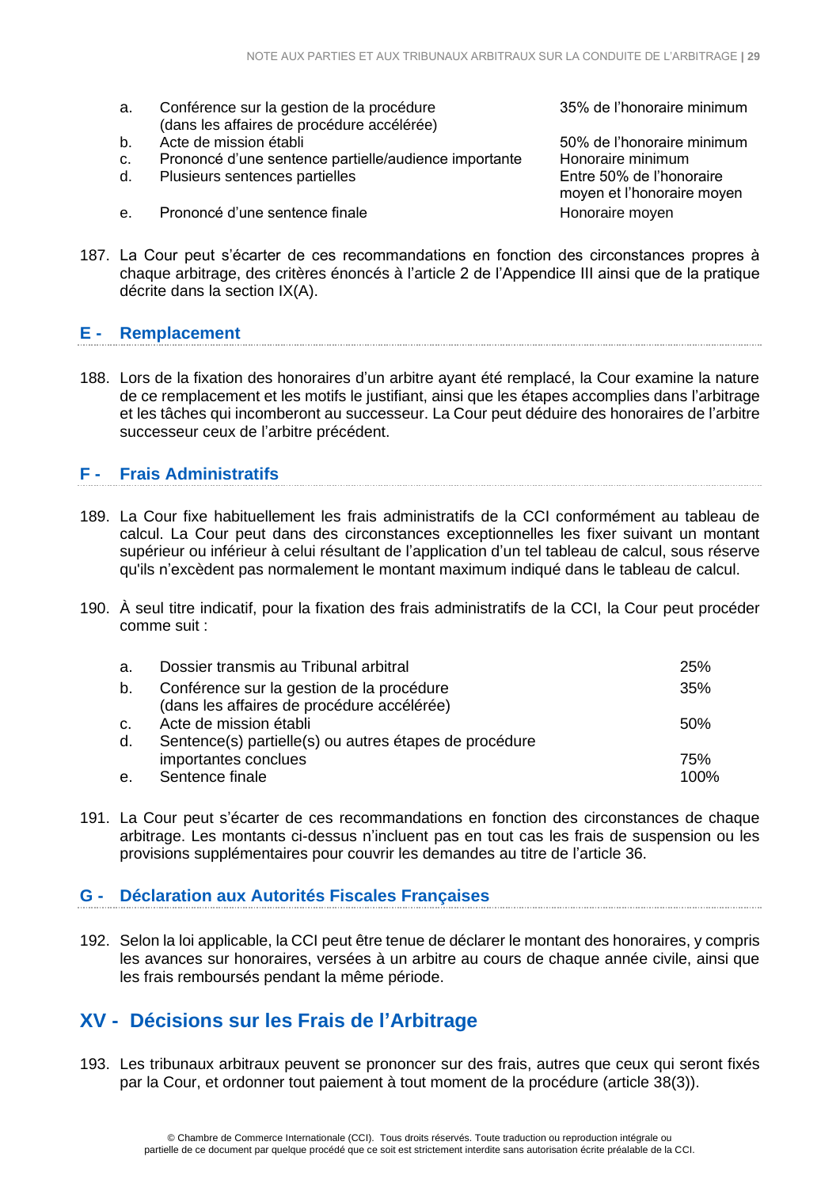- a. Conférence sur la gestion de la procédure 35% de l'honoraire minimum (dans les affaires de procédure accélérée)
- b. Acte de mission établi 50% de l'honoraire minimum
- c. Prononcé d'une sentence partielle/audience importante Honoraire minimum
- d. Plusieurs sentences partielles entre 50% de l'honoraire
- e. Prononcé d'une sentence finale entre la moviment de Honoraire moven

moyen et l'honoraire moyen

187. La Cour peut s'écarter de ces recommandations en fonction des circonstances propres à chaque arbitrage, des critères énoncés à l'article 2 de l'Appendice III ainsi que de la pratique décrite dans la section IX(A).

#### <span id="page-28-0"></span>**E - Remplacement**

188. Lors de la fixation des honoraires d'un arbitre ayant été remplacé, la Cour examine la nature de ce remplacement et les motifs le justifiant, ainsi que les étapes accomplies dans l'arbitrage et les tâches qui incomberont au successeur. La Cour peut déduire des honoraires de l'arbitre successeur ceux de l'arbitre précédent.

# <span id="page-28-1"></span>**F - Frais Administratifs**

- 189. La Cour fixe habituellement les frais administratifs de la CCI conformément au tableau de calcul. La Cour peut dans des circonstances exceptionnelles les fixer suivant un montant supérieur ou inférieur à celui résultant de l'application d'un tel tableau de calcul, sous réserve qu'ils n'excèdent pas normalement le montant maximum indiqué dans le tableau de calcul.
- 190. À seul titre indicatif, pour la fixation des frais administratifs de la CCI, la Cour peut procéder comme suit :

| a.            | Dossier transmis au Tribunal arbitral                  | 25%     |
|---------------|--------------------------------------------------------|---------|
| b.            | Conférence sur la gestion de la procédure              | 35%     |
|               | (dans les affaires de procédure accélérée)             |         |
| $C_{\bullet}$ | Acte de mission établi                                 | .50%    |
| d.            | Sentence(s) partielle(s) ou autres étapes de procédure |         |
|               | importantes conclues                                   | 75%     |
| e.            | Sentence finale                                        | $100\%$ |

191. La Cour peut s'écarter de ces recommandations en fonction des circonstances de chaque arbitrage. Les montants ci-dessus n'incluent pas en tout cas les frais de suspension ou les provisions supplémentaires pour couvrir les demandes au titre de l'article 36.

# <span id="page-28-2"></span>**G - Déclaration aux Autorités Fiscales Françaises**

192. Selon la loi applicable, la CCI peut être tenue de déclarer le montant des honoraires, y compris les avances sur honoraires, versées à un arbitre au cours de chaque année civile, ainsi que les frais remboursés pendant la même période.

# <span id="page-28-3"></span>**XV - Décisions sur les Frais de l'Arbitrage**

193. Les tribunaux arbitraux peuvent se prononcer sur des frais, autres que ceux qui seront fixés par la Cour, et ordonner tout paiement à tout moment de la procédure (article 38(3)).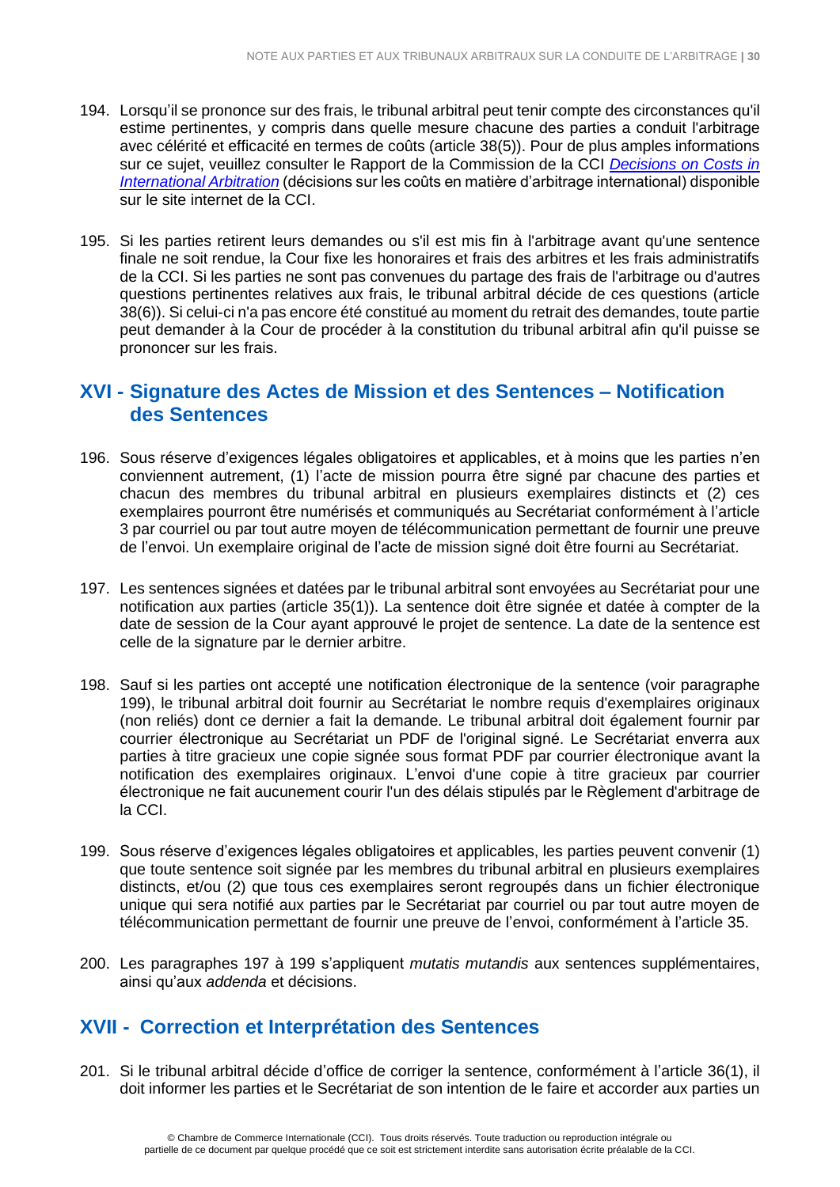- 194. Lorsqu'il se prononce sur des frais, le tribunal arbitral peut tenir compte des circonstances qu'il estime pertinentes, y compris dans quelle mesure chacune des parties a conduit l'arbitrage avec célérité et efficacité en termes de coûts (article 38(5)). Pour de plus amples informations sur ce sujet, veuillez consulter le Rapport de la Commission de la CCI *[Decisions on Costs in](http://www.iccwbo.org/Advocacy-Codes-and-Rules/Document-centre/2015/Decisions-on-Costs-in-International-Arbitration---ICC-Arbitration-and-ADR-Commission-Report/)  [International Arbitration](http://www.iccwbo.org/Advocacy-Codes-and-Rules/Document-centre/2015/Decisions-on-Costs-in-International-Arbitration---ICC-Arbitration-and-ADR-Commission-Report/)* (décisions sur les coûts en matière d'arbitrage international) disponible sur le site internet de la CCI.
- 195. Si les parties retirent leurs demandes ou s'il est mis fin à l'arbitrage avant qu'une sentence finale ne soit rendue, la Cour fixe les honoraires et frais des arbitres et les frais administratifs de la CCI. Si les parties ne sont pas convenues du partage des frais de l'arbitrage ou d'autres questions pertinentes relatives aux frais, le tribunal arbitral décide de ces questions (article 38(6)). Si celui-ci n'a pas encore été constitué au moment du retrait des demandes, toute partie peut demander à la Cour de procéder à la constitution du tribunal arbitral afin qu'il puisse se prononcer sur les frais.

# <span id="page-29-0"></span>**XVI - Signature des Actes de Mission et des Sentences – Notification des Sentences**

- 196. Sous réserve d'exigences légales obligatoires et applicables, et à moins que les parties n'en conviennent autrement, (1) l'acte de mission pourra être signé par chacune des parties et chacun des membres du tribunal arbitral en plusieurs exemplaires distincts et (2) ces exemplaires pourront être numérisés et communiqués au Secrétariat conformément à l'article 3 par courriel ou par tout autre moyen de télécommunication permettant de fournir une preuve de l'envoi. Un exemplaire original de l'acte de mission signé doit être fourni au Secrétariat.
- 197. Les sentences signées et datées par le tribunal arbitral sont envoyées au Secrétariat pour une notification aux parties (article 35(1)). La sentence doit être signée et datée à compter de la date de session de la Cour ayant approuvé le projet de sentence. La date de la sentence est celle de la signature par le dernier arbitre.
- 198. Sauf si les parties ont accepté une notification électronique de la sentence (voir paragraphe 199), le tribunal arbitral doit fournir au Secrétariat le nombre requis d'exemplaires originaux (non reliés) dont ce dernier a fait la demande. Le tribunal arbitral doit également fournir par courrier électronique au Secrétariat un PDF de l'original signé. Le Secrétariat enverra aux parties à titre gracieux une copie signée sous format PDF par courrier électronique avant la notification des exemplaires originaux. L'envoi d'une copie à titre gracieux par courrier électronique ne fait aucunement courir l'un des délais stipulés par le Règlement d'arbitrage de la CCI.
- 199. Sous réserve d'exigences légales obligatoires et applicables, les parties peuvent convenir (1) que toute sentence soit signée par les membres du tribunal arbitral en plusieurs exemplaires distincts, et/ou (2) que tous ces exemplaires seront regroupés dans un fichier électronique unique qui sera notifié aux parties par le Secrétariat par courriel ou par tout autre moyen de télécommunication permettant de fournir une preuve de l'envoi, conformément à l'article 35.
- 200. Les paragraphes 197 à 199 s'appliquent *mutatis mutandis* aux sentences supplémentaires, ainsi qu'aux *addenda* et décisions.

# <span id="page-29-1"></span>**XVII - Correction et Interprétation des Sentences**

201. Si le tribunal arbitral décide d'office de corriger la sentence, conformément à l'article 36(1), il doit informer les parties et le Secrétariat de son intention de le faire et accorder aux parties un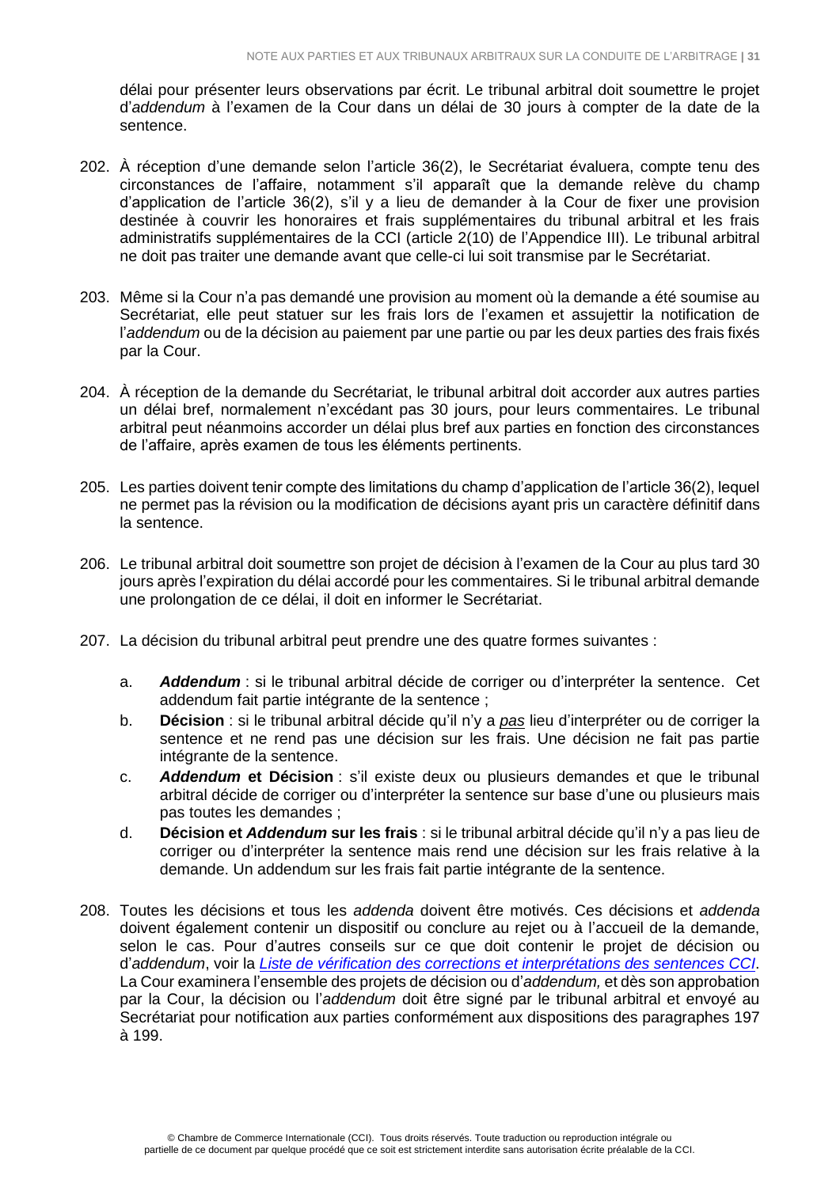délai pour présenter leurs observations par écrit. Le tribunal arbitral doit soumettre le projet d'*addendum* à l'examen de la Cour dans un délai de 30 jours à compter de la date de la sentence.

- 202. À réception d'une demande selon l'article 36(2), le Secrétariat évaluera, compte tenu des circonstances de l'affaire, notamment s'il apparaît que la demande relève du champ d'application de l'article 36(2), s'il y a lieu de demander à la Cour de fixer une provision destinée à couvrir les honoraires et frais supplémentaires du tribunal arbitral et les frais administratifs supplémentaires de la CCI (article 2(10) de l'Appendice III). Le tribunal arbitral ne doit pas traiter une demande avant que celle-ci lui soit transmise par le Secrétariat.
- 203. Même si la Cour n'a pas demandé une provision au moment où la demande a été soumise au Secrétariat, elle peut statuer sur les frais lors de l'examen et assujettir la notification de l'*addendum* ou de la décision au paiement par une partie ou par les deux parties des frais fixés par la Cour.
- 204. À réception de la demande du Secrétariat, le tribunal arbitral doit accorder aux autres parties un délai bref, normalement n'excédant pas 30 jours, pour leurs commentaires. Le tribunal arbitral peut néanmoins accorder un délai plus bref aux parties en fonction des circonstances de l'affaire, après examen de tous les éléments pertinents.
- 205. Les parties doivent tenir compte des limitations du champ d'application de l'article 36(2), lequel ne permet pas la révision ou la modification de décisions ayant pris un caractère définitif dans la sentence.
- 206. Le tribunal arbitral doit soumettre son projet de décision à l'examen de la Cour au plus tard 30 iours après l'expiration du délai accordé pour les commentaires. Si le tribunal arbitral demande une prolongation de ce délai, il doit en informer le Secrétariat.
- 207. La décision du tribunal arbitral peut prendre une des quatre formes suivantes :
	- a. *Addendum* : si le tribunal arbitral décide de corriger ou d'interpréter la sentence. Cet addendum fait partie intégrante de la sentence ;
	- b. **Décision** : si le tribunal arbitral décide qu'il n'y a *pas* lieu d'interpréter ou de corriger la sentence et ne rend pas une décision sur les frais. Une décision ne fait pas partie intégrante de la sentence.
	- c. *Addendum* **et Décision** : s'il existe deux ou plusieurs demandes et que le tribunal arbitral décide de corriger ou d'interpréter la sentence sur base d'une ou plusieurs mais pas toutes les demandes ;
	- d. **Décision et** *Addendum* **sur les frais** : si le tribunal arbitral décide qu'il n'y a pas lieu de corriger ou d'interpréter la sentence mais rend une décision sur les frais relative à la demande. Un addendum sur les frais fait partie intégrante de la sentence.
- 208. Toutes les décisions et tous les *addenda* doivent être motivés. Ces décisions et *addenda* doivent également contenir un dispositif ou conclure au rejet ou à l'accueil de la demande, selon le cas. Pour d'autres conseils sur ce que doit contenir le projet de décision ou d'*addendum*, voir la *[Liste de vérification des corrections et interprétations des sentences CCI](https://iccwbo.org/publication/icc-checklist-correction-interpretation-awards-1998-2012-icc-arbitration-rules)*. La Cour examinera l'ensemble des projets de décision ou d'*addendum,* et dès son approbation par la Cour, la décision ou l'*addendum* doit être signé par le tribunal arbitral et envoyé au Secrétariat pour notification aux parties conformément aux dispositions des paragraphes 197 à 199.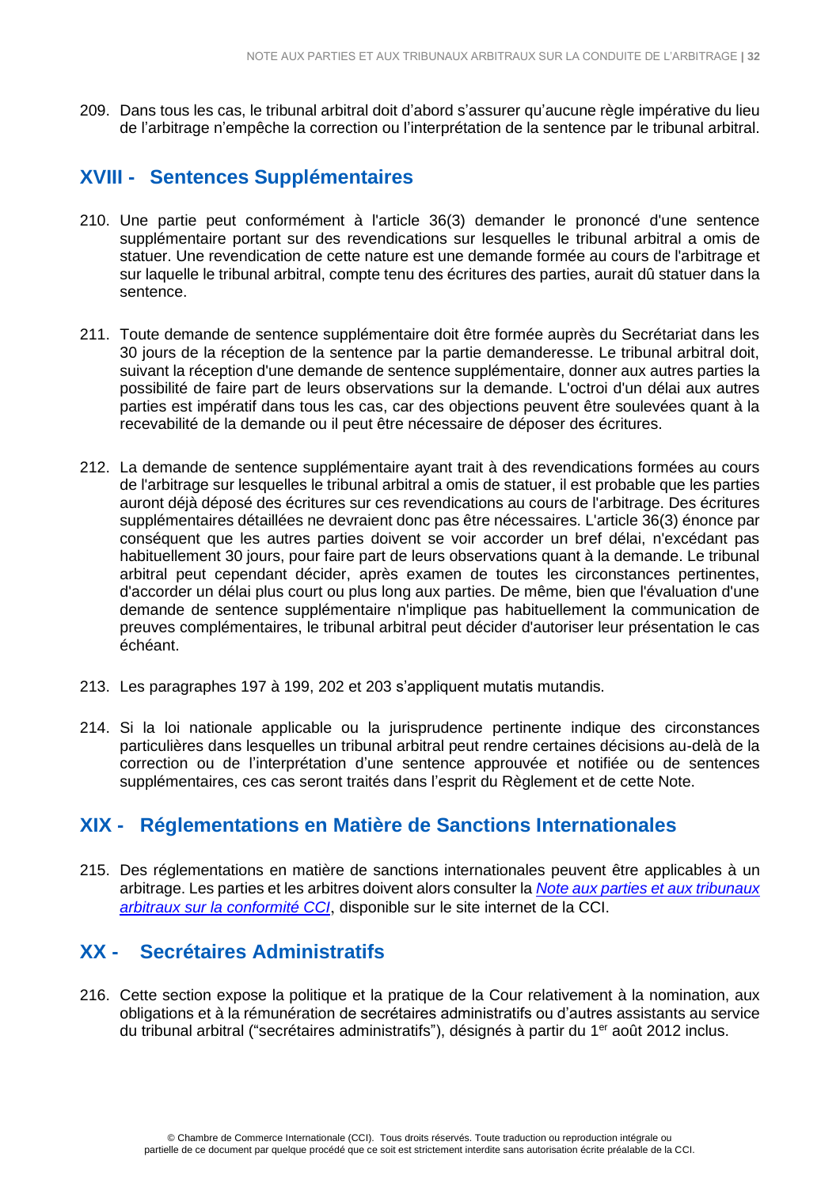209. Dans tous les cas, le tribunal arbitral doit d'abord s'assurer qu'aucune règle impérative du lieu de l'arbitrage n'empêche la correction ou l'interprétation de la sentence par le tribunal arbitral.

# **XVIII - Sentences Supplémentaires**

- 210. Une partie peut conformément à l'article 36(3) demander le prononcé d'une sentence supplémentaire portant sur des revendications sur lesquelles le tribunal arbitral a omis de statuer. Une revendication de cette nature est une demande formée au cours de l'arbitrage et sur laquelle le tribunal arbitral, compte tenu des écritures des parties, aurait dû statuer dans la sentence.
- 211. Toute demande de sentence supplémentaire doit être formée auprès du Secrétariat dans les 30 jours de la réception de la sentence par la partie demanderesse. Le tribunal arbitral doit, suivant la réception d'une demande de sentence supplémentaire, donner aux autres parties la possibilité de faire part de leurs observations sur la demande. L'octroi d'un délai aux autres parties est impératif dans tous les cas, car des objections peuvent être soulevées quant à la recevabilité de la demande ou il peut être nécessaire de déposer des écritures.
- 212. La demande de sentence supplémentaire ayant trait à des revendications formées au cours de l'arbitrage sur lesquelles le tribunal arbitral a omis de statuer, il est probable que les parties auront déjà déposé des écritures sur ces revendications au cours de l'arbitrage. Des écritures supplémentaires détaillées ne devraient donc pas être nécessaires. L'article 36(3) énonce par conséquent que les autres parties doivent se voir accorder un bref délai, n'excédant pas habituellement 30 jours, pour faire part de leurs observations quant à la demande. Le tribunal arbitral peut cependant décider, après examen de toutes les circonstances pertinentes, d'accorder un délai plus court ou plus long aux parties. De même, bien que l'évaluation d'une demande de sentence supplémentaire n'implique pas habituellement la communication de preuves complémentaires, le tribunal arbitral peut décider d'autoriser leur présentation le cas échéant.
- 213. Les paragraphes 197 à 199, 202 et 203 s'appliquent mutatis mutandis.
- 214. Si la loi nationale applicable ou la jurisprudence pertinente indique des circonstances particulières dans lesquelles un tribunal arbitral peut rendre certaines décisions au-delà de la correction ou de l'interprétation d'une sentence approuvée et notifiée ou de sentences supplémentaires, ces cas seront traités dans l'esprit du Règlement et de cette Note.

# <span id="page-31-0"></span>**XIX - Réglementations en Matière de Sanctions Internationales**

215. Des réglementations en matière de sanctions internationales peuvent être applicables à un arbitrage. Les parties et les arbitres doivent alors consulter la *[Note aux parties et aux tribunaux](https://iccwbo.org/publication/note-parties-arbitral-tribunals-icc-compliance)  [arbitraux sur la conformité CCI](https://iccwbo.org/publication/note-parties-arbitral-tribunals-icc-compliance)*, disponible sur le site internet de la CCI.

# <span id="page-31-1"></span>**XX - Secrétaires Administratifs**

216. Cette section expose la politique et la pratique de la Cour relativement à la nomination, aux obligations et à la rémunération de secrétaires administratifs ou d'autres assistants au service du tribunal arbitral ("secrétaires administratifs"), désignés à partir du 1er août 2012 inclus.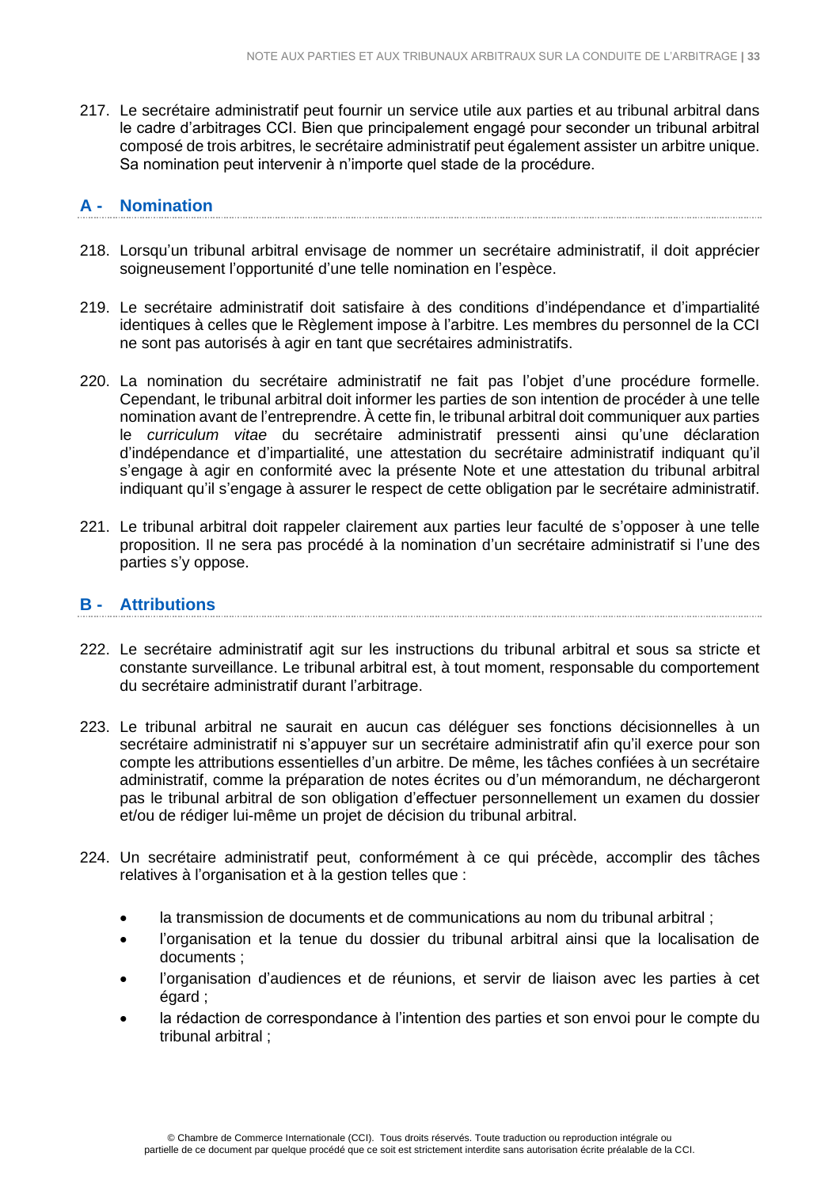217. Le secrétaire administratif peut fournir un service utile aux parties et au tribunal arbitral dans le cadre d'arbitrages CCI. Bien que principalement engagé pour seconder un tribunal arbitral composé de trois arbitres, le secrétaire administratif peut également assister un arbitre unique. Sa nomination peut intervenir à n'importe quel stade de la procédure.

# <span id="page-32-0"></span>**A - Nomination**

- 218. Lorsqu'un tribunal arbitral envisage de nommer un secrétaire administratif, il doit apprécier soigneusement l'opportunité d'une telle nomination en l'espèce.
- 219. Le secrétaire administratif doit satisfaire à des conditions d'indépendance et d'impartialité identiques à celles que le Règlement impose à l'arbitre. Les membres du personnel de la CCI ne sont pas autorisés à agir en tant que secrétaires administratifs.
- 220. La nomination du secrétaire administratif ne fait pas l'objet d'une procédure formelle. Cependant, le tribunal arbitral doit informer les parties de son intention de procéder à une telle nomination avant de l'entreprendre. À cette fin, le tribunal arbitral doit communiquer aux parties le *curriculum vitae* du secrétaire administratif pressenti ainsi qu'une déclaration d'indépendance et d'impartialité, une attestation du secrétaire administratif indiquant qu'il s'engage à agir en conformité avec la présente Note et une attestation du tribunal arbitral indiquant qu'il s'engage à assurer le respect de cette obligation par le secrétaire administratif.
- 221. Le tribunal arbitral doit rappeler clairement aux parties leur faculté de s'opposer à une telle proposition. Il ne sera pas procédé à la nomination d'un secrétaire administratif si l'une des parties s'y oppose.

#### <span id="page-32-1"></span>**B - Attributions**

- 222. Le secrétaire administratif agit sur les instructions du tribunal arbitral et sous sa stricte et constante surveillance. Le tribunal arbitral est, à tout moment, responsable du comportement du secrétaire administratif durant l'arbitrage.
- 223. Le tribunal arbitral ne saurait en aucun cas déléguer ses fonctions décisionnelles à un secrétaire administratif ni s'appuyer sur un secrétaire administratif afin qu'il exerce pour son compte les attributions essentielles d'un arbitre. De même, les tâches confiées à un secrétaire administratif, comme la préparation de notes écrites ou d'un mémorandum, ne déchargeront pas le tribunal arbitral de son obligation d'effectuer personnellement un examen du dossier et/ou de rédiger lui-même un projet de décision du tribunal arbitral.
- 224. Un secrétaire administratif peut, conformément à ce qui précède, accomplir des tâches relatives à l'organisation et à la gestion telles que :
	- la transmission de documents et de communications au nom du tribunal arbitral ;
	- l'organisation et la tenue du dossier du tribunal arbitral ainsi que la localisation de documents ;
	- l'organisation d'audiences et de réunions, et servir de liaison avec les parties à cet égard ;
	- la rédaction de correspondance à l'intention des parties et son envoi pour le compte du tribunal arbitral ;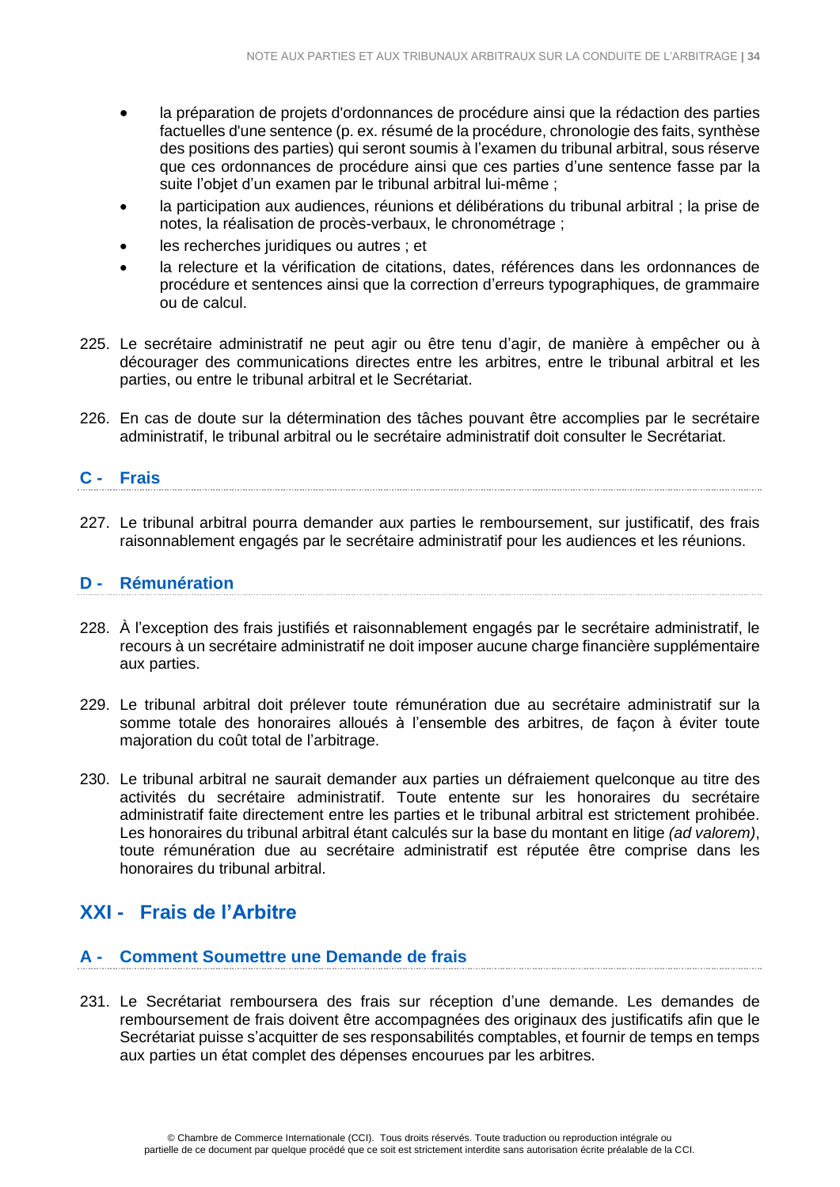- la préparation de projets d'ordonnances de procédure ainsi que la rédaction des parties factuelles d'une sentence (p. ex. résumé de la procédure, chronologie des faits, synthèse des positions des parties) qui seront soumis à l'examen du tribunal arbitral, sous réserve que ces ordonnances de procédure ainsi que ces parties d'une sentence fasse par la suite l'obiet d'un examen par le tribunal arbitral lui-même :
- la participation aux audiences, réunions et délibérations du tribunal arbitral ; la prise de notes, la réalisation de procès-verbaux, le chronométrage ;
- les recherches juridiques ou autres : et
- la relecture et la vérification de citations, dates, références dans les ordonnances de procédure et sentences ainsi que la correction d'erreurs typographiques, de grammaire ou de calcul.
- 225. Le secrétaire administratif ne peut agir ou être tenu d'agir, de manière à empêcher ou à décourager des communications directes entre les arbitres, entre le tribunal arbitral et les parties, ou entre le tribunal arbitral et le Secrétariat.
- 226. En cas de doute sur la détermination des tâches pouvant être accomplies par le secrétaire administratif, le tribunal arbitral ou le secrétaire administratif doit consulter le Secrétariat.

# <span id="page-33-0"></span>**C - Frais**

227. Le tribunal arbitral pourra demander aux parties le remboursement, sur justificatif, des frais raisonnablement engagés par le secrétaire administratif pour les audiences et les réunions.

### <span id="page-33-1"></span>**D - Rémunération**

- 228. À l'exception des frais justifiés et raisonnablement engagés par le secrétaire administratif, le recours à un secrétaire administratif ne doit imposer aucune charge financière supplémentaire aux parties.
- 229. Le tribunal arbitral doit prélever toute rémunération due au secrétaire administratif sur la somme totale des honoraires alloués à l'ensemble des arbitres, de façon à éviter toute majoration du coût total de l'arbitrage.
- 230. Le tribunal arbitral ne saurait demander aux parties un défraiement quelconque au titre des activités du secrétaire administratif. Toute entente sur les honoraires du secrétaire administratif faite directement entre les parties et le tribunal arbitral est strictement prohibée. Les honoraires du tribunal arbitral étant calculés sur la base du montant en litige *(ad valorem)*, toute rémunération due au secrétaire administratif est réputée être comprise dans les honoraires du tribunal arbitral.

# <span id="page-33-2"></span>**XXI - Frais de l'Arbitre**

#### <span id="page-33-3"></span>**A - Comment Soumettre une Demande de frais**

231. Le Secrétariat remboursera des frais sur réception d'une demande. Les demandes de remboursement de frais doivent être accompagnées des originaux des justificatifs afin que le Secrétariat puisse s'acquitter de ses responsabilités comptables, et fournir de temps en temps aux parties un état complet des dépenses encourues par les arbitres.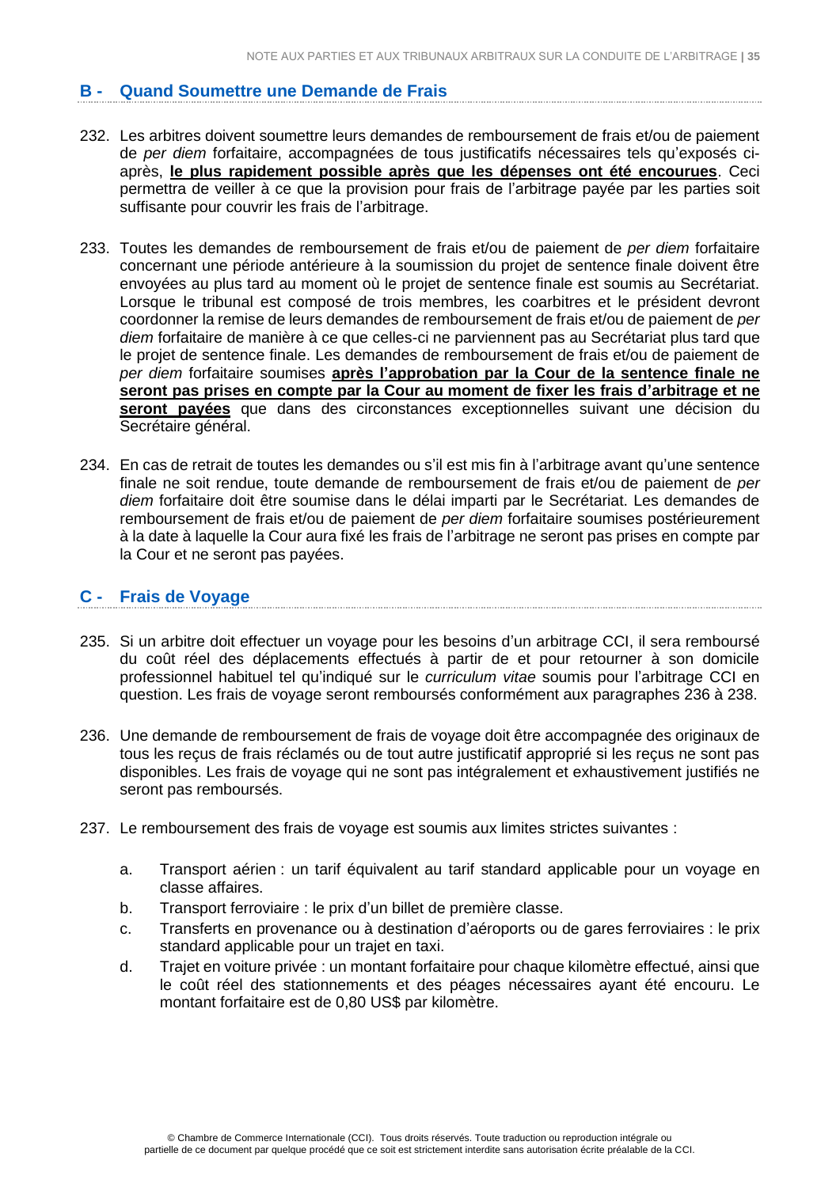# <span id="page-34-0"></span>**B - Quand Soumettre une Demande de Frais**

- 232. Les arbitres doivent soumettre leurs demandes de remboursement de frais et/ou de paiement de *per diem* forfaitaire, accompagnées de tous justificatifs nécessaires tels qu'exposés ciaprès, **le plus rapidement possible après que les dépenses ont été encourues**. Ceci permettra de veiller à ce que la provision pour frais de l'arbitrage payée par les parties soit suffisante pour couvrir les frais de l'arbitrage.
- 233. Toutes les demandes de remboursement de frais et/ou de paiement de *per diem* forfaitaire concernant une période antérieure à la soumission du projet de sentence finale doivent être envoyées au plus tard au moment où le projet de sentence finale est soumis au Secrétariat. Lorsque le tribunal est composé de trois membres, les coarbitres et le président devront coordonner la remise de leurs demandes de remboursement de frais et/ou de paiement de *per diem* forfaitaire de manière à ce que celles-ci ne parviennent pas au Secrétariat plus tard que le projet de sentence finale. Les demandes de remboursement de frais et/ou de paiement de *per diem* forfaitaire soumises **après l'approbation par la Cour de la sentence finale ne seront pas prises en compte par la Cour au moment de fixer les frais d'arbitrage et ne seront payées** que dans des circonstances exceptionnelles suivant une décision du Secrétaire général.
- 234. En cas de retrait de toutes les demandes ou s'il est mis fin à l'arbitrage avant qu'une sentence finale ne soit rendue, toute demande de remboursement de frais et/ou de paiement de *per diem* forfaitaire doit être soumise dans le délai imparti par le Secrétariat. Les demandes de remboursement de frais et/ou de paiement de *per diem* forfaitaire soumises postérieurement à la date à laquelle la Cour aura fixé les frais de l'arbitrage ne seront pas prises en compte par la Cour et ne seront pas payées.

#### <span id="page-34-1"></span>**C - Frais de Voyage**

- 235. Si un arbitre doit effectuer un voyage pour les besoins d'un arbitrage CCI, il sera remboursé du coût réel des déplacements effectués à partir de et pour retourner à son domicile professionnel habituel tel qu'indiqué sur le *curriculum vitae* soumis pour l'arbitrage CCI en question. Les frais de voyage seront remboursés conformément aux paragraphes 236 à 238.
- 236. Une demande de remboursement de frais de voyage doit être accompagnée des originaux de tous les reçus de frais réclamés ou de tout autre justificatif approprié si les reçus ne sont pas disponibles. Les frais de voyage qui ne sont pas intégralement et exhaustivement justifiés ne seront pas remboursés.
- 237. Le remboursement des frais de voyage est soumis aux limites strictes suivantes :
	- a. Transport aérien : un tarif équivalent au tarif standard applicable pour un voyage en classe affaires.
	- b. Transport ferroviaire : le prix d'un billet de première classe.
	- c. Transferts en provenance ou à destination d'aéroports ou de gares ferroviaires : le prix standard applicable pour un trajet en taxi.
	- d. Trajet en voiture privée : un montant forfaitaire pour chaque kilomètre effectué, ainsi que le coût réel des stationnements et des péages nécessaires ayant été encouru. Le montant forfaitaire est de 0,80 US\$ par kilomètre.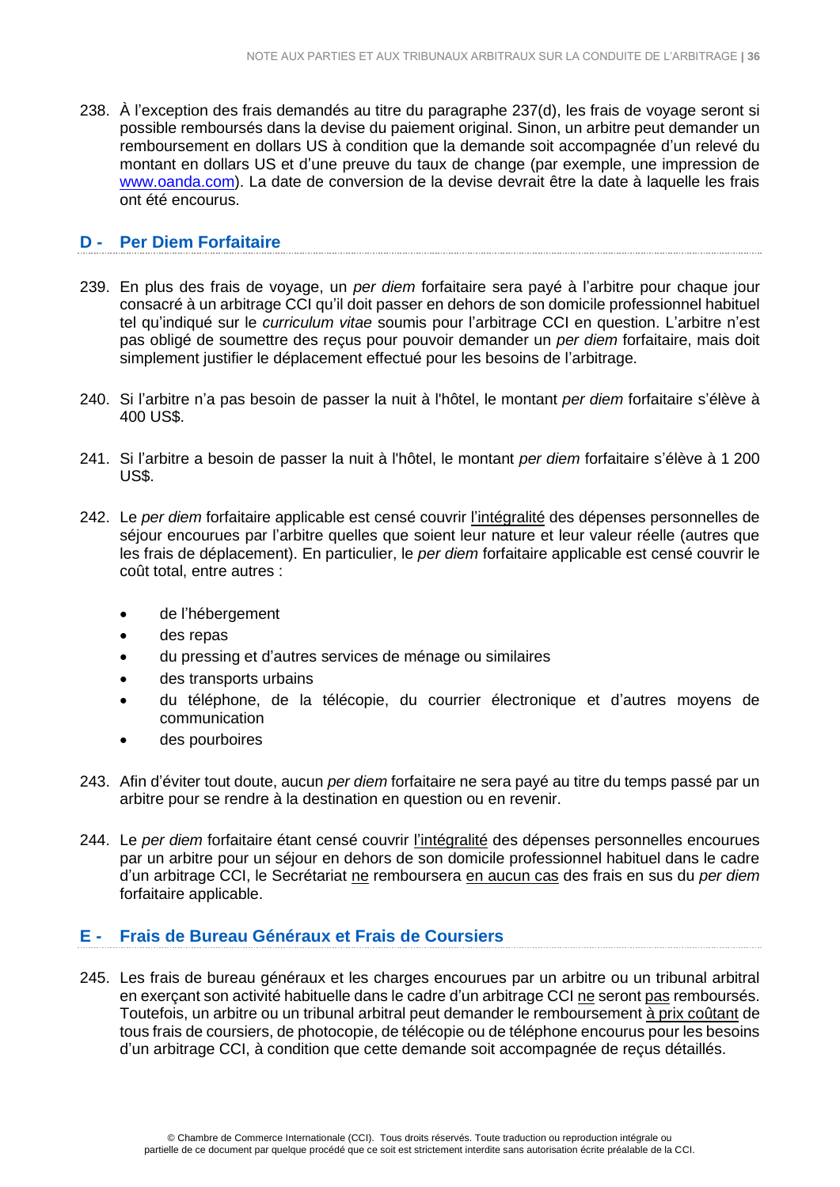238. À l'exception des frais demandés au titre du paragraphe 237(d), les frais de voyage seront si possible remboursés dans la devise du paiement original. Sinon, un arbitre peut demander un remboursement en dollars US à condition que la demande soit accompagnée d'un relevé du montant en dollars US et d'une preuve du taux de change (par exemple, une impression de [www.oanda.com\)](http://www.oanda.com/). La date de conversion de la devise devrait être la date à laquelle les frais ont été encourus.

### <span id="page-35-0"></span>**D - Per Diem Forfaitaire**

- 239. En plus des frais de voyage, un *per diem* forfaitaire sera payé à l'arbitre pour chaque jour consacré à un arbitrage CCI qu'il doit passer en dehors de son domicile professionnel habituel tel qu'indiqué sur le *curriculum vitae* soumis pour l'arbitrage CCI en question. L'arbitre n'est pas obligé de soumettre des reçus pour pouvoir demander un *per diem* forfaitaire, mais doit simplement justifier le déplacement effectué pour les besoins de l'arbitrage.
- 240. Si l'arbitre n'a pas besoin de passer la nuit à l'hôtel, le montant *per diem* forfaitaire s'élève à 400 US\$.
- 241. Si l'arbitre a besoin de passer la nuit à l'hôtel, le montant *per diem* forfaitaire s'élève à 1 200 US\$.
- 242. Le *per diem* forfaitaire applicable est censé couvrir l'intégralité des dépenses personnelles de séjour encourues par l'arbitre quelles que soient leur nature et leur valeur réelle (autres que les frais de déplacement). En particulier, le *per diem* forfaitaire applicable est censé couvrir le coût total, entre autres :
	- de l'hébergement
	- des repas
	- du pressing et d'autres services de ménage ou similaires
	- des transports urbains
	- du téléphone, de la télécopie, du courrier électronique et d'autres moyens de communication
	- des pourboires
- 243. Afin d'éviter tout doute, aucun *per diem* forfaitaire ne sera payé au titre du temps passé par un arbitre pour se rendre à la destination en question ou en revenir.
- 244. Le *per diem* forfaitaire étant censé couvrir l'intégralité des dépenses personnelles encourues par un arbitre pour un séjour en dehors de son domicile professionnel habituel dans le cadre d'un arbitrage CCI, le Secrétariat ne remboursera en aucun cas des frais en sus du *per diem* forfaitaire applicable.

### <span id="page-35-1"></span>**E - Frais de Bureau Généraux et Frais de Coursiers**

245. Les frais de bureau généraux et les charges encourues par un arbitre ou un tribunal arbitral en exerçant son activité habituelle dans le cadre d'un arbitrage CCI ne seront pas remboursés. Toutefois, un arbitre ou un tribunal arbitral peut demander le remboursement à prix coûtant de tous frais de coursiers, de photocopie, de télécopie ou de téléphone encourus pour les besoins d'un arbitrage CCI, à condition que cette demande soit accompagnée de reçus détaillés.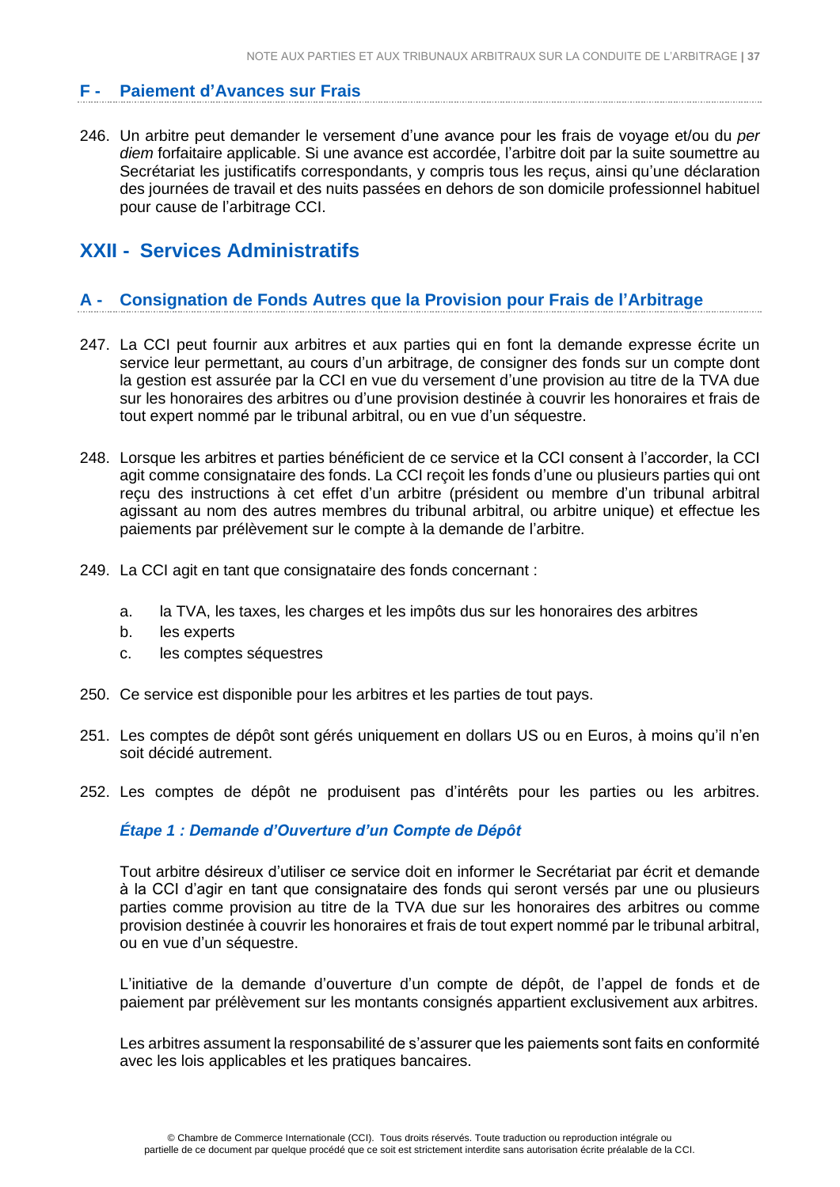#### <span id="page-36-0"></span>**F - Paiement d'Avances sur Frais**

246. Un arbitre peut demander le versement d'une avance pour les frais de voyage et/ou du *per diem* forfaitaire applicable. Si une avance est accordée, l'arbitre doit par la suite soumettre au Secrétariat les justificatifs correspondants, y compris tous les reçus, ainsi qu'une déclaration des journées de travail et des nuits passées en dehors de son domicile professionnel habituel pour cause de l'arbitrage CCI.

# <span id="page-36-1"></span>**XXII - Services Administratifs**

#### <span id="page-36-2"></span>**A - Consignation de Fonds Autres que la Provision pour Frais de l'Arbitrage**

- 247. La CCI peut fournir aux arbitres et aux parties qui en font la demande expresse écrite un service leur permettant, au cours d'un arbitrage, de consigner des fonds sur un compte dont la gestion est assurée par la CCI en vue du versement d'une provision au titre de la TVA due sur les honoraires des arbitres ou d'une provision destinée à couvrir les honoraires et frais de tout expert nommé par le tribunal arbitral, ou en vue d'un séquestre.
- 248. Lorsque les arbitres et parties bénéficient de ce service et la CCI consent à l'accorder, la CCI agit comme consignataire des fonds. La CCI reçoit les fonds d'une ou plusieurs parties qui ont reçu des instructions à cet effet d'un arbitre (président ou membre d'un tribunal arbitral agissant au nom des autres membres du tribunal arbitral, ou arbitre unique) et effectue les paiements par prélèvement sur le compte à la demande de l'arbitre.
- 249. La CCI agit en tant que consignataire des fonds concernant :
	- a. la TVA, les taxes, les charges et les impôts dus sur les honoraires des arbitres
	- b. les experts
	- c. les comptes séquestres
- 250. Ce service est disponible pour les arbitres et les parties de tout pays.
- 251. Les comptes de dépôt sont gérés uniquement en dollars US ou en Euros, à moins qu'il n'en soit décidé autrement.
- 252. Les comptes de dépôt ne produisent pas d'intérêts pour les parties ou les arbitres.

#### *Étape 1 : Demande d'Ouverture d'un Compte de Dépôt*

Tout arbitre désireux d'utiliser ce service doit en informer le Secrétariat par écrit et demande à la CCI d'agir en tant que consignataire des fonds qui seront versés par une ou plusieurs parties comme provision au titre de la TVA due sur les honoraires des arbitres ou comme provision destinée à couvrir les honoraires et frais de tout expert nommé par le tribunal arbitral, ou en vue d'un séquestre.

L'initiative de la demande d'ouverture d'un compte de dépôt, de l'appel de fonds et de paiement par prélèvement sur les montants consignés appartient exclusivement aux arbitres.

Les arbitres assument la responsabilité de s'assurer que les paiements sont faits en conformité avec les lois applicables et les pratiques bancaires.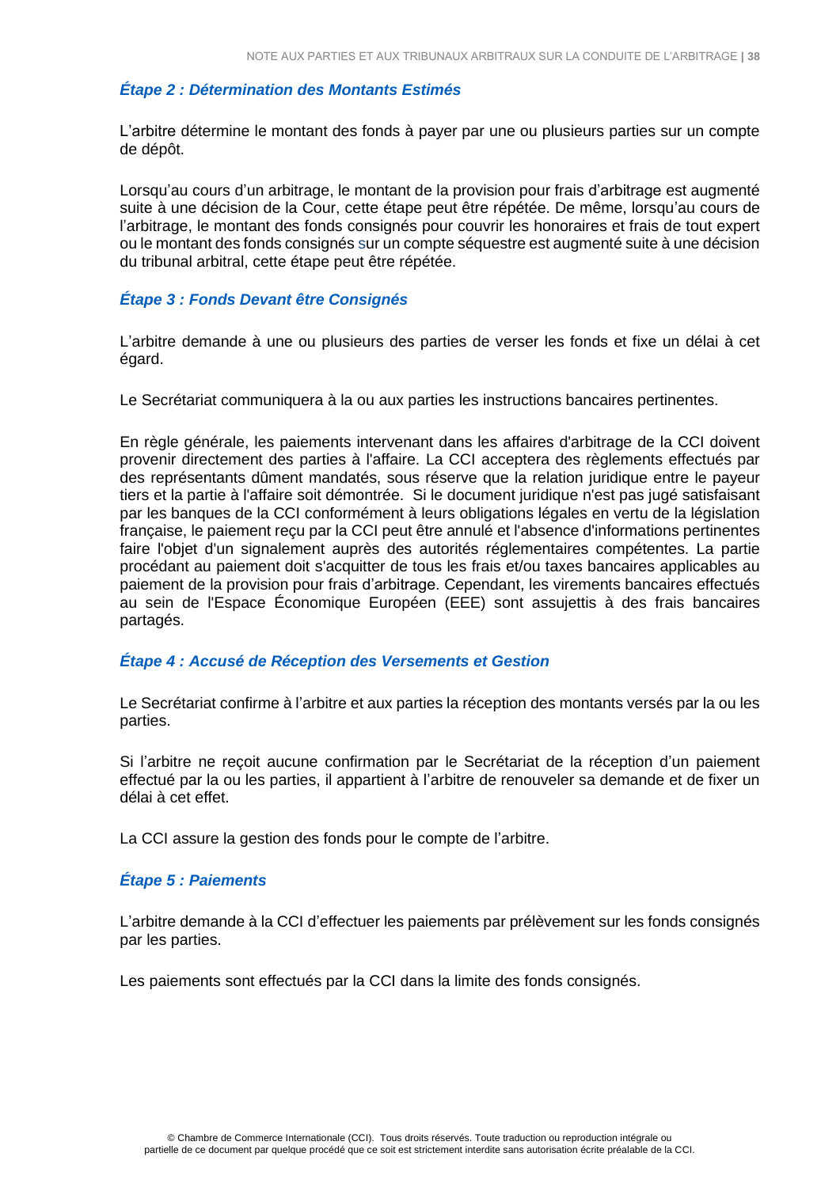### *Étape 2 : Détermination des Montants Estimés*

L'arbitre détermine le montant des fonds à payer par une ou plusieurs parties sur un compte de dépôt.

Lorsqu'au cours d'un arbitrage, le montant de la provision pour frais d'arbitrage est augmenté suite à une décision de la Cour, cette étape peut être répétée. De même, lorsqu'au cours de l'arbitrage, le montant des fonds consignés pour couvrir les honoraires et frais de tout expert ou le montant des fonds consignés sur un compte séquestre est augmenté suite à une décision du tribunal arbitral, cette étape peut être répétée.

#### *Étape 3 : Fonds Devant être Consignés*

L'arbitre demande à une ou plusieurs des parties de verser les fonds et fixe un délai à cet égard.

Le Secrétariat communiquera à la ou aux parties les instructions bancaires pertinentes.

En règle générale, les paiements intervenant dans les affaires d'arbitrage de la CCI doivent provenir directement des parties à l'affaire. La CCI acceptera des règlements effectués par des représentants dûment mandatés, sous réserve que la relation juridique entre le payeur tiers et la partie à l'affaire soit démontrée. Si le document juridique n'est pas jugé satisfaisant par les banques de la CCI conformément à leurs obligations légales en vertu de la législation française, le paiement reçu par la CCI peut être annulé et l'absence d'informations pertinentes faire l'objet d'un signalement auprès des autorités réglementaires compétentes. La partie procédant au paiement doit s'acquitter de tous les frais et/ou taxes bancaires applicables au paiement de la provision pour frais d'arbitrage. Cependant, les virements bancaires effectués au sein de l'Espace Économique Européen (EEE) sont assujettis à des frais bancaires partagés.

#### *Étape 4 : Accusé de Réception des Versements et Gestion*

Le Secrétariat confirme à l'arbitre et aux parties la réception des montants versés par la ou les parties.

Si l'arbitre ne reçoit aucune confirmation par le Secrétariat de la réception d'un paiement effectué par la ou les parties, il appartient à l'arbitre de renouveler sa demande et de fixer un délai à cet effet.

La CCI assure la gestion des fonds pour le compte de l'arbitre.

#### *Étape 5 : Paiements*

L'arbitre demande à la CCI d'effectuer les paiements par prélèvement sur les fonds consignés par les parties.

Les paiements sont effectués par la CCI dans la limite des fonds consignés.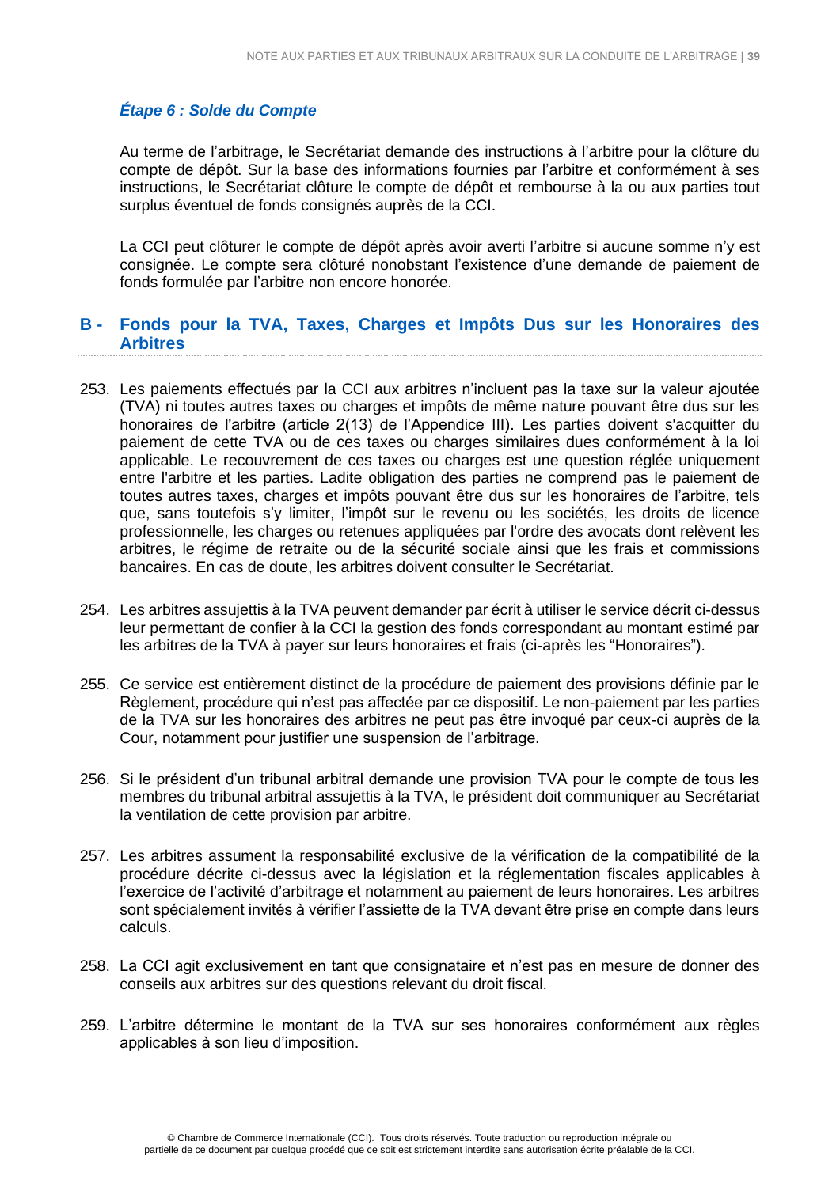# *Étape 6 : Solde du Compte*

Au terme de l'arbitrage, le Secrétariat demande des instructions à l'arbitre pour la clôture du compte de dépôt. Sur la base des informations fournies par l'arbitre et conformément à ses instructions, le Secrétariat clôture le compte de dépôt et rembourse à la ou aux parties tout surplus éventuel de fonds consignés auprès de la CCI.

La CCI peut clôturer le compte de dépôt après avoir averti l'arbitre si aucune somme n'y est consignée. Le compte sera clôturé nonobstant l'existence d'une demande de paiement de fonds formulée par l'arbitre non encore honorée.

# <span id="page-38-0"></span>**B - Fonds pour la TVA, Taxes, Charges et Impôts Dus sur les Honoraires des Arbitres**

- 253. Les paiements effectués par la CCI aux arbitres n'incluent pas la taxe sur la valeur ajoutée (TVA) ni toutes autres taxes ou charges et impôts de même nature pouvant être dus sur les honoraires de l'arbitre (article 2(13) de l'Appendice III). Les parties doivent s'acquitter du paiement de cette TVA ou de ces taxes ou charges similaires dues conformément à la loi applicable. Le recouvrement de ces taxes ou charges est une question réglée uniquement entre l'arbitre et les parties. Ladite obligation des parties ne comprend pas le paiement de toutes autres taxes, charges et impôts pouvant être dus sur les honoraires de l'arbitre, tels que, sans toutefois s'y limiter, l'impôt sur le revenu ou les sociétés, les droits de licence professionnelle, les charges ou retenues appliquées par l'ordre des avocats dont relèvent les arbitres, le régime de retraite ou de la sécurité sociale ainsi que les frais et commissions bancaires. En cas de doute, les arbitres doivent consulter le Secrétariat.
- 254. Les arbitres assujettis à la TVA peuvent demander par écrit à utiliser le service décrit ci-dessus leur permettant de confier à la CCI la gestion des fonds correspondant au montant estimé par les arbitres de la TVA à payer sur leurs honoraires et frais (ci-après les "Honoraires").
- 255. Ce service est entièrement distinct de la procédure de paiement des provisions définie par le Règlement, procédure qui n'est pas affectée par ce dispositif. Le non-paiement par les parties de la TVA sur les honoraires des arbitres ne peut pas être invoqué par ceux-ci auprès de la Cour, notamment pour justifier une suspension de l'arbitrage.
- 256. Si le président d'un tribunal arbitral demande une provision TVA pour le compte de tous les membres du tribunal arbitral assujettis à la TVA, le président doit communiquer au Secrétariat la ventilation de cette provision par arbitre.
- 257. Les arbitres assument la responsabilité exclusive de la vérification de la compatibilité de la procédure décrite ci-dessus avec la législation et la réglementation fiscales applicables à l'exercice de l'activité d'arbitrage et notamment au paiement de leurs honoraires. Les arbitres sont spécialement invités à vérifier l'assiette de la TVA devant être prise en compte dans leurs calculs.
- 258. La CCI agit exclusivement en tant que consignataire et n'est pas en mesure de donner des conseils aux arbitres sur des questions relevant du droit fiscal.
- 259. L'arbitre détermine le montant de la TVA sur ses honoraires conformément aux règles applicables à son lieu d'imposition.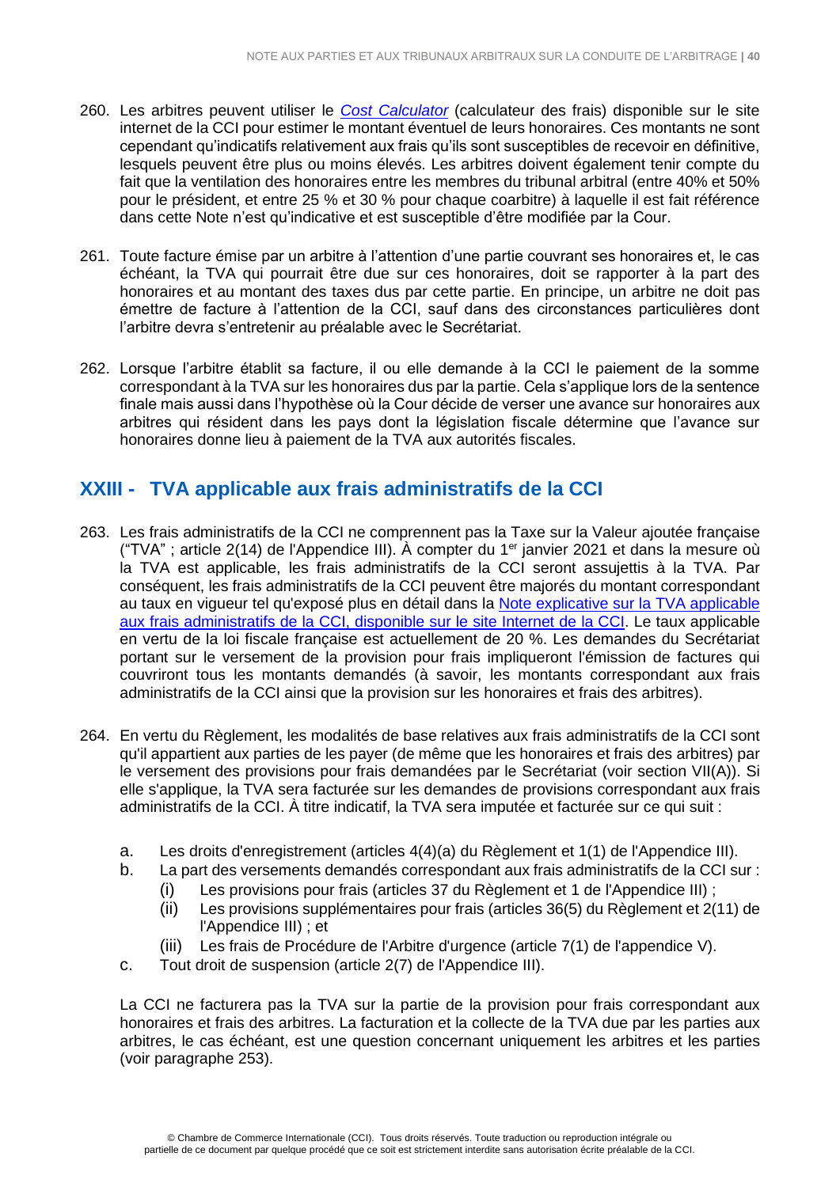- 260. Les arbitres peuvent utiliser le *[Cost Calculator](http://www.iccwbo.org/products-and-services/arbitration-and-adr/arbitration/cost-and-payment/cost-calculator/)* (calculateur des frais) disponible sur le site internet de la CCI pour estimer le montant éventuel de leurs honoraires. Ces montants ne sont cependant qu'indicatifs relativement aux frais qu'ils sont susceptibles de recevoir en définitive, lesquels peuvent être plus ou moins élevés. Les arbitres doivent également tenir compte du fait que la ventilation des honoraires entre les membres du tribunal arbitral (entre 40% et 50% pour le président, et entre 25 % et 30 % pour chaque coarbitre) à laquelle il est fait référence dans cette Note n'est qu'indicative et est susceptible d'être modifiée par la Cour.
- 261. Toute facture émise par un arbitre à l'attention d'une partie couvrant ses honoraires et, le cas échéant, la TVA qui pourrait être due sur ces honoraires, doit se rapporter à la part des honoraires et au montant des taxes dus par cette partie. En principe, un arbitre ne doit pas émettre de facture à l'attention de la CCI, sauf dans des circonstances particulières dont l'arbitre devra s'entretenir au préalable avec le Secrétariat.
- 262. Lorsque l'arbitre établit sa facture, il ou elle demande à la CCI le paiement de la somme correspondant à la TVA sur les honoraires dus par la partie. Cela s'applique lors de la sentence finale mais aussi dans l'hypothèse où la Cour décide de verser une avance sur honoraires aux arbitres qui résident dans les pays dont la législation fiscale détermine que l'avance sur honoraires donne lieu à paiement de la TVA aux autorités fiscales.

# <span id="page-39-0"></span>**XXIII - TVA applicable aux frais administratifs de la CCI**

- 263. Les frais administratifs de la CCI ne comprennent pas la Taxe sur la Valeur ajoutée française ("TVA" ; article 2(14) de l'Appendice III). À compter du 1<sup>er</sup> janvier 2021 et dans la mesure où la TVA est applicable, les frais administratifs de la CCI seront assujettis à la TVA. Par conséquent, les frais administratifs de la CCI peuvent être majorés du montant correspondant au taux en vigueur tel qu'exposé plus en détail dans la Note [explicative](https://iccwbo.org/publication/explanatory-note-on-vat-applicable-on-icc-administrative-expenses/) sur la TVA applicable aux frais [administratifs](https://iccwbo.org/publication/explanatory-note-on-vat-applicable-on-icc-administrative-expenses/) de la CCI, disponible sur le site Internet de la CCI. Le taux applicable en vertu de la loi fiscale française est actuellement de 20 %. Les demandes du Secrétariat portant sur le versement de la provision pour frais impliqueront l'émission de factures qui couvriront tous les montants demandés (à savoir, les montants correspondant aux frais administratifs de la CCI ainsi que la provision sur les honoraires et frais des arbitres).
- 264. En vertu du Règlement, les modalités de base relatives aux frais administratifs de la CCI sont qu'il appartient aux parties de les payer (de même que les honoraires et frais des arbitres) par le versement des provisions pour frais demandées par le Secrétariat (voir section VII(A)). Si elle s'applique, la TVA sera facturée sur les demandes de provisions correspondant aux frais administratifs de la CCI. À titre indicatif, la TVA sera imputée et facturée sur ce qui suit :
	- a. Les droits d'enregistrement (articles 4(4)(a) du Règlement et 1(1) de l'Appendice III).
	- b. La part des versements demandés correspondant aux frais administratifs de la CCI sur :
		- (i) Les provisions pour frais (articles 37 du Règlement et 1 de l'Appendice III) ;
		- (ii) Les provisions supplémentaires pour frais (articles 36(5) du Règlement et 2(11) de l'Appendice III) ; et
		- (iii) Les frais de Procédure de l'Arbitre d'urgence (article 7(1) de l'appendice V).
	- c. Tout droit de suspension (article 2(7) de l'Appendice III).

La CCI ne facturera pas la TVA sur la partie de la provision pour frais correspondant aux honoraires et frais des arbitres. La facturation et la collecte de la TVA due par les parties aux arbitres, le cas échéant, est une question concernant uniquement les arbitres et les parties (voir paragraphe 253).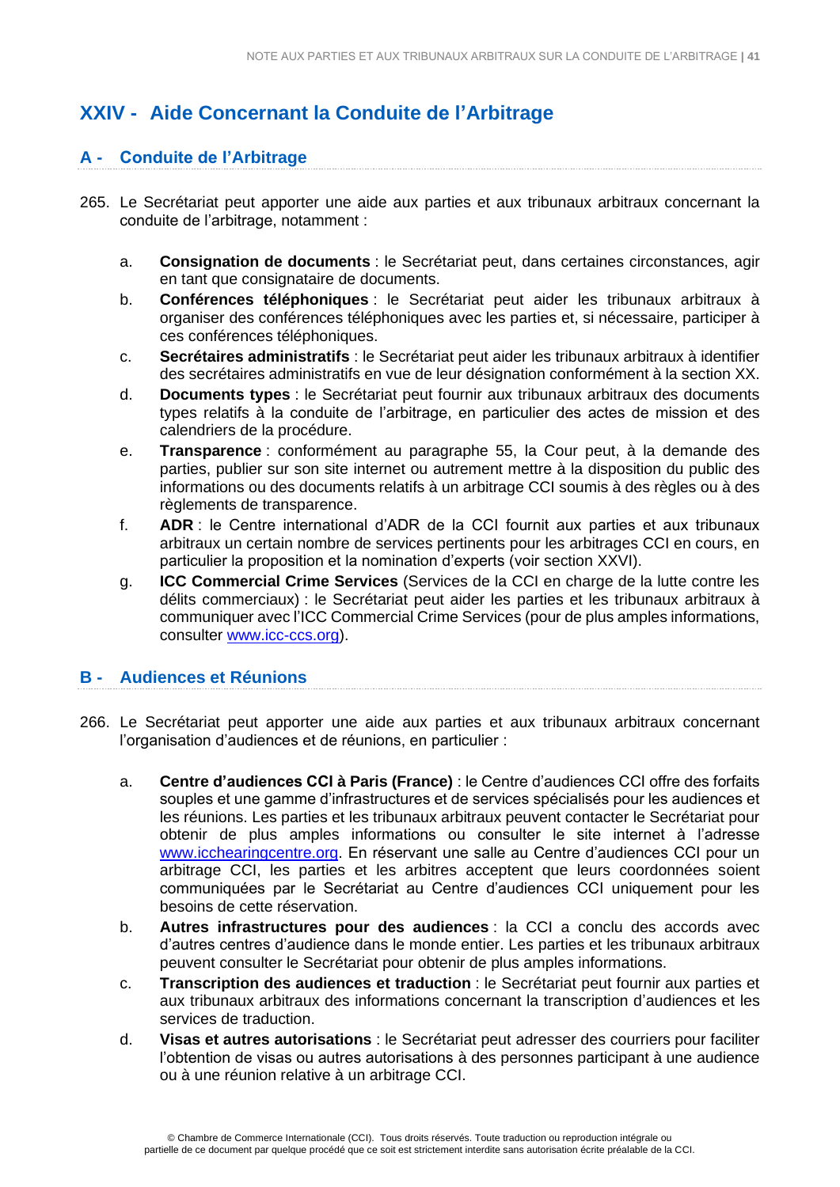# <span id="page-40-0"></span>**XXIV - Aide Concernant la Conduite de l'Arbitrage**

# <span id="page-40-1"></span>**A - Conduite de l'Arbitrage**

- 265. Le Secrétariat peut apporter une aide aux parties et aux tribunaux arbitraux concernant la conduite de l'arbitrage, notamment :
	- a. **Consignation de documents** : le Secrétariat peut, dans certaines circonstances, agir en tant que consignataire de documents.
	- b. **Conférences téléphoniques** : le Secrétariat peut aider les tribunaux arbitraux à organiser des conférences téléphoniques avec les parties et, si nécessaire, participer à ces conférences téléphoniques.
	- c. **Secrétaires administratifs** : le Secrétariat peut aider les tribunaux arbitraux à identifier des secrétaires administratifs en vue de leur désignation conformément à la section XX.
	- d. **Documents types** : le Secrétariat peut fournir aux tribunaux arbitraux des documents types relatifs à la conduite de l'arbitrage, en particulier des actes de mission et des calendriers de la procédure.
	- e. **Transparence** : conformément au paragraphe 55, la Cour peut, à la demande des parties, publier sur son site internet ou autrement mettre à la disposition du public des informations ou des documents relatifs à un arbitrage CCI soumis à des règles ou à des règlements de transparence.
	- f. **ADR** : le Centre international d'ADR de la CCI fournit aux parties et aux tribunaux arbitraux un certain nombre de services pertinents pour les arbitrages CCI en cours, en particulier la proposition et la nomination d'experts (voir section XXVI).
	- g. **ICC Commercial Crime Services** (Services de la CCI en charge de la lutte contre les délits commerciaux) : le Secrétariat peut aider les parties et les tribunaux arbitraux à communiquer avec l'ICC Commercial Crime Services (pour de plus amples informations, consulter [www.icc-ccs.org\)](http://www.icc-ccs.org/).

# <span id="page-40-2"></span>**B - Audiences et Réunions**

- 266. Le Secrétariat peut apporter une aide aux parties et aux tribunaux arbitraux concernant l'organisation d'audiences et de réunions, en particulier :
	- a. **Centre d'audiences CCI à Paris (France)** : le Centre d'audiences CCI offre des forfaits souples et une gamme d'infrastructures et de services spécialisés pour les audiences et les réunions. Les parties et les tribunaux arbitraux peuvent contacter le Secrétariat pour obtenir de plus amples informations ou consulter le site internet à l'adresse [www.icchearingcentre.org.](http://www.icchearingcentre.org/) En réservant une salle au Centre d'audiences CCI pour un arbitrage CCI, les parties et les arbitres acceptent que leurs coordonnées soient communiquées par le Secrétariat au Centre d'audiences CCI uniquement pour les besoins de cette réservation.
	- b. **Autres infrastructures pour des audiences** : la CCI a conclu des accords avec d'autres centres d'audience dans le monde entier. Les parties et les tribunaux arbitraux peuvent consulter le Secrétariat pour obtenir de plus amples informations.
	- c. **Transcription des audiences et traduction** : le Secrétariat peut fournir aux parties et aux tribunaux arbitraux des informations concernant la transcription d'audiences et les services de traduction.
	- d. **Visas et autres autorisations** : le Secrétariat peut adresser des courriers pour faciliter l'obtention de visas ou autres autorisations à des personnes participant à une audience ou à une réunion relative à un arbitrage CCI.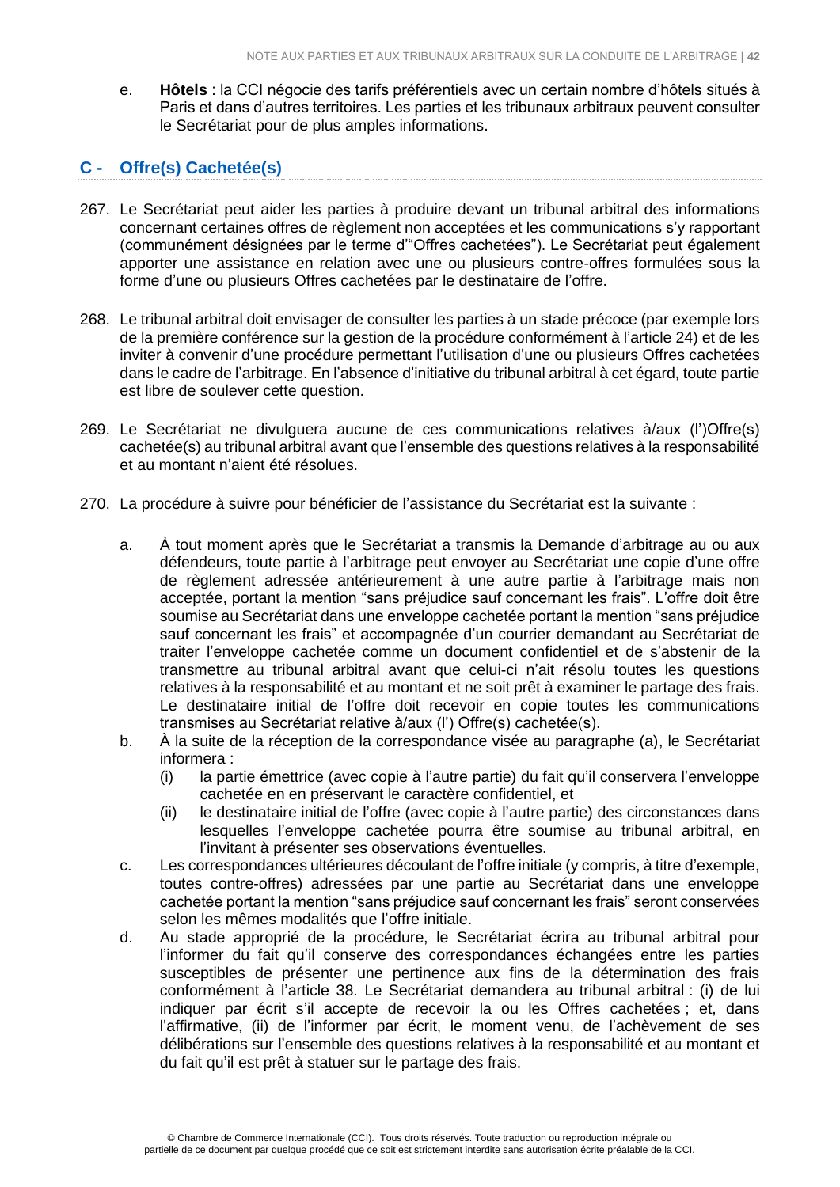e. **Hôtels** : la CCI négocie des tarifs préférentiels avec un certain nombre d'hôtels situés à Paris et dans d'autres territoires. Les parties et les tribunaux arbitraux peuvent consulter le Secrétariat pour de plus amples informations.

# <span id="page-41-0"></span>**C - Offre(s) Cachetée(s)**

- 267. Le Secrétariat peut aider les parties à produire devant un tribunal arbitral des informations concernant certaines offres de règlement non acceptées et les communications s'y rapportant (communément désignées par le terme d'"Offres cachetées"). Le Secrétariat peut également apporter une assistance en relation avec une ou plusieurs contre-offres formulées sous la forme d'une ou plusieurs Offres cachetées par le destinataire de l'offre.
- 268. Le tribunal arbitral doit envisager de consulter les parties à un stade précoce (par exemple lors de la première conférence sur la gestion de la procédure conformément à l'article 24) et de les inviter à convenir d'une procédure permettant l'utilisation d'une ou plusieurs Offres cachetées dans le cadre de l'arbitrage. En l'absence d'initiative du tribunal arbitral à cet égard, toute partie est libre de soulever cette question.
- 269. Le Secrétariat ne divulguera aucune de ces communications relatives à/aux (l')Offre(s) cachetée(s) au tribunal arbitral avant que l'ensemble des questions relatives à la responsabilité et au montant n'aient été résolues.
- 270. La procédure à suivre pour bénéficier de l'assistance du Secrétariat est la suivante :
	- a. À tout moment après que le Secrétariat a transmis la Demande d'arbitrage au ou aux défendeurs, toute partie à l'arbitrage peut envoyer au Secrétariat une copie d'une offre de règlement adressée antérieurement à une autre partie à l'arbitrage mais non acceptée, portant la mention "sans préjudice sauf concernant les frais". L'offre doit être soumise au Secrétariat dans une enveloppe cachetée portant la mention "sans préjudice sauf concernant les frais" et accompagnée d'un courrier demandant au Secrétariat de traiter l'enveloppe cachetée comme un document confidentiel et de s'abstenir de la transmettre au tribunal arbitral avant que celui-ci n'ait résolu toutes les questions relatives à la responsabilité et au montant et ne soit prêt à examiner le partage des frais. Le destinataire initial de l'offre doit recevoir en copie toutes les communications transmises au Secrétariat relative à/aux (l') Offre(s) cachetée(s).
	- b. À la suite de la réception de la correspondance visée au paragraphe (a), le Secrétariat informera :
		- (i) la partie émettrice (avec copie à l'autre partie) du fait qu'il conservera l'enveloppe cachetée en en préservant le caractère confidentiel, et
		- (ii) le destinataire initial de l'offre (avec copie à l'autre partie) des circonstances dans lesquelles l'enveloppe cachetée pourra être soumise au tribunal arbitral, en l'invitant à présenter ses observations éventuelles.
	- c. Les correspondances ultérieures découlant de l'offre initiale (y compris, à titre d'exemple, toutes contre-offres) adressées par une partie au Secrétariat dans une enveloppe cachetée portant la mention "sans préjudice sauf concernant les frais" seront conservées selon les mêmes modalités que l'offre initiale.
	- d. Au stade approprié de la procédure, le Secrétariat écrira au tribunal arbitral pour l'informer du fait qu'il conserve des correspondances échangées entre les parties susceptibles de présenter une pertinence aux fins de la détermination des frais conformément à l'article 38. Le Secrétariat demandera au tribunal arbitral : (i) de lui indiquer par écrit s'il accepte de recevoir la ou les Offres cachetées ; et, dans l'affirmative, (ii) de l'informer par écrit, le moment venu, de l'achèvement de ses délibérations sur l'ensemble des questions relatives à la responsabilité et au montant et du fait qu'il est prêt à statuer sur le partage des frais.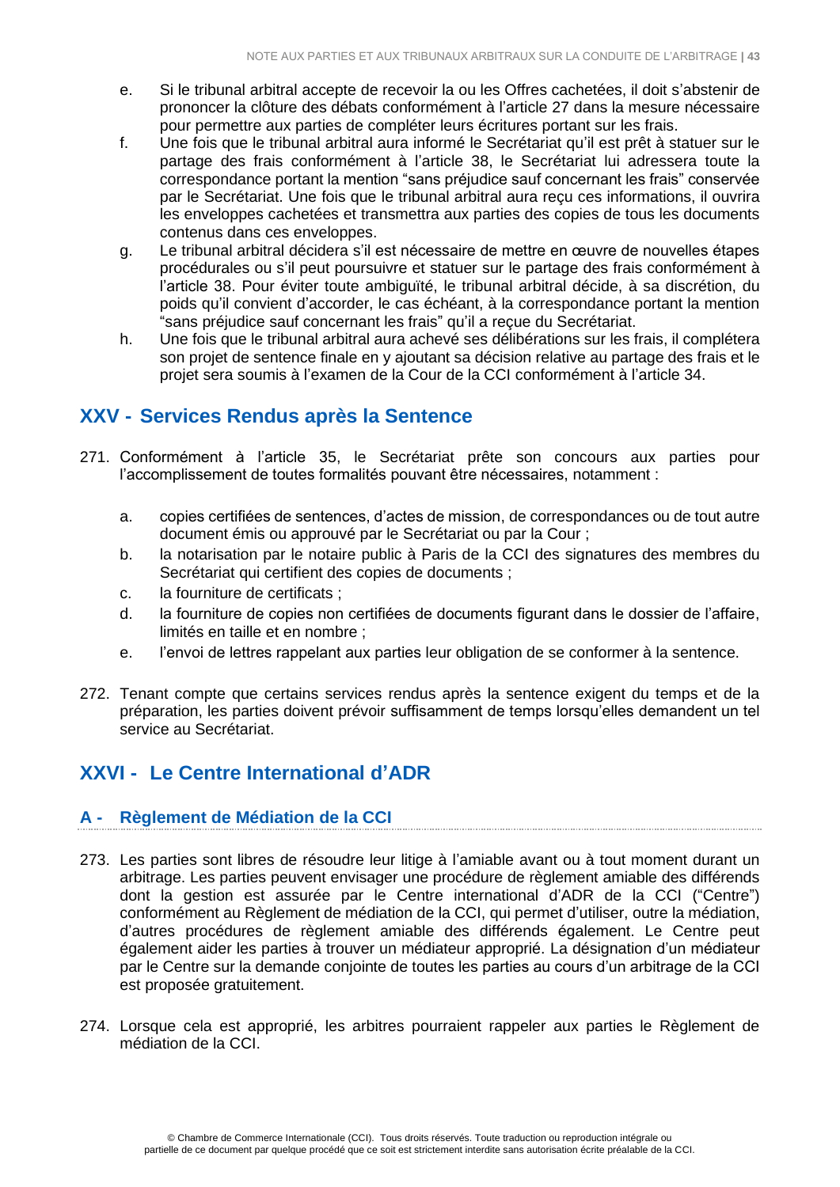- e. Si le tribunal arbitral accepte de recevoir la ou les Offres cachetées, il doit s'abstenir de prononcer la clôture des débats conformément à l'article 27 dans la mesure nécessaire pour permettre aux parties de compléter leurs écritures portant sur les frais.
- f. Une fois que le tribunal arbitral aura informé le Secrétariat qu'il est prêt à statuer sur le partage des frais conformément à l'article 38, le Secrétariat lui adressera toute la correspondance portant la mention "sans préjudice sauf concernant les frais" conservée par le Secrétariat. Une fois que le tribunal arbitral aura reçu ces informations, il ouvrira les enveloppes cachetées et transmettra aux parties des copies de tous les documents contenus dans ces enveloppes.
- g. Le tribunal arbitral décidera s'il est nécessaire de mettre en œuvre de nouvelles étapes procédurales ou s'il peut poursuivre et statuer sur le partage des frais conformément à l'article 38. Pour éviter toute ambiguïté, le tribunal arbitral décide, à sa discrétion, du poids qu'il convient d'accorder, le cas échéant, à la correspondance portant la mention "sans préjudice sauf concernant les frais" qu'il a reçue du Secrétariat.
- h. Une fois que le tribunal arbitral aura achevé ses délibérations sur les frais, il complétera son projet de sentence finale en y ajoutant sa décision relative au partage des frais et le projet sera soumis à l'examen de la Cour de la CCI conformément à l'article 34.

# <span id="page-42-0"></span>**XXV - Services Rendus après la Sentence**

- 271. Conformément à l'article 35, le Secrétariat prête son concours aux parties pour l'accomplissement de toutes formalités pouvant être nécessaires, notamment :
	- a. copies certifiées de sentences, d'actes de mission, de correspondances ou de tout autre document émis ou approuvé par le Secrétariat ou par la Cour ;
	- b. la notarisation par le notaire public à Paris de la CCI des signatures des membres du Secrétariat qui certifient des copies de documents ;
	- c. la fourniture de certificats ;
	- d. la fourniture de copies non certifiées de documents figurant dans le dossier de l'affaire, limités en taille et en nombre ;
	- e. l'envoi de lettres rappelant aux parties leur obligation de se conformer à la sentence.
- 272. Tenant compte que certains services rendus après la sentence exigent du temps et de la préparation, les parties doivent prévoir suffisamment de temps lorsqu'elles demandent un tel service au Secrétariat.

# <span id="page-42-1"></span>**XXVI - Le Centre International d'ADR**

# <span id="page-42-2"></span>**A - Règlement de Médiation de la CCI**

- 273. Les parties sont libres de résoudre leur litige à l'amiable avant ou à tout moment durant un arbitrage. Les parties peuvent envisager une procédure de règlement amiable des différends dont la gestion est assurée par le Centre international d'ADR de la CCI ("Centre") conformément au Règlement de médiation de la CCI, qui permet d'utiliser, outre la médiation, d'autres procédures de règlement amiable des différends également. Le Centre peut également aider les parties à trouver un médiateur approprié. La désignation d'un médiateur par le Centre sur la demande conjointe de toutes les parties au cours d'un arbitrage de la CCI est proposée gratuitement.
- 274. Lorsque cela est approprié, les arbitres pourraient rappeler aux parties le Règlement de médiation de la CCI.